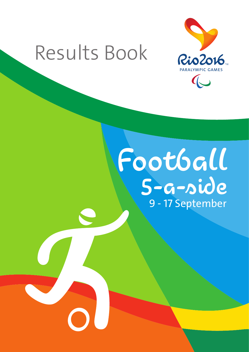# Results Book



# Football 5-a-side 9 - 17 September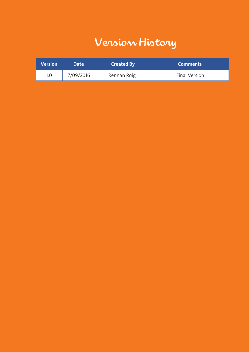# Version History

| <b>Version</b> | <b>Date</b> | <b>Created By</b> | <b>Comments</b> |
|----------------|-------------|-------------------|-----------------|
| 1.0            | 17/09/2016  | Rennan Roig       | Final Version   |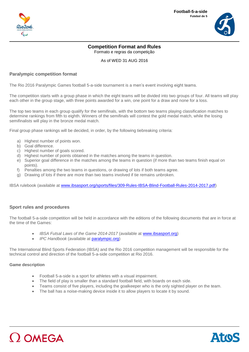



## **Competition Format and Rules** Formato e regras da competição

As of WED 31 AUG 2016

### **Paralympic competition format**

The Rio 2016 Paralympic Games football 5-a-side tournament is a men's event involving eight teams.

The competition starts with a group phase in which the eight teams will be divided into two groups of four. All teams will play each other in the group stage, with three points awarded for a win, one point for a draw and none for a loss.

The top two teams in each group qualify for the semifinals, with the bottom two teams playing classification matches to determine rankings from fifth to eighth. Winners of the semifinals will contest the gold medal match, while the losing semifinalists will play in the bronze medal match.

Final group phase rankings will be decided, in order, by the following tiebreaking criteria:

- a) Highest number of points won.
- b) Goal difference.
- c) Highest number of goals scored.
- d) Highest number of points obtained in the matches among the teams in question.
- e) Superior goal difference in the matches among the teams in question (if more than two teams finish equal on points).
- f) Penalties among the two teams in questions, or drawing of lots if both teams agree.
- g) Drawing of lots if there are more than two teams involved if tie remains unbroken.

IBSA rulebook (available at [www.ibsasport.org/sports/files/309-Rules-IBSA-Blind-Football-Rules-2014-2017.pdf\)](http://www.ibsasport.org/sports/files/309-Rules-IBSA-Blind-Football-Rules-2014-2017.pdf)

#### **Sport rules and procedures**

The football 5-a-side competition will be held in accordance with the editions of the following documents that are in force at the time of the Games:

- *IBSA Futsal Laws of the Game 2014-2017* (available at [www.ibsasport.org\)](http://www.ibsasport.org/)
- *IPC Handbook* (available at [paralympic.org\)](http://paralympic.org/)

The International Blind Sports Federation (IBSA) and the Rio 2016 competition management will be responsible for the technical control and direction of the football 5-a-side competition at Rio 2016.

#### **Game description**

- Football 5-a-side is a sport for athletes with a visual impairment.
- The field of play is smaller than a standard football field, with boards on each side.
- Teams consist of five players, including the goalkeeper who is the only sighted player on the team.
- The ball has a noise-making device inside it to allow players to locate it by sound.



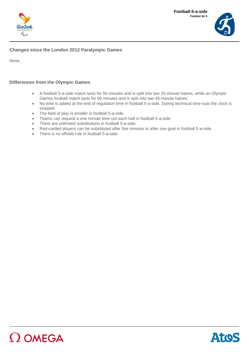



## **Changes since the London 2012 Paralympic Games**

None.

## **Differences from the Olympic Games**

- A football 5-a-side match lasts for 50 minutes and is split into two 25-minute halves, while an Olympic Games football match lasts for 90 minutes and is split into two 45-minute halves.
- No time is added at the end of regulation time in football 5-a-side. During technical time-outs the clock is stopped.
- The field of play is smaller in football 5-a-side.
- Teams can request a one minute time-out each half in football 5-a-side.
- There are unlimited substitutions in football 5-a-side.
- Red-carded players can be substituted after five minutes or after one goal in football 5-a-side.
- There is no offside rule in football 5-a-side.

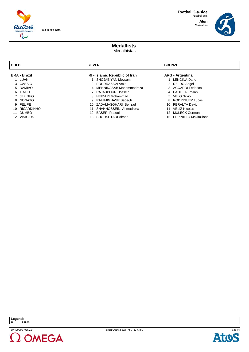

**Men** Masculino



#### **Medallists**  Medalhistas

| <b>GOLD</b>      |                     | <b>SILVER</b> |                                |    | <b>BRONZE</b>            |  |  |
|------------------|---------------------|---------------|--------------------------------|----|--------------------------|--|--|
|                  | <b>BRA - Brazil</b> |               | IRI - Islamic Republic of Iran |    | <b>ARG</b> - Argentina   |  |  |
|                  | 1 LUAN              |               | SHOJAEIYAN Meysam              |    | 1 LENCINA Dario          |  |  |
|                  | 3 CASSIO            |               | 2 POURRAZAVI Amir              |    | 2 DELDO Angel            |  |  |
|                  | 5 DAMIAO            |               | 4 MEHNINASAB Mohammadreza      |    | 3 ACCARDI Federico       |  |  |
|                  | 6 TIAGO             |               | 7 RAJABPOUR Hossein            |    | 4 PADILLA Froilan        |  |  |
|                  | <b>JEFINHO</b>      |               | 8 HEIDARI Mohammad             |    | 5 VELO Silvio            |  |  |
|                  | 8 NONATO            |               | 9 RAHIMIGHASR Sadegh           |    | 8 RODRIGUEZ Lucas        |  |  |
|                  | 9 FELIPE            |               | 10 ZADALIASGHARI Behzad        |    | 10 PERALTA David         |  |  |
|                  | 10 RICARDINHO       | 11            | SHAHHOSSEINI Ahmadreza         | 11 | VELIZ Nicolas            |  |  |
| 11               | <b>DUMBO</b>        |               | 12 BASERI Rasool               | 12 | MULECK German            |  |  |
| 12 <sup>12</sup> | <b>VINICIUS</b>     | 13.           | SHOUSHTARI Akbar               |    | 15 ESPINILLO Maximiliano |  |  |



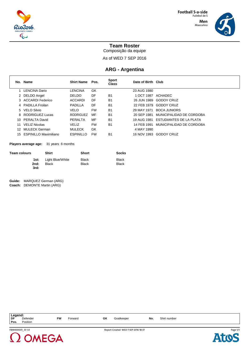

Masculino



## **Team Roster**

Composição da equipe

As of WED 7 SEP 2016

## **ARG - Argentina**

|     | No. Name                 | <b>Shirt Name</b> | Pos.      | <b>Sport</b><br><b>Class</b> | Date of Birth Club |                                     |
|-----|--------------------------|-------------------|-----------|------------------------------|--------------------|-------------------------------------|
|     | <b>LENCINA Dario</b>     | LENCINA           | GK        |                              | 23 AUG 1980        |                                     |
|     | 2 DELDO Angel            | <b>DELDO</b>      | DF        | B <sub>1</sub>               | 1 OCT 1987         | ACHADEC                             |
|     | 3 ACCARDI Federico       | <b>ACCARDI</b>    | DF        | B <sub>1</sub>               |                    | 26 JUN 1989 GODOY CRUZ              |
|     | 4 PADILLA Froilan        | PADILLA           | DF        | B <sub>1</sub>               | 22 FEB 1979        | <b>GODOY CRUZ</b>                   |
|     | 5 VELO Silvio            | <b>VELO</b>       | <b>FW</b> | B <sub>1</sub>               | 29 MAY 1971        | <b>BOCA JUNIORS</b>                 |
|     | 8 RODRIGUEZ Lucas        | <b>RODRIGUEZ</b>  | MF        | B <sub>1</sub>               | 20 SEP 1981        | MUNICIPALIDAD DE CORDOBA            |
| 10. | PERALTA David            | PERALTA           | <b>MF</b> | <b>B1</b>                    |                    | 19 AUG 1981 ESTUDIANTES DE LA PLATA |
| 11  | <b>VELIZ Nicolas</b>     | <b>VELIZ</b>      | <b>FW</b> | <b>B1</b>                    | 14 FEB 1991        | MUNICIPALIDAD DE CORDOBA            |
| 12. | MULECK German            | <b>MULECK</b>     | GK        |                              | 4 MAY 1990         |                                     |
|     | 15 ESPINILLO Maximiliano | <b>ESPINILLO</b>  | <b>FW</b> | B <sub>1</sub>               | 16 NOV 1993        | <b>GODOY CRUZ</b>                   |

**Players average age:** 31 years 6 months

| <b>Black</b><br><b>Black</b> |
|------------------------------|
|                              |

**Guide:** MARQUEZ German (ARG) **Coach:** DEMONTE Martin (ARG)

| Legend:<br>  DF D<br>Pos. | Defender<br>Position  | <b>FW</b> | Forward | GK | Goalkeeper                          | No. | Shirt number |         |
|---------------------------|-----------------------|-----------|---------|----|-------------------------------------|-----|--------------|---------|
|                           | <b>ERM400001 3310</b> |           |         |    | Penort Created WED 7 SED 2016 18-37 |     |              | Daoe1/1 |





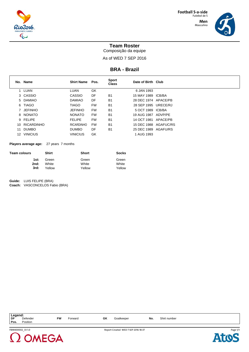

Masculino



## **Team Roster**

Composição da equipe

As of WED 7 SEP 2016

#### **BRA - Brazil**

|     | No. Name        | <b>Shirt Name</b> | Pos.      | <b>Sport</b><br><b>Class</b> | Date of Birth Club    |          |
|-----|-----------------|-------------------|-----------|------------------------------|-----------------------|----------|
|     | LUAN            | <b>LUAN</b>       | GK        |                              | 6 JAN 1993            |          |
|     | 3 CASSIO        | CASSIO            | DF        | B <sub>1</sub>               | 15 MAY 1989 ICB/BA    |          |
|     | 5 DAMIAO        | <b>DAMIAO</b>     | DF        | B <sub>1</sub>               | 28 DEC 1974 APACE/PB  |          |
|     | 6 TIAGO         | <b>TIAGO</b>      | <b>FW</b> | B <sub>1</sub>               | 28 SEP 1995 URECE/RJ  |          |
|     | 7 JEFINHO       | <b>JEFINHO</b>    | <b>FW</b> | <b>B1</b>                    | 5 OCT 1989 ICB/BA     |          |
|     | 8 NONATO        | <b>NONATO</b>     | <b>FW</b> | <b>B1</b>                    | 19 AUG 1987 ADVP/PE   |          |
|     | 9 FELIPE        | <b>FELIPE</b>     | <b>FW</b> | <b>B1</b>                    | 14 OCT 1981           | APACE/PB |
|     | 10 RICARDINHO   | <b>RICARDINHO</b> | <b>FW</b> | B <sub>1</sub>               | 15 DEC 1988 AGAFUC/RS |          |
| 11  | <b>DUMBO</b>    | <b>DUMBO</b>      | DF        | B <sub>1</sub>               | 25 DEC 1989 AGAFU/RS  |          |
| 12. | <b>VINICIUS</b> | <b>VINICIUS</b>   | GK        |                              | 1 AUG 1993            |          |

**Players average age:** 27 years 7 months

| Team colours | Shirt  | <b>Short</b> | <b>Socks</b> |
|--------------|--------|--------------|--------------|
| 1st:         | Green  | Green        | Green        |
| 2nd:         | White  | White        | White        |
| 3rd:         | Yellow | Yellow       | Yellow       |

**Guide:** LUIS FELIPE (BRA) **Coach:** VASCONCELOS Fabio (BRA)

**Legend: DF** Defender **FW** Forward **GK** Goalkeeper **No.** Shirt number **Pos.** Position





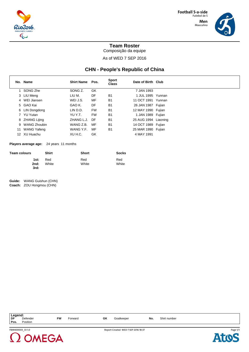

Masculino



**Team Roster**

Composição da equipe

As of WED 7 SEP 2016

## **CHN - People's Republic of China**

|    | No. Name           | <b>Shirt Name</b> | Pos.      | <b>Sport</b><br><b>Class</b> | Date of Birth Club   |  |
|----|--------------------|-------------------|-----------|------------------------------|----------------------|--|
|    | SONG Zhe           | SONG Z.           | GK        |                              | 7 JAN 1993           |  |
|    | 3 LIU Meng         | LIU M.            | DF        | B <sub>1</sub>               | 1 JUL 1995 Yunnan    |  |
|    | 4 WEI Jiansen      | WEI J.S.          | MF        | B <sub>1</sub>               | 11 OCT 1991 Yunnan   |  |
|    | 5 GAO Kai          | GAO K.            | DF        | B <sub>1</sub>               | 26 JAN 1987 Fujian   |  |
|    | 6 LIN Dongdong     | LIN D.D.          | <b>FW</b> | B <sub>1</sub>               | 12 MAY 1990 Fujian   |  |
|    | 7 YU Yutan         | YU Y.T.           | <b>FW</b> | B <sub>1</sub>               | 1 JAN 1989 Fujian    |  |
|    | 8 ZHANG Lijing     | ZHANG L.J.        | DF        | B <sub>1</sub>               | 25 AUG 1994 Liaoning |  |
|    | 9 WANG Zhoubin     | WANG Z.B.         | MF        | B <sub>1</sub>               | 14 OCT 1989 Fujian   |  |
| 11 | <b>WANG Yafeng</b> | WANG Y.F.         | MF        | B <sub>1</sub>               | 25 MAR 1990 Fujian   |  |
|    | 12 XU Huachu       | XU H.C.           | GK        |                              | 4 MAY 1991           |  |

**Players average age:** 24 years 11 months

| <b>Team colours</b> | <b>Shirt</b> | <b>Short</b> | <b>Socks</b> |
|---------------------|--------------|--------------|--------------|
| 1st:                | Red          | Red          | Red          |
| 2nd:                | White        | White        | White        |
| 3rd:                |              |              |              |

**Guide:** WANG Guishun (CHN) **Coach:** ZOU Hongmou (CHN)

| Legend:<br>  DF [<br>Pos. | Defender<br>Position | FW | Forward | GK | Goalkeeper                          | No. | Shirt number |          |
|---------------------------|----------------------|----|---------|----|-------------------------------------|-----|--------------|----------|
|                           | FBM400003 331.0      |    |         |    | Report Created WED 7 SEP 2016 18:37 |     |              | Page 1/1 |



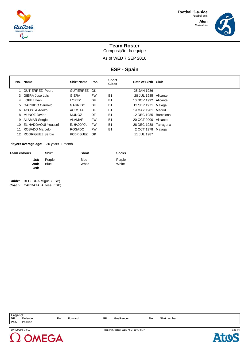

Masculino

## **Team Roster**

Composição da equipe

As of WED 7 SEP 2016

**ESP - Spain**

|     | No. Name            | <b>Shirt Name</b> | Pos.      | <b>Sport</b><br><b>Class</b> | Date of Birth Club    |        |
|-----|---------------------|-------------------|-----------|------------------------------|-----------------------|--------|
|     | 1 GUTIERREZ Pedro   | GUTIERREZ GK      |           |                              | 25 JAN 1986           |        |
|     | 3 GIERA Jose Luis   | <b>GIERA</b>      | <b>FW</b> | B <sub>1</sub>               | 28 JUL 1985 Alicante  |        |
|     | 4 LOPEZ Ivan        | <b>LOPEZ</b>      | DF        | <b>B1</b>                    | 10 NOV 1992 Alicante  |        |
|     | 5 GARRIDO Carmelo   | GARRIDO           | DF        | <b>B1</b>                    | 12 SEP 1971           | Malaga |
|     | 6 ACOSTA Adolfo     | <b>ACOSTA</b>     | DF        | <b>B1</b>                    | 19 MAY 1981           | Madrid |
|     | 8 MUNOZ Javier      | <b>MUNOZ</b>      | DF        | B <sub>1</sub>               | 12 DEC 1985 Barcelona |        |
|     | 9 ALAMAR Sergio     | ALAMAR            | <b>FW</b> | <b>B1</b>                    | 20 OCT 2000 Alicante  |        |
| 10  | EL HADDAOUI Youssef | EL HADDAOUI       | <b>FW</b> | B <sub>1</sub>               | 28 DEC 1988 Tarragona |        |
| 11  | ROSADO Marcelo      | <b>ROSADO</b>     | <b>FW</b> | B <sub>1</sub>               | 2 OCT 1978            | Malaga |
| 12. | RODRIGUEZ Sergio    | <b>RODRIGUEZ</b>  | GK        |                              | 11 JUL 1987           |        |

**Players average age:** 30 years 1 month

| <b>Team colours</b> | <b>Shirt</b>   | <b>Short</b>         | <b>Socks</b>    |
|---------------------|----------------|----------------------|-----------------|
| 1st:<br>2nd:        | Purple<br>Blue | <b>Blue</b><br>White | Purple<br>White |
| 3rd:                |                |                      |                 |

**Guide:** BECERRA Miguel (ESP) **Coach:** CARRATALA Jose (ESP)

| Legend:<br>  DF F<br>Pos. | Defender<br>Position | <b>FW</b> | Forward | GK | Goalkeeper                          | No. | Shirt number |                      |
|---------------------------|----------------------|-----------|---------|----|-------------------------------------|-----|--------------|----------------------|
|                           | FBM400004 331.0      |           |         |    | Report Created WED 7 SEP 2016 18:37 |     |              | Page 1/ <sup>*</sup> |



**Atos**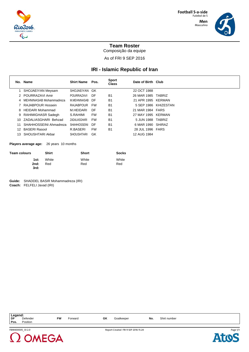

Masculino

## **Team Roster**

Composição da equipe

As of FRI 9 SEP 2016

## **IRI - Islamic Republic of Iran**

|     | No. Name                | <b>Shirt Name</b>   | Pos.      | <b>Sport</b><br><b>Class</b> | Date of Birth Club |                      |
|-----|-------------------------|---------------------|-----------|------------------------------|--------------------|----------------------|
|     | SHOJAEIYAN Meysam       | SHOJAEIYAN GK       |           |                              | 22 OCT 1988        |                      |
|     | 2 POURRAZAVI Amir       | POURRAZAVI          | DF        | B <sub>1</sub>               | 26 MAR 1985 TABRIZ |                      |
| 4   | MEHNINASAB Mohammadreza | M.MEHNINASAB DF     |           | B <sub>1</sub>               | 21 APR 1995 KERMAN |                      |
|     | RAJABPOUR Hossein       | RAJABPOUR           | FW        | B <sub>1</sub>               |                    | 5 SEP 1986 KHIZESTAN |
| 8   | <b>HEIDARI Mohammad</b> | M.HEIDARI           | DF        | B <sub>1</sub>               | 21 MAR 1984 FARS   |                      |
| 9   | RAHIMIGHASR Sadegh      | S.RAHIMI            | <b>FW</b> | <b>B1</b>                    | 27 MAY 1995 KERMAN |                      |
| 10. | ZADALIASGHARI Behzad    | ZADALIASGHARI       | FW        | B <sub>1</sub>               | 5 JUN 1988 TABRIZ  |                      |
|     | SHAHHOSSEINI Ahmadreza  | <b>SHAHHOSSEINI</b> | DF        | B <sub>1</sub>               | 6 MAR 1990 SHIRAZ  |                      |
| 12  | <b>BASERI Rasool</b>    | R.BASERI            | <b>FW</b> | B <sub>1</sub>               | 28 JUL 1996 FARS   |                      |
| 13. | SHOUSHTARI Akbar        | <b>SHOUSHTARI</b>   | GK        |                              | 12 AUG 1984        |                      |

**Players average age:** 26 years 10 months

| <b>Team colours</b> | <b>Shirt</b> | <b>Short</b> | <b>Socks</b> |
|---------------------|--------------|--------------|--------------|
| 1st:                | White        | White        | White        |
| 2nd:                | Red          | Red          | Red          |
| 3rd:                |              |              |              |

**Guide:** SHADDEL BASIR Mohammadreza (IRI) **Coach:** FELFELI Javad (IRI)

| Legend:<br>DF<br>Pos. | Defender<br>Position | FW | Forward | GK | Goalkeeper                          | No. | Shirt number |          |
|-----------------------|----------------------|----|---------|----|-------------------------------------|-----|--------------|----------|
|                       | FBM400005 33 2.0     |    |         |    | Report Created FRI 9 SEP 2016 15:24 |     |              | Page 1/1 |



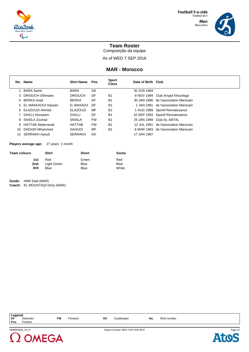

Masculino

## **Team Roster**

Composição da equipe

As of WED 7 SEP 2016

## **MAR - Morocco**

|    | No. Name             | <b>Shirt Name</b> | Pos.      | <b>Sport</b><br>Class | Date of Birth Club |                                       |
|----|----------------------|-------------------|-----------|-----------------------|--------------------|---------------------------------------|
|    | BARA Samir           | <b>BARA</b>       | GK        |                       | 30 JUN 1984        |                                       |
|    | 3 DRIOUCH Othmane    | <b>DRIOUCH</b>    | DF        | B <sub>1</sub>        |                    | 8 NOV 1994 Club Amjad Khouribga       |
|    | 4 BERKA Imad         | <b>BERKA</b>      | DF        | <b>B1</b>             |                    | 30 JAN 1986 de l'association Marocain |
|    | 5 EL MAKKAOUI Hassan | EL MAKKAOUI       | DF        | B <sub>1</sub>        | 1 JAN 1981         | de l'association Marocain             |
|    | 6 ELAZOUZI Ahmed     | <b>ELAZOUZI</b>   | MF        | B <sub>1</sub>        |                    | 1 AUG 1989 Sportif Rennaissance       |
|    | 7 GHILLI Houssam     | <b>GHILLI</b>     | DF        | <b>B1</b>             |                    | 10 SEP 1993 Sportif Rennaissance      |
|    | 8 SNISLA Zouhair     | <b>SNISLA</b>     | <b>FW</b> | <b>B1</b>             |                    | 25 JAN 1999 Club AL ABTAL             |
|    | 9 HATTAB Abderrazak  | <b>HATTAB</b>     | <b>FW</b> | B <sub>1</sub>        | 12 JUL 1991        | de l'association Marocain             |
| 10 | DAOUDI Mhammed       | <b>DAOUDI</b>     | MF        | <b>B1</b>             |                    | 6 MAR 1983 de l'association Marocain  |
| 12 | SERRAKH Ayoub        | <b>SERRAKH</b>    | GK        |                       | 17 JAN 1987        |                                       |

**Players average age:** 27 years 1 month

| <b>Team colours</b> | <b>Shirt</b>            | <b>Short</b> | <b>Socks</b> |
|---------------------|-------------------------|--------------|--------------|
| 1st:                | Red                     | Green        | Red          |
|                     | <b>2nd:</b> Light Green | Blue         | Blue         |
| 3rd:                | Blue                    | <b>Blue</b>  | White        |

**Guide:** HIMI Said (MAR) **Coach:** EL MOUNTAQI Driss (MAR)

FBM400006\_33 1.0 Report Created WED 7 SEP 2016 18:37 **Legend: DF** Defender **FW** Forward **GK** Goalkeeper **No.** Shirt number **Pos.** Position



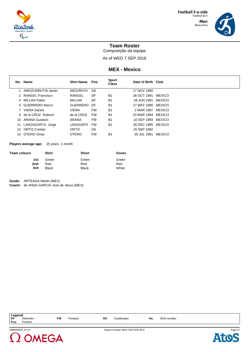

Masculino



## **Team Roster**

Composição da equipe

As of WED 7 SEP 2016

#### **MEX - Mexico**

|     | No. Name             | <b>Shirt Name</b> | Pos.      | <b>Sport</b><br><b>Class</b> | Date of Birth Club |               |
|-----|----------------------|-------------------|-----------|------------------------------|--------------------|---------------|
|     | AMOZURRUTIA Javier   | AMOZURRUTIA       | GK        |                              | 17 NOV 1980        |               |
|     | 2 RANGEL Francisco   | RANGEL            | DF        | <b>B1</b>                    | 26 OCT 1991        | <b>MEXICO</b> |
|     | 4 MILLAN Pablo       | MILLAN            | DF        | <b>B1</b>                    | 28 JUN 1991        | <b>MEXICO</b> |
|     | 5 GUERRERO Marco     | GUERRERO          | DF        | <b>B1</b>                    | 17 MAY 1990 MEXICO |               |
|     | 7 VIERA Daniel       | <b>VIERA</b>      | <b>FW</b> | <b>B1</b>                    | 2 MAR 1997 MEXICO  |               |
|     | 9 de la CRUZ Rubicel | de la CRUZ        | FW        | <b>B1</b>                    | 23 MAR 1994 MEXICO |               |
| 10. | ARANA Gustavo        | ARANA             | <b>FW</b> | <b>B1</b>                    | 10 SEP 1993 MEXICO |               |
| 11  | LANZAGORTA Jorge     | LANZAGORTA        | FW        | <b>B1</b>                    | 30 DEC 1985 MEXICO |               |
|     | 12 ORTIZ Cristian    | ORTIZ             | GK        |                              | 20 SEP 1992        |               |
| 14  | OTERO Omar           | <b>OTERO</b>      | <b>FW</b> | B <sub>1</sub>               | 25 JUL 1991        | MEXICO        |

#### **Players average age:** 25 years 1 month

| <b>Team colours</b> | <b>Shirt</b> | Short        | <b>Socks</b> |
|---------------------|--------------|--------------|--------------|
| 1st:                | Green        | Green        | Green        |
| 2nd:                | Red          | Red          | Red          |
| 3rd:                | <b>Black</b> | <b>Black</b> | White        |

**Guide:** ARTEAGA Martin (MEX)

**Coach:** de ANDA GARCIA Jose de Jesus (MEX)

| <b>Legend:</b><br>DF D |                 |           |         |    |                                     |     |              |          |  |
|------------------------|-----------------|-----------|---------|----|-------------------------------------|-----|--------------|----------|--|
|                        | Defender        | <b>FW</b> | Forward | GK | Goalkeeper                          | No. | Shirt number |          |  |
| Pos.                   | Position        |           |         |    |                                     |     |              |          |  |
|                        |                 |           |         |    |                                     |     |              |          |  |
|                        | FBM400007 331.0 |           |         |    | Report Created WED 7 SEP 2016 18:37 |     |              | Page 1/1 |  |





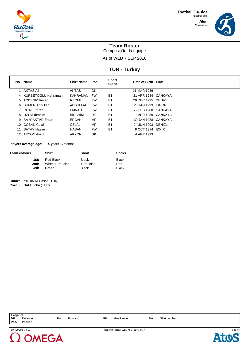

Masculino



## **Team Roster**

Composição da equipe

As of WED 7 SEP 2016

## **TUR - Turkey**

|    | No. Name              | <b>Shirt Name</b> | Pos.      | <b>Sport</b><br><b>Class</b> | Date of Birth Club  |  |
|----|-----------------------|-------------------|-----------|------------------------------|---------------------|--|
|    | AKTAS Ali             | <b>AKTAS</b>      | GK        |                              | 11 MAR 1986         |  |
|    | 4 KURBETOGLU Kahraman | KAHRAMAN          | FW        | <b>B1</b>                    | 21 APR 1984 CANKAYA |  |
|    | 5 AYDENIZ Recep       | <b>RECEP</b>      | <b>FW</b> | B <sub>1</sub>               | 20 DEC 1995 DENIZLI |  |
|    | 6 SUMER Abdullah      | ABDULLAH          | FW        | <b>B1</b>                    | 20 JAN 1993 ISGOR   |  |
|    | 7 OCAL Emrah          | <b>EMRAH</b>      | <b>FW</b> | <b>B1</b>                    | 22 FEB 1988 CANKAYA |  |
|    | 8 UZUM Ibrahim        | <b>IBRAHIM</b>    | DF        | B <sub>1</sub>               | 1 APR 1989 CANKAYA  |  |
|    | 9 BAYRAKTAR Ercan     | ERCAN             | MF        | <b>B1</b>                    | 30 JAN 1988 CANKAYA |  |
|    | 10 COBAN Celal        | <b>CELAL</b>      | MF        | <b>B1</b>                    | 24 JUN 1993 DENIZLI |  |
| 11 | SATAY Hasan           | <b>HASAN</b>      | <b>FW</b> | <b>B1</b>                    | 8 OCT 1994 IZMIR    |  |
|    | 12 AKYON Aykut        | <b>AKYON</b>      | GK        |                              | 4 APR 1993          |  |

**Players average age:** 25 years 6 months

| Team colours | <b>Shirt</b>    | Short        | <b>Socks</b> |
|--------------|-----------------|--------------|--------------|
| 1st:         | Red-Black       | <b>Black</b> | <b>Black</b> |
| 2nd:         | White-Turquoise | Turquoise    | Red          |
| 3rd:         | Green           | <b>Black</b> | <b>Black</b> |

**Guide:** YILDIRIM Hasan (TUR) **Coach:** BALL John (TUR)

FBM400008\_33 1.0 Report Created WED 7 SEP 2016 18:37 **Legend: DF** Defender **FW** Forward **GK** Goalkeeper **No.** Shirt number **Pos.** Position Page 1/1



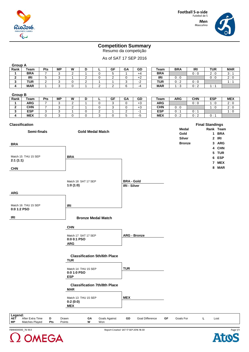

# Masculino

## **Competition Summary**

Resumo da competição

## As of SAT 17 SEP 2016

| <b>Group A</b>        |                     |                |           |                |                                     |                |                  |                   |                     |             |               |            |                        |           |            |
|-----------------------|---------------------|----------------|-----------|----------------|-------------------------------------|----------------|------------------|-------------------|---------------------|-------------|---------------|------------|------------------------|-----------|------------|
| Rank                  | Team                | Pts            | <b>MP</b> | W              | D                                   | г              | <b>GF</b>        | GA                | GD                  | Team        | <b>BRA</b>    | <b>IRI</b> | <b>TUR</b>             |           | <b>MAR</b> |
| 1                     | <b>BRA</b>          | 7              | 3         | $\overline{c}$ | 1                                   | 0              | 5                | $\mathbf{1}$      | $+4$                | <b>BRA</b>  |               | 0:0        | 2:0                    |           | 3:1        |
| $\mathbf 2$           | IRI                 | 5              | 3         | $\mathbf{1}$   | 2                                   | $\mathbf 0$    | $\boldsymbol{2}$ | 0                 | $+2$                | <b>IRI</b>  | 0:0           |            | 0:0                    |           | 2:0        |
| 3                     | <b>TUR</b>          | 2              | 3         | 0              | 2                                   | $\mathbf{1}$   | $\mathbf{1}$     | 3                 | $-2$                | <b>TUR</b>  | 0:2           | 0:0        |                        |           | 1:1        |
| 4                     | <b>MAR</b>          | 1              | 3         | 0              | 1                                   | 2              | $\overline{c}$   | 6                 | $-4$                | <b>MAR</b>  | 1:3           | 0:2        | 1:1                    |           |            |
| <b>Group B</b>        |                     |                |           |                |                                     |                |                  |                   |                     |             |               |            |                        |           |            |
| Rank                  | <b>Team</b>         | Pts            | <b>MP</b> | W              | D                                   | L              | GF               | GA                | GD                  | <b>Team</b> | <b>ARG</b>    | <b>CHN</b> | <b>ESP</b>             |           | <b>MEX</b> |
| 1                     | <b>ARG</b>          | $\overline{7}$ | 3         | $\mathbf{2}$   | $\mathbf{1}$                        | $\pmb{0}$      | 3                | 0                 | $+3$                | <b>ARG</b>  |               | 0:0        | 1:0                    |           | 2:0        |
| $\mathbf{2}$          | <b>CHN</b>          | $\overline{7}$ | 3         | $\overline{c}$ | $\mathbf{1}$                        | 0              | 3                | 0                 | $+3$                | <b>CHN</b>  | 0:0           |            | 1:0                    |           | 2:0        |
| 3                     | <b>ESP</b>          | 3              | 3         | $\mathbf{1}$   | 0                                   | $\overline{c}$ | 1                | 2                 | $-1$                | <b>ESP</b>  | 0:1           | 0:1        |                        |           | 1:0        |
| 4                     | <b>MEX</b>          | 0              | 3         | $\mathbf 0$    | 0                                   | 3              | 0                | 5                 | $-5$                | <b>MEX</b>  | 0:2           | 0:2        | 0:1                    |           |            |
| <b>Classification</b> |                     |                |           |                |                                     |                |                  |                   |                     |             |               |            | <b>Final Standings</b> |           |            |
|                       |                     |                |           |                |                                     |                |                  |                   |                     |             | Medal         |            |                        | Rank Team |            |
|                       | Semi-finals         |                |           |                | <b>Gold Medal Match</b>             |                |                  |                   |                     |             | Gold          |            |                        | 1 BRA     |            |
|                       |                     |                |           |                |                                     |                |                  |                   |                     |             | <b>Silver</b> |            |                        | 2 IRI     |            |
|                       |                     |                |           |                |                                     |                |                  |                   |                     |             |               |            |                        |           |            |
| <b>BRA</b>            |                     |                |           |                |                                     |                |                  |                   |                     |             | <b>Bronze</b> |            |                        | 3 ARG     |            |
|                       |                     |                |           |                |                                     |                |                  |                   |                     |             |               |            |                        | 4 CHN     |            |
|                       |                     |                |           |                |                                     |                |                  |                   |                     |             |               |            |                        | 5 TUR     |            |
|                       | Match 15 THU 15 SEP |                |           | <b>BRA</b>     |                                     |                |                  |                   |                     |             |               |            |                        | 6 ESP     |            |
| 2:1(1:1)              |                     |                |           |                |                                     |                |                  |                   |                     |             |               |            |                        | 7 MEX     |            |
| <b>CHN</b>            |                     |                |           |                |                                     |                |                  |                   |                     |             |               |            |                        | 8 MAR     |            |
|                       |                     |                |           |                |                                     |                |                  |                   |                     |             |               |            |                        |           |            |
|                       |                     |                |           |                |                                     |                |                  |                   |                     |             |               |            |                        |           |            |
|                       |                     |                |           |                | Match 18 SAT 17 SEP                 |                |                  | <b>BRA - Gold</b> |                     |             |               |            |                        |           |            |
|                       |                     |                |           | 1:0(1:0)       |                                     |                |                  |                   | <b>IRI - Silver</b> |             |               |            |                        |           |            |
|                       |                     |                |           |                |                                     |                |                  |                   |                     |             |               |            |                        |           |            |
| <b>ARG</b>            |                     |                |           |                |                                     |                |                  |                   |                     |             |               |            |                        |           |            |
|                       |                     |                |           |                |                                     |                |                  |                   |                     |             |               |            |                        |           |            |
|                       |                     |                |           |                |                                     |                |                  |                   |                     |             |               |            |                        |           |            |
| 0:0 1:2 PSO           | Match 16 THU 15 SEP |                |           | <b>IRI</b>     |                                     |                |                  |                   |                     |             |               |            |                        |           |            |
|                       |                     |                |           |                |                                     |                |                  |                   |                     |             |               |            |                        |           |            |
| IRI                   |                     |                |           |                | <b>Bronze Medal Match</b>           |                |                  |                   |                     |             |               |            |                        |           |            |
|                       |                     |                |           |                |                                     |                |                  |                   |                     |             |               |            |                        |           |            |
|                       |                     |                |           | <b>CHN</b>     |                                     |                |                  |                   |                     |             |               |            |                        |           |            |
|                       |                     |                |           |                | Match 17 SAT 17 SEP                 |                |                  |                   | <b>ARG - Bronze</b> |             |               |            |                        |           |            |
|                       |                     |                |           | 0:0 0:1 PSO    |                                     |                |                  |                   |                     |             |               |            |                        |           |            |
|                       |                     |                |           | <b>ARG</b>     |                                     |                |                  |                   |                     |             |               |            |                        |           |            |
|                       |                     |                |           |                |                                     |                |                  |                   |                     |             |               |            |                        |           |            |
|                       |                     |                |           |                |                                     |                |                  |                   |                     |             |               |            |                        |           |            |
|                       |                     |                |           |                | <b>Classification 5th/6th Place</b> |                |                  |                   |                     |             |               |            |                        |           |            |
|                       |                     |                |           | <b>TUR</b>     |                                     |                |                  |                   |                     |             |               |            |                        |           |            |
|                       |                     |                |           |                | Match 14 THU 15 SEP                 |                |                  | <b>TUR</b>        |                     |             |               |            |                        |           |            |
|                       |                     |                |           | 0:0 1:0 PSO    |                                     |                |                  |                   |                     |             |               |            |                        |           |            |
|                       |                     |                |           | <b>ESP</b>     |                                     |                |                  |                   |                     |             |               |            |                        |           |            |
|                       |                     |                |           |                |                                     |                |                  |                   |                     |             |               |            |                        |           |            |
|                       |                     |                |           | <b>MAR</b>     | <b>Classification 7th/8th Place</b> |                |                  |                   |                     |             |               |            |                        |           |            |
|                       |                     |                |           |                |                                     |                |                  |                   |                     |             |               |            |                        |           |            |
|                       |                     |                |           |                | Match 13 THU 15 SEP                 |                |                  | <b>MEX</b>        |                     |             |               |            |                        |           |            |
|                       |                     |                |           | 0:2(0:0)       |                                     |                |                  |                   |                     |             |               |            |                        |           |            |
|                       |                     |                |           | <b>MEX</b>     |                                     |                |                  |                   |                     |             |               |            |                        |           |            |
|                       |                     |                |           |                |                                     |                |                  |                   |                     |             |               |            |                        |           |            |
| Legend:<br><b>AET</b> | After Extra Time    | D              | Drawn     |                | GA                                  |                | Goals Against    | GD                | Goal Difference     | GF          | Goals For     |            | L.                     | Lost      |            |
| MР                    | Matches Played      | Pts            | Points    |                | W                                   | Won            |                  |                   |                     |             |               |            |                        |           |            |
|                       |                     |                |           |                |                                     |                |                  |                   |                     |             |               |            |                        |           |            |



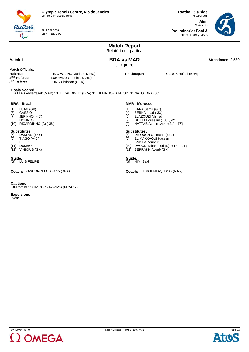FRI 9 SEP 2016 Start Time: 9:00

Futebol de 5 **Men** Masculino **Preliminaries Pool A**

**Football 5-a-side**

Primeira fase, grupo A



#### **Match Report** Relatório da partida **Match 1 Attendance: 2,569 BRA vs MAR Attendance: 2,569 3 : 1 (0 : 1) Match Officials: Referee:** TRAVAGLINO Mariano (ARG)<br> **2nd Referee:** LUBRANO Germinal (ARG) 2nd Referee: LUBRANO Germinal (ARG)<br> **3<sup>rd</sup> Referee:** JUNG Christian (GER) **JUNG Christian (GER) Timekeeper:** GLOCK Rafael (BRA) **Goals Scored:** HATTAB Abderrazak (MAR) 13', RICARDINHO (BRA) 31', JEFINHO (BRA) 36', NONATO (BRA) 36' **BRA - Brazil** [1] LUAN (GK) [3] CASSIO<br>[7] JEFINHO JEFINHO (-45') [8] NONATO [10] RICARDINHO (C) (-36') **Substitutes:**<br>[5] DAMIAC DAMIAO (+36') [6] TIAGO (+45') [9] FELIPE [11] DUMBO [12] VINICIUS (GK) **MAR - Morocco** [1] BARA Samir (GK) [4] BERKA Imad (-33')<br>[6] ELAZOUZI Ahmed ELAZOUZI Ahmed [7] GHILLI Houssam (+33' , -21') [9] HATTAB Abderrazak (+21' , -17') **Substitutes:** [3] DRIOUCH Othmane (+21') [5] EL MAKKAOUI Hassan<br>[8] SNISLA Zouhair SNISLA Zouhair [10] DAOUDI Mhammed (C) (+17' , -21') [12] SERRAKH Ayoub (GK) **Guide: Guide:** [G] LUIS FELIPE [G] HIMI Said **Coach:** VASCONCELOS Fabio (BRA) **Coach:** EL MOUNTAQI Driss (MAR)

**Cautions:**

BERKA Imad (MAR) 24', DAMIAO (BRA) 47'.

**Expulsions:**

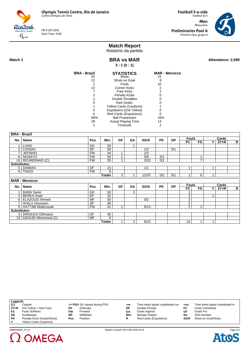FRI 9 SEP 2016 Start Time: 9:00

**Football 5-a-side** Futebol de 5 **Men** Masculino **Preliminaries Pool A** Primeira fase, grupo A



## **Match Report**

Relatório da partida

RioZo16  $\mathbb{C}$ 

**Match 1 Attendance: 2,569 BRA vs MAR Attendance: 2,569 BRA vs MAR 3 : 1 (0 : 1)**

| BRA - Brazil | <b>STATISTICS</b>          | <b>MAR - Morocco</b> |
|--------------|----------------------------|----------------------|
| 25           | Shots                      | 15                   |
| 12           | Shots on Goal              | 8                    |
|              | Fouls                      | 10                   |
| 13           | <b>Corner Kicks</b>        | 2                    |
|              | Free Kicks                 | 2                    |
| 2            | <b>Penalty Kicks</b>       |                      |
|              | Double Penalties           |                      |
|              | Own Goals:                 |                      |
|              | Yellow Cards (Cautions)    |                      |
|              | Expulsions (2nd Yellow)    |                      |
|              | Red Cards (Expulsions)     |                      |
| 66%          | <b>Ball Possession</b>     | 34%                  |
| 29           | <b>Actual Playing Time</b> | 14                   |
|              | <b>Timeouts</b>            |                      |

|                     | <b>BRA - Brazil</b>      |           |               |                |    |                  |           |           |                |                |       |        |                |
|---------------------|--------------------------|-----------|---------------|----------------|----|------------------|-----------|-----------|----------------|----------------|-------|--------|----------------|
|                     | <b>Name</b>              | Pos.      | Min.          | <b>GF</b>      | GA | SG/S             | <b>PK</b> | <b>DP</b> | <b>Fouls</b>   |                |       | Cards  |                |
| No.                 |                          |           |               |                |    |                  |           |           | <b>FC</b>      | <b>FS</b>      | Y     | $2Y=R$ | $\mathsf{R}$   |
| 4                   | LUAN                     | GK        | 50            |                | 1  |                  |           |           |                |                |       |        |                |
| $\mathcal{E}$       | CASSIO                   | DF        | 50            |                |    | 1/2              |           | 0/1       |                |                |       |        |                |
| 7                   | <b>JEFINHO</b>           | <b>FW</b> | 44            | $\mathbf{1}$   |    | $\overline{2/3}$ |           |           |                |                |       |        |                |
| 8                   | <b>NONATO</b>            | <b>FW</b> | 50            | 4              |    | 5/9              | 0/1       |           |                |                |       |        |                |
|                     | 10 RICARDINHO (C)        | <b>FW</b> | 35            | $\overline{ }$ |    | 3/10             | 0/1       |           |                | $\overline{7}$ |       |        |                |
| <b>Substitutes:</b> |                          |           |               |                |    |                  |           |           |                |                |       |        |                |
|                     | 5 DAMIAO                 | DF        | 15            |                |    | 1/1              |           |           | 1              |                | 1     |        |                |
|                     | 6   TIAGO                | <b>FW</b> | 6             |                |    |                  |           |           |                |                |       |        |                |
|                     |                          |           | <b>Totals</b> | 3              | 1  | 12/25            | 0/2       | 0/1       | 4              | 8              | 1     |        |                |
|                     | <b>MAR - Morocco</b>     |           |               |                |    |                  |           |           |                |                |       |        |                |
| No.                 | <b>Name</b>              | Pos.      |               |                |    |                  |           |           | <b>Fouls</b>   |                | Cards |        |                |
|                     |                          |           |               |                |    |                  | <b>PK</b> |           |                | FS             |       |        |                |
|                     |                          |           | Min.          | <b>GF</b>      | GA | SG/S             |           | <b>DP</b> | FC             |                | Y     | $2Y=R$ | $\overline{R}$ |
|                     | <b>BARA Samir</b>        | GK        | 50            |                | 3  |                  |           |           | 4              |                |       |        |                |
| 4                   | <b>BERKA</b> Imad        | DF        | 32            |                |    |                  |           |           | $\overline{2}$ |                | 1     |        |                |
| 6                   | ELAZOUZI Ahmed           | MF        | 50            |                |    | 0/2              |           |           | 3              |                |       |        |                |
|                     | <b>GHILLI Houssam</b>    | DF        | 38            |                |    |                  |           |           | $\overline{2}$ |                |       |        |                |
| 9 <sub>1</sub>      | <b>HATTAB Abderrazak</b> | <b>FW</b> | 41            | $\overline{a}$ |    | 8/13             |           |           | $\overline{2}$ | $\overline{A}$ |       |        |                |
| Substitutes:        |                          |           |               |                |    |                  |           |           |                |                |       |        |                |
|                     | 3   DRIOUCH Othmane      | DF        | 30            |                |    |                  |           |           |                |                |       |        |                |
| 10 <sup>1</sup>     | DAOUDI Mhammed (C)       | <b>MF</b> | 9<br>Totals   |                | 3  | 8/15             |           |           | 10             |                |       |        |                |

| Legend:     |                                |           |                               |      |                                  |       |                                 |
|-------------|--------------------------------|-----------|-------------------------------|------|----------------------------------|-------|---------------------------------|
| (C)         | Captain                        |           | -/+ PSO GK injured during PSO | -nn  | Time when player substituted out | $+nn$ | Time when player substituted in |
| $2Y=R$      | 2nd Yellow = Red Card          | DF        | Defender                      | DP   | Double Penalty                   | FC    | <b>Fouls Committed</b>          |
| FS          | <b>Fouls Suffered</b>          | <b>FW</b> | Forward                       | GΑ   | Goals Against                    | GF    | Goals For                       |
| GK          | Goalkeeper                     | MF        | Midfielder                    | Min. | Minutes Played                   | No.   | <b>Shirt Number</b>             |
| <b>PK</b>   | Penalty Kicks (Goals/Shots)    | Pos.      | Position                      | R    | Red Cards (Expulsions)           | SG/S  | Shots on Goal/Shots             |
| $\mathbf v$ | <b>Yellow Cards (Cautions)</b> |           |                               |      |                                  |       |                                 |



Page 2/2 **Atos**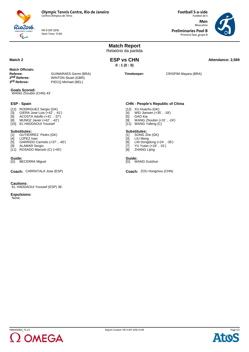

FRI 9 SEP 2016 Start Time: 11:00

**Football 5-a-side** Futebol de 5 **Men** Masculino **Preliminaries Pool B**

Primeira fase, grupo B



|                                                                                                                                                                        |                              | <b>Match Report</b><br>Relatório da partida                                                                                                                            |                      |  |
|------------------------------------------------------------------------------------------------------------------------------------------------------------------------|------------------------------|------------------------------------------------------------------------------------------------------------------------------------------------------------------------|----------------------|--|
| Match 2                                                                                                                                                                |                              | <b>ESP vs CHN</b><br>0:1(0:0)                                                                                                                                          | Attendance: 2,569    |  |
| <b>Match Officials:</b><br>Referee:<br><b>GUIMARAES Germi (BRA)</b><br>2 <sup>nd</sup> Referee:<br><b>WINTON Stuart (GBR)</b><br>3rd Referee:<br>PIECQ Michael (BEL)   |                              | Timekeeper:                                                                                                                                                            | CRISPIM Mayara (BRA) |  |
| <b>Goals Scored:</b><br>WANG Zhoubin (CHN) 43'                                                                                                                         |                              |                                                                                                                                                                        |                      |  |
| <b>ESP - Spain</b>                                                                                                                                                     |                              | <b>CHN - People's Republic of China</b>                                                                                                                                |                      |  |
| [12] RODRIGUEZ Sergio (GK)<br>GIERA Jose Luis (+42', -41')<br>[3]<br>ACOSTA Adolfo (+41', -37')<br>[6]<br>MUNOZ Javier (+42', -42')<br>[8]<br>[10] EL HADDAOUI Youssef |                              | [12] XU Huachu (GK)<br>WEI Jiansen (+35', -18')<br>[4]<br>GAO Kai<br>[5]<br>WANG Zhoubin (+31', -24')<br>[9]<br>[11] WANG Yafeng (C)                                   |                      |  |
| <b>Substitutes:</b><br>GUTIERREZ Pedro (GK)<br>[1]<br>LOPEZ Ivan<br>[4]<br>[5]<br><b>ALAMAR Sergio</b><br>[9]<br>[11] ROSADO Marcelo $(C)$ $(+45')$                    | GARRIDO Carmelo (+37', -45') | <b>Substitutes:</b><br>SONG Zhe (GK)<br>[1]<br>$[3]$<br>LIU Meng<br>LIN Dongdong $(+24', -35')$<br>[6]<br>YU Yutan (+18', -31')<br>$[7]$<br><b>ZHANG Lijing</b><br>[8] |                      |  |
| Guide:<br>[G] BECERRA Miguel                                                                                                                                           |                              | Guide:<br>[G] WANG Guishun                                                                                                                                             |                      |  |
| Coach: CARRATALA Jose (ESP)                                                                                                                                            |                              | Coach: ZOU Hongmou (CHN)                                                                                                                                               |                      |  |
| <b>Cautions:</b><br>EL HADDAOUI Youssef (ESP) 36'.                                                                                                                     |                              |                                                                                                                                                                        |                      |  |
| <b>Expulsions:</b><br>None.                                                                                                                                            |                              |                                                                                                                                                                        |                      |  |
|                                                                                                                                                                        |                              |                                                                                                                                                                        |                      |  |
|                                                                                                                                                                        |                              |                                                                                                                                                                        |                      |  |
|                                                                                                                                                                        |                              |                                                                                                                                                                        |                      |  |



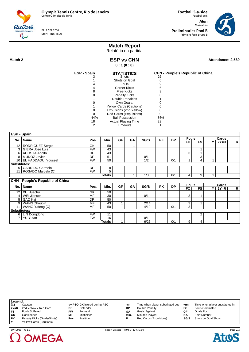FRI 9 SEP 2016 Start Time: 11:00

**Football 5-a-side** Futebol de 5 **Men** Masculino **Preliminaries Pool B** Primeira fase, grupo B



# **Match Report**

Relatório da partida **ESP vs CHN**

**0 : 1 (0 : 0)**

Rio2016  $\mathbb{C}$ 

Match 2 **Attendance: 2,569 Attendance: 2,569** 

| <b>ESP - Spain</b> | <b>STATISTICS</b>              |     | <b>CHN - People's Republic of China</b> |
|--------------------|--------------------------------|-----|-----------------------------------------|
|                    | <b>Shots</b>                   | 26  |                                         |
|                    | Shots on Goal                  | 6   |                                         |
|                    | Fouls                          | 9   |                                         |
|                    | Corner Kicks                   | 6   |                                         |
| 8                  | Free Kicks                     | 3   |                                         |
|                    | <b>Penalty Kicks</b>           |     |                                         |
|                    | Double Penalties               |     |                                         |
|                    | Own Goals:                     |     |                                         |
|                    | <b>Yellow Cards (Cautions)</b> |     |                                         |
|                    | Expulsions (2nd Yellow)        |     |                                         |
|                    | Red Cards (Expulsions)         |     |                                         |
| 44%                | <b>Ball Possession</b>         | 56% |                                         |
| 18                 | <b>Actual Playing Time</b>     | 23  |                                         |
| 2                  | Timeouts                       |     |                                         |
|                    |                                |     |                                         |

|                     | <b>ESP - Spain</b>                      |           |               |                         |    |      |           |           |                |                |                |        |   |
|---------------------|-----------------------------------------|-----------|---------------|-------------------------|----|------|-----------|-----------|----------------|----------------|----------------|--------|---|
|                     | No.   Name                              | Pos.      | Min.          | <b>GF</b>               | GA | SG/S | <b>PK</b> | <b>DP</b> | <b>Fouls</b>   |                |                | Cards  |   |
|                     |                                         |           |               |                         |    |      |           |           | FC             | <b>FS</b>      | Y              | $2Y=R$ | R |
|                     | 12   RODRIGUEZ Sergio                   | GK        | 50            |                         |    |      |           |           |                |                |                |        |   |
|                     | 3   GIERA Jose Luis                     | <b>FW</b> | 43            |                         |    |      |           |           |                | 1              |                |        |   |
|                     | 6 ACOSTA Adolfo                         | DF        | 43            |                         |    |      |           |           | $\overline{3}$ | 1              |                |        |   |
|                     | 8   MUNOZ Javier                        | DF        | 51            |                         |    | 0/1  |           |           |                | 3              |                |        |   |
|                     | 10   EL HADDAOUI Youssef                | <b>FW</b> | 50            |                         |    | 1/2  |           | 0/1       |                | $\overline{4}$ | $\overline{ }$ |        |   |
| Substitutes:        |                                         |           |               |                         |    |      |           |           |                |                |                |        |   |
|                     | 5 GARRIDO Carmelo                       | DF        | 8             |                         |    |      |           |           |                |                |                |        |   |
|                     | 11 ROSADO Marcelo (C)                   | <b>FW</b> | 5             |                         |    |      |           |           |                |                |                |        |   |
|                     |                                         |           | <b>Totals</b> |                         | 1  | 1/3  |           | 0/1       | $\overline{4}$ | 9              | 1              |        |   |
|                     | <b>CHN - People's Republic of China</b> |           |               |                         |    |      |           |           |                |                |                |        |   |
|                     | No.   Name                              | Pos.      | Min.          | <b>GF</b>               | GA | SG/S | <b>PK</b> | <b>DP</b> | <b>Fouls</b>   |                |                | Cards  |   |
|                     |                                         |           |               |                         |    |      |           |           | FC             | <b>FS</b>      | Y              | $2Y=R$ | R |
|                     | 12   XU Huachu                          | GK        | 50            |                         |    |      |           |           |                |                |                |        |   |
|                     | 4   WEI Jiansen                         |           |               |                         |    |      |           |           |                |                |                |        |   |
|                     |                                         | MF        | 30            |                         |    | 0/1  |           |           | 3              | 1              |                |        |   |
|                     | 5 GAO Kai                               | DF        | 50            |                         |    |      |           |           |                |                |                |        |   |
|                     | 9   WANG Zhoubin                        | MF        | 43            | $\overline{\mathbf{1}}$ |    | 2/14 |           |           | 3              | 1              |                |        |   |
|                     | 11   WANG Yafeng (C)                    | MF        | 50            |                         |    | 4/10 |           | 0/1       | 3              |                |                |        |   |
| <b>Substitutes:</b> |                                         |           |               |                         |    |      |           |           |                |                |                |        |   |
|                     | 6   LIN Dongdong                        | <b>FW</b> | 11            |                         |    |      |           |           |                | 2              |                |        |   |
| 7 <sup>1</sup>      | <b>YU Yutan</b>                         | <b>FW</b> | 16            |                         |    | 0/1  |           |           |                |                |                |        |   |

| Legend:                        |           |            |                               |                                  |       |                                 |
|--------------------------------|-----------|------------|-------------------------------|----------------------------------|-------|---------------------------------|
| Captain                        |           |            | -nn                           | Time when player substituted out | $+nn$ | Time when player substituted in |
| 2nd Yellow = Red Card          | DF        | Defender   | DP                            | Double Penalty                   | FC    | <b>Fouls Committed</b>          |
| <b>Fouls Suffered</b>          | <b>FW</b> | Forward    | GΑ                            | Goals Against                    | GF    | Goals For                       |
| Goalkeeper                     | MF        | Midfielder | Min.                          | Minutes Played                   | No.   | <b>Shirt Number</b>             |
| Penalty Kicks (Goals/Shots)    | Pos.      | Position   |                               | Red Cards (Expulsions)           | SG/S  | Shots on Goal/Shots             |
| <b>Yellow Cards (Cautions)</b> |           |            |                               |                                  |       |                                 |
|                                |           |            | -/+ PSO GK injured during PSO |                                  |       |                                 |



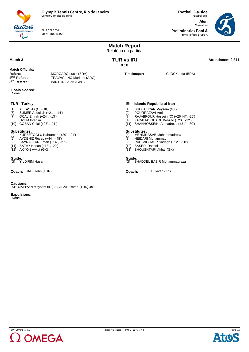

FRI 9 SEP 2016 Start Time: 16:00

**Football 5-a-side** Futebol de 5 **Men** Masculino **Preliminaries Pool A**

Primeira fase, grupo A



|                                      |                                                                                                                                                                                             |                                                                               | <b>Match Report</b><br>Relatório da partida |                                                                                                    |                                                                                                                                                       |                   |
|--------------------------------------|---------------------------------------------------------------------------------------------------------------------------------------------------------------------------------------------|-------------------------------------------------------------------------------|---------------------------------------------|----------------------------------------------------------------------------------------------------|-------------------------------------------------------------------------------------------------------------------------------------------------------|-------------------|
| Match <sub>3</sub>                   |                                                                                                                                                                                             |                                                                               | <b>TUR vs IRI</b><br>0:0                    |                                                                                                    |                                                                                                                                                       | Attendance: 2,811 |
| Referee:<br>3 <sup>rd</sup> Referee: | <b>Match Officials:</b><br>2 <sup>nd</sup> Referee:                                                                                                                                         | MORGADO Lucio (BRA)<br>TRAVAGLINO Mariano (ARG)<br><b>WINTON Stuart (GBR)</b> |                                             | Timekeeper:                                                                                        | GLOCK leda (BRA)                                                                                                                                      |                   |
| None                                 | <b>Goals Scored:</b>                                                                                                                                                                        |                                                                               |                                             |                                                                                                    |                                                                                                                                                       |                   |
|                                      | <b>TUR - Turkey</b>                                                                                                                                                                         |                                                                               |                                             | IRI - Islamic Republic of Iran                                                                     |                                                                                                                                                       |                   |
| $[1]$<br>[6]<br>$[7]$<br>[8]         | AKTAS Ali (C) (GK)<br>SUMER Abdullah (+21', -14')<br>OCAL Emrah (+24', -13')<br>UZUM Ibrahim<br>[10] COBAN Celal (+27', -21')                                                               |                                                                               | $[1]$<br>$[2]$<br>$[7]$                     | POURRAZAVI Amir                                                                                    | SHOJAEIYAN Meysam (GK)<br>RAJABPOUR Hossein (C) (+26' HT, -25')<br>[10] ZADALIASGHARI Behzad (+20', -12')<br>[11] SHAHHOSSEINI Ahmadreza (+31', -30') |                   |
| [4]                                  | <b>Substitutes:</b><br>KURBETOGLU Kahraman (+20', -24')<br>[5] AYDENIZ Recep (+44', -48')<br>[9] BAYRAKTAR Ercan (+14', -27')<br>$[11]$ SATAY Hasan $(+13', -20')$<br>[12] AKYON Aykut (GK) |                                                                               | $[4]$<br>[8]<br>[9]                         | <b>Substitutes:</b><br><b>HEIDARI Mohammad</b><br>[12] BASERI Rasool<br>[13] SHOUSHTARI Akbar (GK) | MEHNINASAB Mohammadreza<br>RAHIMIGHASR Sadegh (+12', -20')                                                                                            |                   |
| Guide:                               | [G] YILDIRIM Hasan                                                                                                                                                                          |                                                                               | [G]                                         | Guide:                                                                                             | SHADDEL BASIR Mohammadreza                                                                                                                            |                   |
|                                      | Coach: BALL John (TUR)                                                                                                                                                                      |                                                                               |                                             | Coach: FELFELI Javad (IRI)                                                                         |                                                                                                                                                       |                   |
| <b>Cautions:</b>                     |                                                                                                                                                                                             | SHOJAEIYAN Meysam (IRI) 3', OCAL Emrah (TUR) 49'.                             |                                             |                                                                                                    |                                                                                                                                                       |                   |

**Expulsions:** None.



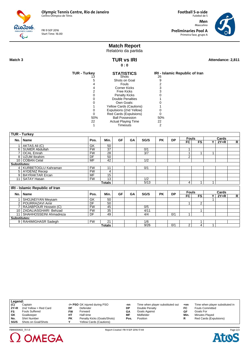FRI 9 SEP 2016 Start Time: 16:00

**Football 5-a-side** Futebol de 5 **Men** Masculino **Preliminaries Pool A** Primeira fase, grupo A



# **Match Report**

Relatório da partida

Rio2016  $\overline{\mathbb{C}}$ 

> **TUR vs IRI 0 : 0**

Match 3 **Attendance: 2,811 TUR vs IRI Attendance: 2,811** 

| <b>TUR - Turkey</b> | <b>STATISTICS</b>          | IRI - Islamic Republic of Iran |
|---------------------|----------------------------|--------------------------------|
|                     | Shots                      | 26                             |
| 5                   | Shots on Goal              | 9                              |
|                     | Fouls                      |                                |
|                     | Corner Kicks               |                                |
| 2                   | Free Kicks                 |                                |
|                     | <b>Penalty Kicks</b>       |                                |
|                     | Double Penalties           |                                |
|                     | Own Goals:                 |                                |
|                     | Yellow Cards (Cautions)    |                                |
|                     | Expulsions (2nd Yellow)    |                                |
|                     | Red Cards (Expulsions)     |                                |
| 50%                 | <b>Ball Possession</b>     | 50%                            |
| 22                  | <b>Actual Playing Time</b> | 22                             |
|                     | Timeouts                   | 2                              |

|                     | <b>TUR - Turkey</b>            |                 |                 |           |           |                  |           |           |                |                |       |        |              |
|---------------------|--------------------------------|-----------------|-----------------|-----------|-----------|------------------|-----------|-----------|----------------|----------------|-------|--------|--------------|
|                     | No.   Name                     | Pos.            | Min.            | <b>GF</b> | GA        | SG/S             | <b>PK</b> | <b>DP</b> | <b>Fouls</b>   |                |       | Cards  |              |
|                     |                                |                 |                 |           |           |                  |           |           | FC             | <b>FS</b>      | ΥI    | $2Y=R$ | $\mathsf{R}$ |
|                     | 1 AKTAS Ali (C)                | GK              | 50              |           |           |                  |           |           |                |                |       |        |              |
|                     | 6   SUMER Abdullah             | <b>FW</b>       | $\overline{37}$ |           |           | 0/1              |           |           | 1              |                |       |        |              |
|                     | <b>OCAL Emrah</b>              | <b>FW</b>       | 28              |           |           | $\overline{3/7}$ |           |           | $\overline{1}$ |                |       |        |              |
|                     | 8   UZUM Ibrahim               | DF              | 50              |           |           |                  |           |           | $\overline{2}$ |                |       |        |              |
|                     | 10 COBAN Celal                 | <b>MF</b>       | 42              |           |           | 1/2              |           |           |                |                |       |        |              |
| <b>Substitutes:</b> |                                |                 |                 |           |           |                  |           |           |                |                |       |        |              |
|                     | 4   KURBETOGLU Kahraman        | <b>FW</b>       | 11              |           |           | 0/1              |           |           |                |                |       |        |              |
|                     | 5   AYDENIZ Recep              | <b>FW</b>       | 4               |           |           |                  |           |           |                |                |       |        |              |
|                     | 9   BAYRAKTAR Ercan            | MF              | 15              |           |           |                  |           |           |                |                |       |        |              |
|                     | 11   SATAY Hasan               | <b>FW</b>       | 13              |           |           | 1/2              |           |           |                |                |       |        |              |
|                     |                                |                 | <b>Totals</b>   |           |           | 5/13             |           |           | 4              |                |       |        |              |
|                     | IRI - Islamic Republic of Iran |                 |                 |           |           |                  |           |           |                |                |       |        |              |
|                     | No.   Name                     | Pos.            | Min.            | GF        | <b>GA</b> | SG/S             | <b>PK</b> | <b>DP</b> | <b>Fouls</b>   |                | Cards |        |              |
|                     |                                |                 |                 |           |           |                  |           |           | FC             | <b>FS</b>      | v.    | $2Y=R$ | R            |
|                     | SHOJAEIYAN Meysam              | GK              | 50              |           |           |                  |           |           |                |                |       |        |              |
|                     | 2   POURRAZAVI Amir            | $\overline{DF}$ | 50              |           |           |                  |           |           | 1              | $\overline{2}$ |       |        |              |
|                     | RAJABPOUR Hossein (C)          | <b>FW</b>       | 45              |           |           | 0/5              |           |           |                |                |       |        |              |
|                     | 10 ZADALIASGHARI Behzad        | <b>FW</b>       | 35              |           |           | 4/11             |           |           |                |                |       |        |              |
|                     | 11   SHAHHOSSEINI Ahmadreza    | DF              | 49              |           |           | 4/4              |           | 0/1       | $\overline{ }$ |                |       |        |              |
| <b>Substitutes:</b> |                                |                 |                 |           |           |                  |           |           |                |                |       |        |              |
|                     | 9   RAHIMIGHASR Sadegh         | <b>FW</b>       | 21              |           |           | 1/6              |           |           |                | 1              |       |        |              |
|                     |                                |                 | Totals          |           |           | 9/26             |           | 0/1       | $\overline{2}$ | 4              | 1     |        |              |

| Legend: |                       |    |                                |      |                                  |       |                                 |
|---------|-----------------------|----|--------------------------------|------|----------------------------------|-------|---------------------------------|
| (C)     | Captain               |    | -/+ PSO GK injured during PSO  | -nn  | Time when player substituted out | $+nn$ | Time when player substituted in |
| $2Y=R$  | 2nd Yellow = Red Card | DF | Defender                       | DP   | Double Penalty                   | FC    | <b>Fouls Committed</b>          |
| FS      | <b>Fouls Suffered</b> | FW | Forward                        | GΑ   | <b>Goals Against</b>             | GF    | Goals For                       |
| GK      | Goalkeeper            | HТ | Half-time                      | МF   | Midfielder                       | Min.  | Minutes Played                  |
| No.     | Shirt Number          | PΚ | Penalty Kicks (Goals/Shots)    | Pos. | Position                         |       | Red Cards (Expulsions)          |
| SG/S    | Shots on Goal/Shots   |    | <b>Yellow Cards (Cautions)</b> |      |                                  |       |                                 |



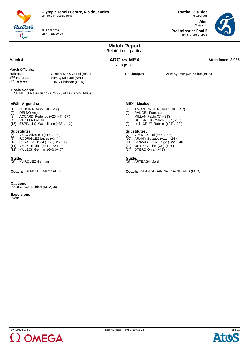

FRI 9 SEP 2016 Start Time: 20:00 **Football 5-a-side** Futebol de 5 **Men** Masculino

**Preliminaries Pool B** Primeira fase, grupo B



|                                                                                                                                                                                                                   |                                                                                    | <b>Match Report</b><br>Relatório da partida                                                                                                                                                |                                                                                                  |
|-------------------------------------------------------------------------------------------------------------------------------------------------------------------------------------------------------------------|------------------------------------------------------------------------------------|--------------------------------------------------------------------------------------------------------------------------------------------------------------------------------------------|--------------------------------------------------------------------------------------------------|
| Match 4                                                                                                                                                                                                           |                                                                                    | <b>ARG vs MEX</b><br>2:0(2:0)                                                                                                                                                              | Attendance: 3,065                                                                                |
| <b>Match Officials:</b><br>Referee:<br>2 <sup>nd</sup> Referee:<br>3 <sup>rd</sup> Referee:<br><b>Goals Scored:</b>                                                                                               | <b>GUIMARAES Germi (BRA)</b><br>PIECQ Michael (BEL)<br><b>JUNG Christian (GER)</b> | Timekeeper:                                                                                                                                                                                | ALBUQUERQUE Kleber (BRA)                                                                         |
|                                                                                                                                                                                                                   | ESPINILLO Maximiliano (ARG) 2', VELO Silvio (ARG) 15'                              |                                                                                                                                                                                            |                                                                                                  |
| <b>ARG - Argentina</b><br>LENCINA Dario (GK) (-47')<br>[1]<br>DELDO Angel<br>$[2]$<br>$[3]$<br>PADILLA Froilan<br>[4]<br>[15] ESPINILLO Maximiliano (+33', -13')                                                  | ACCARDI Federico (+26' HT, -17')                                                   | <b>MEX - Mexico</b><br>[1]<br>$[2]$<br><b>RANGEL Francisco</b><br>MILLAN Pablo (C) (-33')<br>[4]<br>[5]<br>[9]                                                                             | AMOZURRUTIA Javier (GK) (-46')<br>GUERRERO Marco (+33', -11')<br>de la CRUZ Rubicel (+24', -22') |
| <b>Substitutes:</b><br>VELO Silvio (C) (+13', -24')<br>$\overline{5}$<br>RODRIGUEZ Lucas (+34')<br>[8]<br>[10] PERALTA David (+17', -26' HT)<br>[11] VELIZ Nicolas (+24', -33')<br>[12] MULECK German (GK) (+47') |                                                                                    | <b>Substitutes:</b><br>[7] VIERA Daniel (+46', -49')<br>[10] ARANA Gustavo (+11', -24')<br>[11] LANZAGORTA Jorge (+22', -46')<br>[12] ORTIZ Cristian (GK) (+46')<br>[14] OTERO Omar (+49') |                                                                                                  |
| Guide:<br>MARQUEZ German<br>IGI.                                                                                                                                                                                  |                                                                                    | Guide:<br>[G] ARTEAGA Martin                                                                                                                                                               |                                                                                                  |
| <b>Coach: DEMONTE Martin (ARG)</b>                                                                                                                                                                                |                                                                                    |                                                                                                                                                                                            | Coach: de ANDA GARCIA Jose de Jesus (MEX)                                                        |
| <b>Cautions:</b><br>de la CRUZ Rubicel (MEX) 30'.                                                                                                                                                                 |                                                                                    |                                                                                                                                                                                            |                                                                                                  |
| <b>Expulsions:</b><br>None.                                                                                                                                                                                       |                                                                                    |                                                                                                                                                                                            |                                                                                                  |
|                                                                                                                                                                                                                   |                                                                                    |                                                                                                                                                                                            |                                                                                                  |
|                                                                                                                                                                                                                   |                                                                                    |                                                                                                                                                                                            |                                                                                                  |



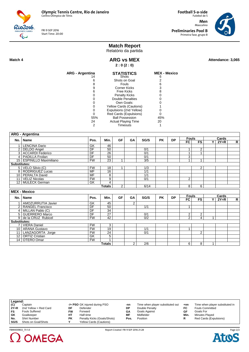FRI 9 SEP 2016 Start Time: 20:00

**Football 5-a-side** Futebol de 5 **Men** Masculino **Preliminaries Pool B** Primeira fase, grupo B



## **Match Report**

Relatório da partida

Rio2016  $\overline{\mathbb{C}}$ 

 $\Omega$  OMEGA

**Match 4 ARG vs MEX ARG 10 Attendance: 3,065 ARG vs MEX 2 : 0 (2 : 0)**

| ARG - Argentina | <b>STATISTICS</b>              | <b>MEX - Mexico</b> |
|-----------------|--------------------------------|---------------------|
|                 | <b>Shots</b>                   | 6                   |
| 6               | Shots on Goal                  |                     |
| 8               | Fouls                          | ิค                  |
| 9               | Corner Kicks                   |                     |
| 6               | Free Kicks                     | 8                   |
|                 | <b>Penalty Kicks</b>           |                     |
|                 | <b>Double Penalties</b>        |                     |
|                 | Own Goals:                     |                     |
|                 | <b>Yellow Cards (Cautions)</b> |                     |
|                 | Expulsions (2nd Yellow)        |                     |
|                 | Red Cards (Expulsions)         |                     |
| 55%             | <b>Ball Possession</b>         | 45%                 |
| 24              | <b>Actual Playing Time</b>     | 20                  |
|                 | Timeouts                       |                     |

|                | <b>ARG - Argentina</b>     |                           |                 |                |                |                  |           |           |                    |                |                         |                 |   |
|----------------|----------------------------|---------------------------|-----------------|----------------|----------------|------------------|-----------|-----------|--------------------|----------------|-------------------------|-----------------|---|
|                |                            |                           |                 | <b>GF</b>      |                |                  | <b>PK</b> | <b>DP</b> | <b>Fouls</b>       |                |                         | Cards           |   |
|                | No.   Name                 | Pos.                      | Min.            |                | GA             | SG/S             |           |           | <b>FC</b>          | <b>FS</b>      | Y                       | $2Y=R$          | R |
| 1              | <b>LENCINA Dario</b>       | $\overline{GK}$           | 46              |                |                |                  |           |           |                    |                |                         |                 |   |
| $\overline{2}$ | <b>DELDO</b> Angel         | $\overline{DF}$           | $\overline{50}$ |                |                | 0/1              |           |           | 1                  | $\overline{2}$ |                         |                 |   |
|                | 3   ACCARDI Federico       | DF                        | $\overline{26}$ |                |                | 0/1              |           |           | $\overline{1}$     | $\overline{1}$ |                         |                 |   |
|                | 4   PADILLA Froilan        | DF                        | $\overline{50}$ |                |                | 0/1              |           |           | $\overline{3}$     |                |                         |                 |   |
|                | 15   ESPINILLO Maximiliano | <b>FW</b>                 | $\overline{23}$ | 1              |                | 3/5              |           |           | $\overline{1}$     | 1              |                         |                 |   |
| Substitutes:   |                            |                           |                 |                |                |                  |           |           |                    |                |                         |                 |   |
|                | 5   VELO Silvio (C)        | <b>FW</b>                 | 18              | 1              |                | 1/3              |           |           |                    | $\overline{2}$ |                         |                 |   |
|                | 8   RODRIGUEZ Lucas        | <b>MF</b>                 | 16              |                |                | 1/1              |           |           |                    |                |                         |                 |   |
|                | 10   PERALTA David         | $\overline{\mathsf{MF}}$  | $\overline{8}$  |                |                | 1/1              |           |           |                    |                |                         |                 |   |
|                | 11   VELIZ Nicolas         | <b>FW</b>                 | 9               |                |                | 0/1              |           |           | 2                  |                |                         |                 |   |
|                | 12   MULECK German         | GK                        | 4               |                |                |                  |           |           |                    |                |                         |                 |   |
|                |                            |                           | <b>Totals</b>   | $\overline{2}$ |                | 6/14             |           |           | $\overline{8}$     | 6              |                         |                 |   |
|                | <b>MEX - Mexico</b>        |                           |                 |                |                |                  |           |           |                    |                |                         |                 |   |
|                |                            |                           |                 |                |                |                  |           |           |                    |                |                         |                 |   |
|                | No.   Name                 | Pos.                      | Min.            | <b>GF</b>      | GA             | SG/S             | <b>PK</b> | <b>DP</b> | <b>Fouls</b><br>FC | <b>FS</b>      | $\overline{\mathsf{Y}}$ | Cards<br>$2Y=R$ | R |
|                | AMOZURRUTIA Javier         | GK                        | 45              |                | $\overline{2}$ |                  |           |           |                    |                |                         |                 |   |
|                | 2   RANGEL Francisco       | DF                        | 50              |                |                | 1/1              |           |           | 1                  |                |                         |                 |   |
|                | 4   MILLAN Pablo (C)       | $\overline{DF}$           | $\overline{34}$ |                |                |                  |           |           |                    |                |                         |                 |   |
|                | 5 GUERRERO Marco           | DF                        | $\overline{27}$ |                |                | 0/1              |           |           | 2                  | 2              |                         |                 |   |
|                | 9 de la CRUZ Rubicel       | FW                        | $\overline{42}$ |                |                | $\overline{0/2}$ |           |           | $\overline{2}$     | $\overline{4}$ | 1                       |                 |   |
| Substitutes:   |                            |                           |                 |                |                |                  |           |           |                    |                |                         |                 |   |
|                | 7   VIERA Daniel           | <b>FW</b>                 | 3               |                |                |                  |           |           |                    |                |                         |                 |   |
|                | 10   ARANA Gustavo         | <b>FW</b>                 | 19              |                |                | 1/1              |           |           | 1                  |                |                         |                 |   |
|                | 11   LANZAGORTA Jorge      | <b>FW</b>                 | 24              |                |                | 0/1              |           |           |                    | $\overline{2}$ |                         |                 |   |
|                | 12   ORTIZ Cristian        | $\overline{\mathsf{G}}$ K | 5               |                |                |                  |           |           |                    |                |                         |                 |   |
|                | 14 OTERO Omar              | FW                        |                 |                |                |                  |           |           |                    |                |                         |                 |   |
|                |                            |                           |                 |                |                |                  |           |           |                    |                |                         |                 |   |

| Legend: |                       |           |                                |      |                                  |      |                                 |
|---------|-----------------------|-----------|--------------------------------|------|----------------------------------|------|---------------------------------|
| (C)     | Captain               |           | -/+ PSO GK injured during PSO  | -nn  | Time when player substituted out | +nn  | Time when player substituted in |
| $2Y=R$  | 2nd Yellow = Red Card | DF        | Defender                       | DP   | Double Penalty                   | FC   | <b>Fouls Committed</b>          |
| FS      | <b>Fouls Suffered</b> | FW        | Forward                        | GΑ   | Goals Against                    | GF   | Goals For                       |
| GK      | Goalkeeper            | HТ        | Half-time                      | МF   | Midfielder                       | Min. | Minutes Played                  |
| No.     | <b>Shirt Number</b>   | <b>PK</b> | Penalty Kicks (Goals/Shots)    | Pos. | Position                         |      | Red Cards (Expulsions)          |
| SG/S    | Shots on Goal/Shots   |           | <b>Yellow Cards (Cautions)</b> |      |                                  |      |                                 |



FBM400B02\_73 1.0 Report Created FRI 9 SEP 2016 21:28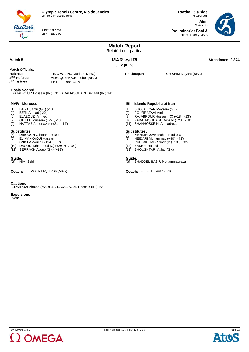

SUN 11 SEP 2016 Start Time: 9:00

Rio 2016  $\overline{\mathbb{C}}$ 

**Football 5-a-side** Futebol de 5 **Men** Masculino **Preliminaries Pool A** Primeira fase, grupo A



| <b>MAR vs IRI</b><br>Match <sub>5</sub><br>0:2(0:2)<br><b>Match Officials:</b><br>Timekeeper:<br>Referee:<br>TRAVAGLINO Mariano (ARG)<br>CRISPIM Mayara (BRA)<br>2 <sup>nd</sup> Referee:<br>ALBUQUERQUE Kleber (BRA)<br>3 <sup>rd</sup> Referee:<br>FISDEL Lionel (ARG)<br><b>Goals Scored:</b><br>RAJABPOUR Hossein (IRI) 13', ZADALIASGHARI Behzad (IRI) 14'<br><b>MAR - Morocco</b><br>IRI - Islamic Republic of Iran<br>BARA Samir (GK) (-18')<br>SHOJAEIYAN Meysam (GK)<br>$[1]$<br>$[1]$<br>BERKA Imad (-22')<br>[2]<br>POURRAZAVI Amir<br>$[4]$<br>ELAZOUZI Ahmed<br>RAJABPOUR Hossein (C) (+18', -13')<br>$[7]$<br>[6]<br>GHILLI Houssam (+22', -18')<br>$[7]$<br>[10] ZADALIASGHARI Behzad (+23', -18')<br>HATTAB Abderrazak (+21', -14')<br>[11] SHAHHOSSEINI Ahmadreza<br>$[9]$<br><b>Substitutes:</b><br><b>Substitutes:</b><br>DRIOUCH Othmane (+18')<br>MEHNINASAB Mohammadreza<br>$[3]$<br>[4]<br>EL MAKKAOUI Hassan<br>HEIDARI Mohammad (+40', -43')<br>$[5]$<br>[8]<br>SNISLA Zouhair (+14', -21')<br>[9]<br>RAHIMIGHASR Sadegh (+13', -23')<br>[8]<br>[10] DAOUDI Mhammed (C) (+26' HT, -35')<br><b>BASERI Rasool</b><br>[12]<br>[12] SERRAKH Ayoub (GK) (+18')<br>[13] SHOUSHTARI Akbar (GK)<br>Guide:<br>Guide: | Attendance: 2,374 |
|--------------------------------------------------------------------------------------------------------------------------------------------------------------------------------------------------------------------------------------------------------------------------------------------------------------------------------------------------------------------------------------------------------------------------------------------------------------------------------------------------------------------------------------------------------------------------------------------------------------------------------------------------------------------------------------------------------------------------------------------------------------------------------------------------------------------------------------------------------------------------------------------------------------------------------------------------------------------------------------------------------------------------------------------------------------------------------------------------------------------------------------------------------------------------------------------------------------------------------------|-------------------|
|                                                                                                                                                                                                                                                                                                                                                                                                                                                                                                                                                                                                                                                                                                                                                                                                                                                                                                                                                                                                                                                                                                                                                                                                                                      |                   |
|                                                                                                                                                                                                                                                                                                                                                                                                                                                                                                                                                                                                                                                                                                                                                                                                                                                                                                                                                                                                                                                                                                                                                                                                                                      |                   |
|                                                                                                                                                                                                                                                                                                                                                                                                                                                                                                                                                                                                                                                                                                                                                                                                                                                                                                                                                                                                                                                                                                                                                                                                                                      |                   |
|                                                                                                                                                                                                                                                                                                                                                                                                                                                                                                                                                                                                                                                                                                                                                                                                                                                                                                                                                                                                                                                                                                                                                                                                                                      |                   |
|                                                                                                                                                                                                                                                                                                                                                                                                                                                                                                                                                                                                                                                                                                                                                                                                                                                                                                                                                                                                                                                                                                                                                                                                                                      |                   |
| SHADDEL BASIR Mohammadreza<br><b>HIMI Said</b><br>[G]<br>[G]                                                                                                                                                                                                                                                                                                                                                                                                                                                                                                                                                                                                                                                                                                                                                                                                                                                                                                                                                                                                                                                                                                                                                                         |                   |
| Coach: FELFELI Javad (IRI)<br><b>Coach: EL MOUNTAQI Driss (MAR)</b>                                                                                                                                                                                                                                                                                                                                                                                                                                                                                                                                                                                                                                                                                                                                                                                                                                                                                                                                                                                                                                                                                                                                                                  |                   |
| <b>Cautions:</b><br>ELAZOUZI Ahmed (MAR) 33', RAJABPOUR Hossein (IRI) 46'.<br><b>Expulsions:</b><br>None.                                                                                                                                                                                                                                                                                                                                                                                                                                                                                                                                                                                                                                                                                                                                                                                                                                                                                                                                                                                                                                                                                                                            |                   |



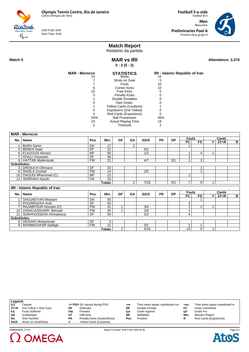SUN 11 SEP 2016 Start Time: 9:00

2 OMEGA

Futebol de 5 **Men** Masculino **Preliminaries Pool A** Primeira fase, grupo A

**Football 5-a-side**



## **Match Report**

Relatório da partida

Rio2016  $\overline{\mathbb{Q}}$ 

> **MAR vs IRI 0 : 2 (0 : 2)**

**MAR vs IRI Attendance: 2,374 MAR vs IRI** 

| <b>MAR - Morocco</b> | <b>STATISTICS</b>          | IRI - Islamic Republic of Iran |
|----------------------|----------------------------|--------------------------------|
| 15                   | <b>Shots</b>               | 16                             |
|                      | Shots on Goal              | 5                              |
|                      | Fouls                      | 10                             |
| 6                    | Corner Kicks               | 10                             |
| 10                   | <b>Free Kicks</b>          | 5                              |
|                      | <b>Penalty Kicks</b>       |                                |
|                      | Double Penalties           |                                |
|                      | Own Goals:                 |                                |
|                      | Yellow Cards (Cautions)    |                                |
|                      | Expulsions (2nd Yellow)    |                                |
|                      | Red Cards (Expulsions)     |                                |
| 54%                  | <b>Ball Possession</b>     | 46%                            |
| 23                   | <b>Actual Playing Time</b> | 19                             |
|                      | Timeouts                   | 2                              |
|                      |                            |                                |

|                     | <b>MAR - Morocco</b>                  |           |                 |                |    |      |           |           |                |                |       |        |                         |
|---------------------|---------------------------------------|-----------|-----------------|----------------|----|------|-----------|-----------|----------------|----------------|-------|--------|-------------------------|
|                     |                                       | Pos.      | Min.            | <b>GF</b>      | GA | SG/S | <b>PK</b> | <b>DP</b> | <b>Fouls</b>   |                |       | Cards  |                         |
| No.                 | Name                                  |           |                 |                |    |      |           |           | FC             | <b>FS</b>      | Y     | $2Y=R$ | $\mathsf{R}$            |
|                     | <b>BARA Samir</b>                     | GK        | 17              |                | 2  |      |           |           |                |                |       |        |                         |
| 4                   | <b>BERKA Imad</b>                     | DF        | 21              |                |    | 0/1  |           |           |                |                |       |        |                         |
| 6                   | ELAZOUZI Ahmed                        | <b>MF</b> | 50              |                |    | 1/2  |           |           | 1              | 4              |       |        |                         |
|                     | <b>GHILLI Houssam</b>                 | DF        | 46              |                |    |      |           |           | 3              |                |       |        |                         |
|                     | 9   HATTAB Abderrazak                 | <b>FW</b> | $\overline{21}$ |                |    | 4/7  |           | 0/1       | $\overline{ }$ | $\overline{3}$ |       |        |                         |
| <b>Substitutes:</b> |                                       |           |                 |                |    |      |           |           |                |                |       |        |                         |
|                     | 3   DRIOUCH Othmane                   | DF        | 33              |                |    |      |           |           |                |                |       |        |                         |
|                     | 8   SNISLA Zouhair                    | <b>FW</b> | 14              |                |    | 2/5  |           |           |                |                |       |        |                         |
|                     | 10   DAOUDI Mhammed (C)               | <b>MF</b> | 15              |                |    |      |           |           | 1              |                |       |        |                         |
|                     | 12   SERRAKH Ayoub                    | GK        | $\overline{33}$ |                |    |      |           |           |                |                |       |        |                         |
|                     |                                       |           | <b>Totals</b>   |                | 2  | 7/15 |           | 0/1       | 7              | 9              | 1     |        |                         |
|                     | <b>IRI - Islamic Republic of Iran</b> |           |                 |                |    |      |           |           |                |                |       |        |                         |
| No.                 | Name                                  | Pos.      | Min.            | <b>GF</b>      | GA | SG/S | <b>PK</b> | <b>DP</b> | <b>Fouls</b>   |                | Cards |        |                         |
|                     |                                       |           |                 |                |    |      |           |           | FC             | <b>FS</b>      | ΥI    | $2Y=R$ | $\overline{\mathsf{R}}$ |
|                     | SHOJAEIYAN Meysam                     | GK        | 50              |                |    |      |           |           |                |                |       |        |                         |
| 2                   | POURRAZAVI Amir                       | DF        | 50              |                |    |      |           |           | 3              |                |       |        |                         |
|                     | RAJABPOUR Hossein (C)                 | <b>FW</b> | 41              | 1              |    | 3/4  |           |           | 1              | 2              | 1     |        |                         |
|                     | 10   ZADALIASGHARI Behzad             | <b>FW</b> | 35              |                |    | 2/9  |           |           | 1              |                |       |        |                         |
|                     | 11   SHAHHOSSEINI Ahmadreza           | DF        | 50              |                |    | 0/2  |           |           | 4              |                |       |        |                         |
| <b>Substitutes:</b> |                                       |           |                 |                |    |      |           |           |                |                |       |        |                         |
|                     | 8   HEIDARI Mohammad                  | DF        | 3               |                |    |      |           |           |                |                |       |        |                         |
|                     | 9   RAHIMIGHASR Sadegh                | <b>FW</b> | 21              |                |    | 0/1  |           |           | 1              | 1              |       |        |                         |
|                     |                                       |           | Totals          | $\overline{2}$ |    | 5/16 |           |           | 10             | 5              | 1     |        |                         |

| Legend: |                       |    |                                |      |                                  |      |                                 |
|---------|-----------------------|----|--------------------------------|------|----------------------------------|------|---------------------------------|
| (C)     | Captain               |    | -/+ PSO GK injured during PSO  | -nn  | Time when player substituted out | +nn  | Time when player substituted in |
| $2Y=R$  | 2nd Yellow = Red Card | DF | Defender                       | DP   | Double Penalty                   | FC   | <b>Fouls Committed</b>          |
| FS      | <b>Fouls Suffered</b> | FW | Forward                        | GΑ   | <b>Goals Against</b>             | GF   | Goals For                       |
| GK      | Goalkeeper            | HТ | Half-time                      | МF   | Midfielder                       | Min. | Minutes Played                  |
| No.     | <b>Shirt Number</b>   | PΚ | Penalty Kicks (Goals/Shots)    | Pos. | Position                         |      | Red Cards (Expulsions)          |
| SG/S    | Shots on Goal/Shots   |    | <b>Yellow Cards (Cautions)</b> |      |                                  |      |                                 |



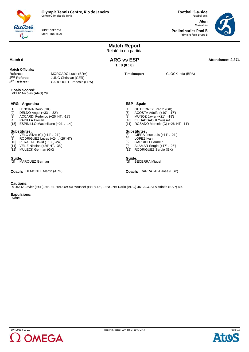

Rio 2016

SUN 11 SEP 2016 Start Time: 11:00

**Football 5-a-side** Futebol de 5 **Men** Masculino **Preliminaries Pool B**

Primeira fase, grupo B



|                                                                                                                                                                                                                 |                                                                                                          | <b>Match Report</b><br>Relatório da partida                                                                                                             |                             |                  |                   |  |  |
|-----------------------------------------------------------------------------------------------------------------------------------------------------------------------------------------------------------------|----------------------------------------------------------------------------------------------------------|---------------------------------------------------------------------------------------------------------------------------------------------------------|-----------------------------|------------------|-------------------|--|--|
| Match <sub>6</sub>                                                                                                                                                                                              |                                                                                                          | <b>ARG vs ESP</b><br>1:0(0:0)                                                                                                                           |                             |                  | Attendance: 2.374 |  |  |
| <b>Match Officials:</b><br>Referee:<br>2 <sup>nd</sup> Referee:<br>3rd Referee:                                                                                                                                 | MORGADO Lucio (BRA)<br><b>JUNG Christian (GER)</b><br><b>CARCOUET Francois (FRA)</b>                     | Timekeeper:                                                                                                                                             |                             | GLOCK leda (BRA) |                   |  |  |
| <b>Goals Scored:</b><br>VELIZ Nicolas (ARG) 29'                                                                                                                                                                 |                                                                                                          |                                                                                                                                                         |                             |                  |                   |  |  |
| <b>ARG - Argentina</b><br>LENCINA Dario (GK)<br>$[1]$<br>$[2]$<br>DELDO Angel (+33', -32')<br>ACCARDI Federico (+26' HT, -18')<br>$[3]$<br>PADILLA Froilan<br>[4]<br>ESPINILLO Maximiliano (+21', -14')<br>[15] | <b>ESP - Spain</b><br>[1]<br>[6]<br>[8]                                                                  | GUTIERREZ Pedro (GK)<br>ACOSTA Adolfo (+19', -17')<br>MUNOZ Javier (+21', -19')<br>[10] EL HADDAOUI Youssef<br>[11] ROSADO Marcelo (C) (+26' HT, -11')  |                             |                  |                   |  |  |
| <b>Substitutes:</b><br>VELO Silvio (C) (+14', -21')<br>$[5]$<br>RODRIGUEZ Lucas (+24', -26' HT)<br>[8]<br>[10] PERALTA David (+18', -24')<br>[11] VELIZ Nicolas (+26' HT, -38')<br>[12] MULECK German (GK)      | $\lceil 3 \rceil$<br>[4]<br>[5]<br>[9]                                                                   | <b>Substitutes:</b><br>GIERA Jose Luis (+11', -21')<br>LOPEZ Ivan<br><b>GARRIDO Carmelo</b><br>ALAMAR Sergio (+17', -25')<br>[12] RODRIGUEZ Sergio (GK) |                             |                  |                   |  |  |
| Guide:<br>MARQUEZ German<br>[G]                                                                                                                                                                                 |                                                                                                          | Guide:                                                                                                                                                  | [G] BECERRA Miquel          |                  |                   |  |  |
| Coach: DEMONTE Martin (ARG)                                                                                                                                                                                     |                                                                                                          |                                                                                                                                                         | Coach: CARRATALA Jose (ESP) |                  |                   |  |  |
| <b>Cautions:</b>                                                                                                                                                                                                | MUNOZ Javier (ESP) 35', EL HADDAOUI Youssef (ESP) 45', LENCINA Dario (ARG) 46', ACOSTA Adolfo (ESP) 49'. |                                                                                                                                                         |                             |                  |                   |  |  |

**Expulsions:** None.



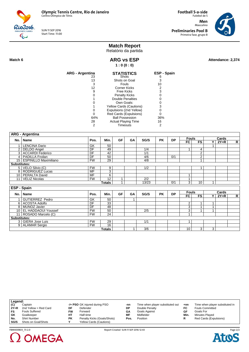SUN 11 SEP 2016 Start Time: 11:00

**Football 5-a-side** Futebol de 5 **Men** Masculino **Preliminaries Pool B** Primeira fase, grupo B



# **Match Report**

Relatório da partida

Rio2016  $\overline{\mathbb{Q}}$ 

Match 6 **ARG vs ESP ARG 100 ARG 100 Attendance: 2,374 ARG vs ESP 1 : 0 (0 : 0)**

| ARG - Argentina<br>23 | <b>STATISTICS</b><br>Shots | ESP - Spain<br>ჩ |
|-----------------------|----------------------------|------------------|
| 13                    | Shots on Goal              | 3                |
| 3                     | Fouls                      | 10               |
| 12                    | Corner Kicks               | 2                |
| 9                     | Free Kicks                 | 3                |
| O                     | <b>Penalty Kicks</b>       |                  |
|                       | Double Penalties           |                  |
| O                     | Own Goals:                 |                  |
|                       | Yellow Cards (Cautions)    | 3                |
| O                     | Expulsions (2nd Yellow)    |                  |
| 0                     | Red Cards (Expulsions)     |                  |
| 64%                   | <b>Ball Possession</b>     | 36%              |
| 28                    | <b>Actual Playing Time</b> | 16               |
| 2                     | Timeouts                   | 2                |

|                     | <b>ARG - Argentina</b>     |                 |                 |           |    |       |           |           |                |                 |       |        |                |
|---------------------|----------------------------|-----------------|-----------------|-----------|----|-------|-----------|-----------|----------------|-----------------|-------|--------|----------------|
|                     | No.   Name                 | Pos.            | Min.            | <b>GF</b> | GA | SG/S  | <b>PK</b> | <b>DP</b> | <b>Fouls</b>   |                 |       | Cards  |                |
|                     |                            |                 |                 |           |    |       |           |           | <b>FC</b>      | <b>FS</b>       | Y     | $2Y=R$ | $\mathsf{R}$   |
|                     | <b>LENCINA Dario</b>       | GK              | 50              |           |    |       |           |           |                |                 |       |        |                |
| 2 <sup>1</sup>      | <b>DELDO</b> Angel         | $\overline{DF}$ | 49              |           |    | 1/4   |           |           | 1              | $\overline{4}$  |       |        |                |
|                     | 3 ACCARDI Federico         | DF              | 42              |           |    | 1/1   |           |           |                | $\overline{2}$  |       |        |                |
|                     | 4   PADILLA Froilan        | $\overline{DF}$ | 50              |           |    | 4/6   |           | 0/1       |                | $\overline{2}$  |       |        |                |
|                     | 15   ESPINILLO Maximiliano | <b>FW</b>       | $\overline{29}$ |           |    | 4/8   |           |           |                |                 |       |        |                |
| <b>Substitutes:</b> |                            |                 |                 |           |    |       |           |           |                |                 |       |        |                |
|                     | 5   VELO Silvio (C)        | <b>FW</b>       | 9               |           |    | 1/2   |           |           |                |                 |       |        |                |
|                     | 8   RODRIGUEZ Lucas        | MF              | $\overline{3}$  |           |    |       |           |           |                |                 |       |        |                |
|                     | 10   PERALTA David         | <b>MF</b>       | 6               |           |    |       |           |           | 1              |                 |       |        |                |
| 11 <sup>1</sup>     | <b>VELIZ Nicolas</b>       | <b>FW</b>       | $\overline{12}$ | 1         |    | 2/2   |           |           | 1              |                 |       |        |                |
|                     |                            |                 | <b>Totals</b>   | 1         |    | 13/23 |           | 0/1       | 3              | 10 <sup>1</sup> | 1     |        |                |
|                     | <b>ESP - Spain</b>         |                 |                 |           |    |       |           |           |                |                 |       |        |                |
|                     | No.   Name                 | Pos.            | Min.            | GF        | GA | SG/S  | <b>PK</b> | <b>DP</b> | <b>Fouls</b>   |                 | Cards |        |                |
|                     |                            |                 |                 |           |    |       |           |           | FC             | FS              | ΥI    | $2Y=R$ | $\overline{R}$ |
|                     | <b>GUTIERREZ Pedro</b>     | GK              | 50              |           | 1  |       |           |           |                |                 |       |        |                |
|                     | 6 ACOSTA Adolfo            | $\overline{DF}$ | $\overline{33}$ |           |    |       |           |           | 2              |                 | 1     |        |                |
|                     | 8 MUNOZ Javier             | DF              | 48              |           |    |       |           |           | $\overline{3}$ | $\overline{A}$  | 1     |        |                |
|                     | 10   EL HADDAOUI Youssef   | <b>FW</b>       | 50              |           |    | 2/5   |           |           | 3              |                 | 1     |        |                |
|                     | 11   ROSADO Marcelo (C)    | <b>FW</b>       | 24              |           |    |       |           |           | 1              |                 |       |        |                |
| <b>Substitutes:</b> |                            |                 |                 |           |    |       |           |           |                |                 |       |        |                |
|                     | 3   GIERA Jose Luis        | <b>FW</b>       | 29              |           |    | 1/1   |           |           | 1              |                 |       |        |                |
|                     | 9   ALAMAR Sergio          | <b>FW</b>       | 16              |           |    |       |           |           |                |                 |       |        |                |
|                     |                            |                 | Totals          |           |    | 3/6   |           |           | 10             | $\overline{3}$  | 3     |        |                |

| Legend: |                       |    |                                |      |                                  |       |                                 |
|---------|-----------------------|----|--------------------------------|------|----------------------------------|-------|---------------------------------|
| (C)     | Captain               |    | -/+ PSO GK injured during PSO  | -nn  | Time when player substituted out | $+nn$ | Time when player substituted in |
| $2Y=R$  | 2nd Yellow = Red Card | DF | Defender                       | DP   | Double Penalty                   | FC    | <b>Fouls Committed</b>          |
| FS      | <b>Fouls Suffered</b> | FW | Forward                        | GΑ   | <b>Goals Against</b>             | GF    | Goals For                       |
| GK      | Goalkeeper            | HТ | Half-time                      | МF   | Midfielder                       | Min.  | Minutes Played                  |
| No.     | <b>Shirt Number</b>   | РK | Penalty Kicks (Goals/Shots)    | Pos. | Position                         | R     | Red Cards (Expulsions)          |
| SG/S    | Shots on Goal/Shots   |    | <b>Yellow Cards (Cautions)</b> |      |                                  |       |                                 |



FBM400B03\_73 2.0 Report Created SUN 11 SEP 2016 12:43

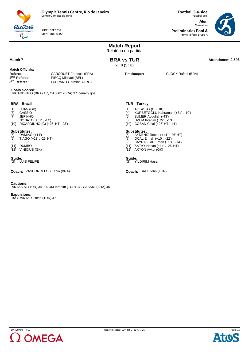

SUN 11 SEP 2016 Start Time: 16:00

Rio2016

**Football 5-a-side** Futebol de 5 **Men** Masculino **Preliminaries Pool A** Primeira fase, grupo A



|                                                                                                                                                                         |                                                                | <b>Match Report</b><br>Relatório da partida                                                                                                                                                           |                                  |  |  |  |  |  |
|-------------------------------------------------------------------------------------------------------------------------------------------------------------------------|----------------------------------------------------------------|-------------------------------------------------------------------------------------------------------------------------------------------------------------------------------------------------------|----------------------------------|--|--|--|--|--|
| Match 7                                                                                                                                                                 |                                                                | <b>BRA vs TUR</b><br>2:0(1:0)                                                                                                                                                                         |                                  |  |  |  |  |  |
| <b>Match Officials:</b><br>Referee:<br>CARCOUET Francois (FRA)<br>2 <sup>nd</sup> Referee:<br>PIECQ Michael (BEL)<br>3 <sup>rd</sup> Referee:<br>LUBRANO Germinal (ARG) |                                                                | Timekeeper:                                                                                                                                                                                           | <b>GLOCK Rafael (BRA)</b>        |  |  |  |  |  |
| <b>Goals Scored:</b>                                                                                                                                                    | RICARDINHO (BRA) 13', CASSIO (BRA) 37' penalty goal            |                                                                                                                                                                                                       |                                  |  |  |  |  |  |
| <b>BRA - Brazil</b><br>LUAN (GK)<br>$[1]$<br>$[3]$<br>CASSIO<br>$[7]$<br>JEFINHO<br>[8]<br>NONATO (+37', -14')<br>$[10]$ RICARDINHO (C) $(+26'$ HT, $-23'$ )            |                                                                | <b>TUR - Turkey</b><br>AKTAS Ali (C) (GK)<br>$[1]$<br>[4]<br>SUMER Abdullah (-43')<br>[6]<br>UZUM Ibrahim (+22', -13')<br>[8]<br>[10] COBAN Celal (+26' HT, -14')                                     | KURBETOGLU Kahraman (+31', -10') |  |  |  |  |  |
| <b>Substitutes:</b><br>$[5]$<br>DAMIAO (+14')<br>$[6]$ TIAGO $(+23', -26'$ HT)<br>[9] FELIPE<br>[11] DUMBO<br>[12] VINICIUS (GK)                                        |                                                                | <b>Substitutes:</b><br>AYDENIZ Recep (+14', -26' HT)<br>$[5]$<br>OCAL Emrah (+10', -22')<br>$[7]$<br>BAYRAKTAR Ercan (+13', -14')<br>[9]<br>[11] SATAY Hasan (+14', -26' HT)<br>[12] AKYON Aykut (GK) |                                  |  |  |  |  |  |
| Guide:<br>[G] LUIS FELIPE                                                                                                                                               |                                                                | Guide:<br>[G] YILDIRIM Hasan                                                                                                                                                                          |                                  |  |  |  |  |  |
| Coach: VASCONCELOS Fabio (BRA)                                                                                                                                          |                                                                | Coach: BALL John (TUR)                                                                                                                                                                                |                                  |  |  |  |  |  |
| <b>Cautions:</b>                                                                                                                                                        | AKTAS Ali (TUR) 34', UZUM Ibrahim (TUR) 37', CASSIO (BRA) 46'. |                                                                                                                                                                                                       |                                  |  |  |  |  |  |

**Expulsions:** BAYRAKTAR Ercan (TUR) 47'.



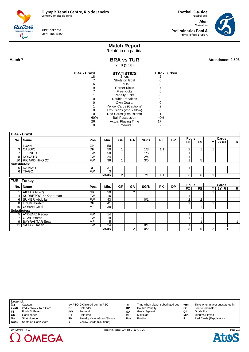Rio2016

SUN 11 SEP 2016 Start Time: 16:00

**Football 5-a-side** Futebol de 5 **Men** Masculino **Preliminaries Pool A** Primeira fase, grupo A



# **Match Report**

Relatório da partida

 $\overline{\mathbb{Q}}$ 

**BRA vs TUR 2 : 0 (1 : 0)**

**Match 7 Attendance: 2,596 BRA vs TUR Attendance: 2,596** 

| BRA - Brazil | <b>STATISTICS</b><br>Shots | <b>TUR - Turkey</b> |
|--------------|----------------------------|---------------------|
| 18           |                            |                     |
|              | Shots on Goal              |                     |
| 6            | Fouls                      | 8                   |
| 9            | <b>Corner Kicks</b>        |                     |
|              | Free Kicks                 |                     |
|              | <b>Penalty Kicks</b>       |                     |
|              | Double Penalties           |                     |
|              | Own Goals:                 |                     |
|              | Yellow Cards (Cautions)    | 2                   |
|              | Expulsions (2nd Yellow)    |                     |
|              | Red Cards (Expulsions)     |                     |
| 60%          | <b>Ball Possession</b>     | 40%                 |
| 26           | <b>Actual Playing Time</b> | 17                  |
|              | Timeouts                   |                     |

|                      | <b>BRA - Brazil</b>                          |                 |                 |                |                |      |           |           |                |                 |                         |        |                |
|----------------------|----------------------------------------------|-----------------|-----------------|----------------|----------------|------|-----------|-----------|----------------|-----------------|-------------------------|--------|----------------|
| No.                  | <b>Name</b>                                  | Pos.            | Min.            | <b>GF</b>      | GA             | SG/S | <b>PK</b> | <b>DP</b> | <b>Fouls</b>   |                 |                         | Cards  |                |
|                      |                                              |                 |                 |                |                |      |           |           | <b>FC</b>      | <b>FS</b>       | Y I                     | $2Y=R$ | $\mathsf{R}$   |
|                      | <b>LUAN</b>                                  | GK              | 50              |                |                |      |           |           |                |                 |                         |        |                |
| 3                    | CASSIO                                       | DF              | 50              | 1              |                | 1/3  | 1/1       |           | 2              | 1               | 1                       |        |                |
| 7                    | <b>JEFINHO</b>                               | FW              | 50              |                |                | 1/6  |           |           | 1              |                 |                         |        |                |
| 8 I                  | <b>NONATO</b>                                | <b>FW</b>       | 24              |                |                | 2/4  |           |           | 1              |                 |                         |        |                |
|                      | 10 RICARDINHO (C)                            | <b>FW</b>       | $\overline{36}$ | $\overline{ }$ |                | 3/5  |           |           | 4              | $5\overline{)}$ |                         |        |                |
| <b>Substitutes:</b>  |                                              |                 |                 |                |                |      |           |           |                |                 |                         |        |                |
|                      | 5 DAMIAO                                     | DF              | 37              |                |                |      |           |           | 1              |                 |                         |        |                |
|                      | 6 TIAGO                                      | <b>FW</b>       | 3               |                |                |      |           |           |                |                 |                         |        |                |
|                      |                                              |                 | <b>Totals</b>   | 2              |                | 7/18 | 1/1       |           | 6              | 6               | 1                       |        |                |
|                      | <b>TUR - Turkey</b>                          |                 |                 |                |                |      |           |           |                |                 |                         |        |                |
|                      |                                              |                 |                 |                |                |      |           |           | <b>Fouls</b>   |                 |                         | Cards  |                |
| No.                  | <b>Name</b>                                  | Pos.            | Min.            | <b>GF</b>      | GA             | SG/S | <b>PK</b> | <b>DP</b> | FC             | FS              | $\overline{\mathbf{Y}}$ | $2Y=R$ | $\overline{R}$ |
|                      | AKTAS Ali (C)                                | GK              | 50              |                | $\overline{2}$ |      |           |           |                |                 |                         |        |                |
| $\overline{4}$       | <b>KURBETOGLU Kahraman</b>                   | FW              | 16              |                |                |      |           |           | 1              |                 |                         |        |                |
| 6                    | <b>SUMER Abdullah</b>                        | <b>FW</b>       | 43              |                |                | 0/1  |           |           | 2              | 2               |                         |        |                |
| 8                    | <b>UZUM Ibrahim</b>                          | DF              | 41              |                |                |      |           |           | $\overline{2}$ |                 | 1                       |        |                |
| 10 <sup>1</sup>      | <b>COBAN Celal</b>                           | MF              | 38              |                |                |      |           |           |                | 1               |                         |        |                |
| <b>Substitutes:</b>  |                                              |                 |                 |                |                |      |           |           |                |                 |                         |        |                |
|                      | 5   AYDENIZ Recep                            | <b>FW</b>       | 14              |                |                |      |           |           | 1              |                 |                         |        |                |
|                      |                                              |                 |                 |                |                |      |           |           |                |                 |                         |        |                |
|                      |                                              |                 |                 |                |                |      |           |           | $\overline{A}$ | 4               |                         |        |                |
|                      | <b>OCAL</b> Emrah                            | <b>FW</b>       | 19              |                |                |      |           |           |                |                 |                         |        | $\mathbf{1}$   |
| 9 <sup>1</sup><br>11 | <b>BAYRAKTAR Ercan</b><br><b>SATAY Hasan</b> | MF<br><b>FW</b> | 5<br>24         |                |                | 0/1  |           |           | 1              |                 |                         |        |                |

| Legend: |                       |         |                                |      |                                  |      |                                 |
|---------|-----------------------|---------|--------------------------------|------|----------------------------------|------|---------------------------------|
| (C)     | Captain               |         | -/+ PSO GK injured during PSO  | -nn  | Time when player substituted out | +nn  | Time when player substituted in |
| $2Y=R$  | 2nd Yellow = Red Card | DF      | Defender                       | DP   | Double Penalty                   | FC   | <b>Fouls Committed</b>          |
| FS      | <b>Fouls Suffered</b> | FW      | Forward                        | GΑ   | Goals Against                    | GF   | Goals For                       |
| GK      | Goalkeeper            | HТ      | Half-time                      | МF   | Midfielder                       | Min. | Minutes Played                  |
| No.     | <b>Shirt Number</b>   | РK      | Penalty Kicks (Goals/Shots)    | Pos. | Position                         |      | Red Cards (Expulsions)          |
| SG/S    | Shots on Goal/Shots   | $\cdot$ | <b>Yellow Cards (Cautions)</b> |      |                                  |      |                                 |



 $\Omega$  OMEGA

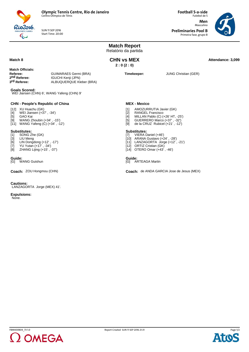

SUN 11 SEP 2016 Start Time: 20:00 Futebol de 5 **Men** Masculino

**Preliminaries Pool B** Primeira fase, grupo B

**Football 5-a-side**



**Match Report** Relatório da partida **Match 8 Attendance: 3,099 CHN vs MEX Attendance: 3,099 CHN vs MEX 2 : 0 (2 : 0) Match Officials: Referee:** GUIMARAES Germi (BRA)<br> **2<sup>nd</sup> Referee:** GUCHI Kenii (JPN) 2nd Referee: **IGUCHI Kenji (JPN)**<br>3<sup>rd</sup> Referee: ALBUQUERQUE KI **3rd Referee:** ALBUQUERQUE Kleber (BRA) **Timekeeper:** JUNG Christian (GER) **Goals Scored:** WEI Jiansen (CHN) 6', WANG Yafeng (CHN) 9' **CHN - People's Republic of China** [12] XU Huachu (GK) [4] WEI Jiansen (+37' , -34')<br>[5] GAO Kai GAO Kai [9] WANG Zhoubin (+34' , -15') [11] WANG Yafeng (C) (+34' , -12') **Substitutes:**<br>[1] SONG Z [1] SONG Zhe (GK)<br>[3] LIU Meng<br>[6] LIN Dongdong (4 LIU Meng LIN Dongdong (+12', -17') [7] YU Yutan (+17' , -34') [8] ZHANG Lijing (+15' , -37') **MEX - Mexico** [1] AMOZURRUTIA Javier (GK)<br>[2] RANGEL Francisco<br>[4] MILLAN Pablo (C) (+26' HT, RANGEL Francisco [4] MILLAN Pablo (C) (+26' HT, -25') [5] GUERRERO Marco (+37' , -32') [9] de la CRUZ Rubicel (+21' , -12') **Substitutes:**<br>[7] **VIERA D** VIERA Daniel (+46') [10] ARANA Gustavo (+24' , -28') [11] LANZAGORTA Jorge (+12' , -21') [12] ORTIZ Cristian (GK) [14] OTERO Omar (+43' , -46') **Guide:**<br>[G] WANG Guishun Guide:<br>[G] ARTEAGA Martin **Coach:** ZOU Hongmou (CHN) **COACH: Coach: Coach:** de ANDA GARCIA Jose de Jesus (MEX) **Cautions:** LANZAGORTA Jorge (MEX) 41'. **Expulsions:** None.



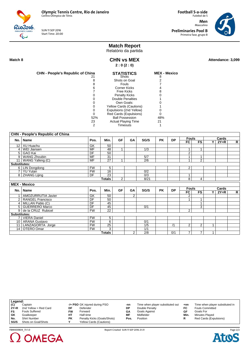SUN 11 SEP 2016 Start Time: 20:00

**Football 5-a-side** Futebol de 5 **Men** Masculino **Preliminaries Pool B** Primeira fase, grupo B



# **Match Report**

Relatório da partida

Rio2016.  $\overline{\mathbb{Q}}$ 

#### Match 8 **Attendance: 3,099 CHN vs MEX Attendance: 3,099 CHN vs MEX 2 : 0 (2 : 0)**

| <b>CHN - People's Republic of China</b> | <b>STATISTICS</b>              | <b>MEX - Mexico</b> |
|-----------------------------------------|--------------------------------|---------------------|
| 21                                      | <b>Shots</b>                   | 8                   |
|                                         | Shots on Goal                  |                     |
|                                         | <b>Fouls</b>                   |                     |
| 6                                       | <b>Corner Kicks</b>            |                     |
|                                         | Free Kicks                     |                     |
|                                         | <b>Penalty Kicks</b>           |                     |
|                                         | Double Penalties               |                     |
|                                         | Own Goals:                     |                     |
|                                         | <b>Yellow Cards (Cautions)</b> |                     |
|                                         | Expulsions (2nd Yellow)        |                     |
|                                         | Red Cards (Expulsions)         |                     |
| 52%                                     | <b>Ball Possession</b>         | 48%                 |
| 23                                      | <b>Actual Playing Time</b>     | 21                  |
| 2                                       | Timeouts                       |                     |

|                     | <b>CHN - People's Republic of China</b> |                          |                 |           |                |                  |           |           |                |                |              |        |              |
|---------------------|-----------------------------------------|--------------------------|-----------------|-----------|----------------|------------------|-----------|-----------|----------------|----------------|--------------|--------|--------------|
|                     | No.   Name                              | Pos.                     | Min.            | <b>GF</b> | GA             | SG/S             | <b>PK</b> | <b>DP</b> | <b>Fouls</b>   |                |              | Cards  |              |
|                     |                                         |                          |                 |           |                |                  |           |           | FC             | <b>FS</b>      | ΥI           | $2Y=R$ | $\mathsf{R}$ |
|                     | 12 XU Huachu                            | GK                       | 50              |           |                |                  |           |           |                |                |              |        |              |
|                     | 4   WEI Jiansen                         | $\overline{\mathsf{MF}}$ | $\overline{48}$ | 1         |                | 1/3              |           |           | 1              | 1              |              |        |              |
|                     | 5 GAO Kai                               | DF                       | 50              |           |                |                  |           |           | $\overline{2}$ |                |              |        |              |
|                     | 9 WANG Zhoubin                          | MF                       | $\overline{31}$ |           |                | 5/7              |           |           | $\mathbf{1}$   | 1              |              |        |              |
|                     | 11   WANG Yafeng (C)                    | MF                       | $\overline{27}$ | 1         |                | 2/6              |           |           | $\mathbf{1}$   | $\overline{2}$ |              |        |              |
| <b>Substitutes:</b> |                                         |                          |                 |           |                |                  |           |           |                |                |              |        |              |
|                     | 6   LIN Dongdong                        | <b>FW</b>                | 5               |           |                |                  |           |           | $\overline{2}$ |                |              |        |              |
|                     | 7 YU Yutan                              | <b>FW</b>                | 16              |           |                | 0/2              |           |           |                |                |              |        |              |
|                     | 8 ZHANG Lijing                          | DF                       | 23              |           |                | 0/3              |           |           | 1              |                |              |        |              |
|                     |                                         |                          | Totals          | 2         |                | 8/21             |           |           | 8              | 4              |              |        |              |
|                     | <b>MEX - Mexico</b>                     |                          |                 |           |                |                  |           |           |                |                |              |        |              |
|                     | No.   Name                              | Pos.                     | Min.            | <b>GF</b> | GA             | SG/S             | <b>PK</b> | <b>DP</b> | <b>Fouls</b>   |                |              | Cards  |              |
|                     |                                         |                          |                 |           |                |                  |           |           | FC             | <b>FS</b>      | ΥI           | $2Y=R$ | R            |
| 1                   | AMOZURRUTIA Javier                      | GK                       | 50              |           | $\overline{2}$ |                  |           |           | $\overline{2}$ |                |              |        |              |
|                     | 2   RANGEL Francisco                    | DF                       | 50              |           |                |                  |           |           | 1              |                |              |        |              |
|                     | 4 MILLAN Pablo (C)                      | DF                       | $\overline{45}$ |           |                |                  |           |           |                | 1              |              |        |              |
|                     | 5   GUERRERO Marco                      | DF                       | 45              |           |                | 0/1              |           |           |                | 3              |              |        |              |
|                     | 9 de la CRUZ Rubicel                    | <b>FW</b>                | 22              |           |                |                  |           |           | $\overline{2}$ |                |              |        |              |
| Substitutes:        |                                         |                          |                 |           |                |                  |           |           |                |                |              |        |              |
| 7 <sup>1</sup>      | <b>VIERA Daniel</b>                     | <b>FW</b>                | 5               |           |                |                  |           |           |                |                |              |        |              |
|                     | 10   ARANA Gustavo                      | <b>FW</b>                | 6               |           |                | 0/1              |           |           |                |                |              |        |              |
| 11 <sup>1</sup>     | LANZAGORTA Jorge                        | <b>FW</b>                | $\overline{25}$ |           |                | 1/5              |           | /1        | $\overline{2}$ | 2              | 1            |        |              |
|                     | 14 OTERO Omar                           | <b>FW</b>                | 3               |           |                | 1/1              |           |           |                |                |              |        |              |
|                     |                                         |                          | <b>Totals</b>   |           | $\overline{2}$ | $\overline{2/8}$ |           | 0/1       | $\overline{7}$ | $\overline{7}$ | $\mathbf{1}$ |        |              |

| Legend: |                       |           |                               |      |                                  |       |                                 |
|---------|-----------------------|-----------|-------------------------------|------|----------------------------------|-------|---------------------------------|
| (C)     | Captain               |           | -/+ PSO GK injured during PSO | -nn  | Time when player substituted out | $+nn$ | Time when player substituted in |
| $2Y=R$  | 2nd Yellow = Red Card | DF        | Defender                      | DP   | Double Penalty                   | FC    | <b>Fouls Committed</b>          |
| FS      | <b>Fouls Suffered</b> | FW        | Forward                       | GΑ   | Goals Against                    | GF    | Goals For                       |
| GK      | Goalkeeper            | HТ        | Half-time                     | МF   | Midfielder                       | Min.  | Minutes Played                  |
| No.     | <b>Shirt Number</b>   | <b>PK</b> | Penalty Kicks (Goals/Shots)   | Pos. | Position                         |       | Red Cards (Expulsions)          |
| SG/S    | Shots on Goal/Shots   |           | Yellow Cards (Cautions)       |      |                                  |       |                                 |



FBM400B04\_73 1.0 Report Created SUN 11 SEP 2016 21:31

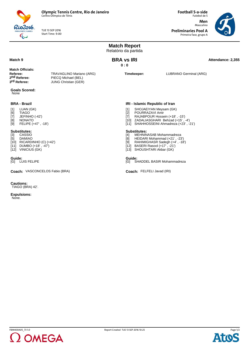

TUE 13 SEP 2016 Start Time: 9:00

Rio2016  $\overline{\mathbb{Q}}$ 

**Football 5-a-side** Futebol de 5 **Men** Masculino

**Preliminaries Pool A** Primeira fase, grupo A



|                                                                                                                                                     |                                                                                | <b>Match Report</b><br>Relatório da partida                                                                                                                      |                                                                            |                   |
|-----------------------------------------------------------------------------------------------------------------------------------------------------|--------------------------------------------------------------------------------|------------------------------------------------------------------------------------------------------------------------------------------------------------------|----------------------------------------------------------------------------|-------------------|
| Match 9                                                                                                                                             |                                                                                | <b>BRA vs IRI</b><br>0:0                                                                                                                                         |                                                                            | Attendance: 2,355 |
| Match Officials:<br>Referee:<br>2 <sup>nd</sup> Referee:<br>3 <sup>rd</sup> Referee:                                                                | TRAVAGLINO Mariano (ARG)<br>PIECQ Michael (BEL)<br><b>JUNG Christian (GER)</b> | Timekeeper:                                                                                                                                                      | LUBRANO Germinal (ARG)                                                     |                   |
| <b>Goals Scored:</b><br>None                                                                                                                        |                                                                                |                                                                                                                                                                  |                                                                            |                   |
| <b>BRA - Brazil</b><br>LUAN (GK)<br>$[1]$<br>[6]<br>TIAGO<br>$[7]$<br>JEFINHO (-42')<br>NONATO<br>[8]<br>FELIPE (+47', -18')<br>[9]                 |                                                                                | IRI - Islamic Republic of Iran<br>SHOJAEIYAN Meysam (GK)<br>$[1]$<br>POURRAZAVI Amir<br>$[2]$<br>[7]<br>[10] ZADALIASGHARI Behzad (+15', -4')                    | RAJABPOUR Hossein (+18', -15')<br>[11] SHAHHOSSEINI Ahmadreza (+23', -21') |                   |
| <b>Substitutes:</b><br>$[3]$<br>CASSIO<br>DAMIAO<br>$[5]$<br>$[10]$ RICARDINHO (C) $(+42')$<br>$[11]$ DUMBO $(+18'$ , $-47')$<br>[12] VINICIUS (GK) |                                                                                | Substitutes:<br>MEHNINASAB Mohammadreza<br>$[4]$<br>[8]<br>HEIDARI Mohammad (+21', -23')<br>[9]<br>[12] BASERI Rasool (+17', -21')<br>[13] SHOUSHTARI Akbar (GK) | RAHIMIGHASR Sadegh (+4', -18')                                             |                   |
| Guide:<br>[G] LUIS FELIPE                                                                                                                           |                                                                                | Guide:<br>SHADDEL BASIR Mohammadreza<br>[G]                                                                                                                      |                                                                            |                   |
| Coach: VASCONCELOS Fabio (BRA)                                                                                                                      |                                                                                | Coach: FELFELI Javad (IRI)                                                                                                                                       |                                                                            |                   |

**Cautions:** TIAGO (BRA) 42'.

**Expulsions:** None.



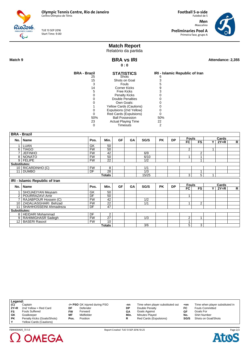

TUE 13 SEP 2016 Start Time: 9:00

**Football 5-a-side** Futebol de 5 **Men** Masculino **Preliminaries Pool A** Primeira fase, grupo A



# **Match Report**

Relatório da partida **BRA vs IRI**

**0 : 0**

**Match 9 Attendance: 2,355 BRA vs IRI Attendance: 2,355** 

| <b>BRA - Brazil</b> | <b>STATISTICS</b>          | IRI - Islamic Republic of Iran |
|---------------------|----------------------------|--------------------------------|
| 25                  | Shots                      |                                |
| 15                  | Shots on Goal              |                                |
| 3                   | <b>Fouls</b>               |                                |
| 14                  | <b>Corner Kicks</b>        |                                |
| 5                   | Free Kicks                 |                                |
|                     | <b>Penalty Kicks</b>       |                                |
|                     | Double Penalties           |                                |
|                     | Own Goals:                 |                                |
|                     | Yellow Cards (Cautions)    |                                |
|                     | Expulsions (2nd Yellow)    |                                |
|                     | Red Cards (Expulsions)     |                                |
| 50%                 | <b>Ball Possession</b>     | 50%                            |
| 23                  | <b>Actual Playing Time</b> | 22                             |
|                     | Timeouts                   | 2                              |

| <b>BRA - Brazil</b> |                                       |           |                 |           |    |       |           |           |                |                |    |        |              |
|---------------------|---------------------------------------|-----------|-----------------|-----------|----|-------|-----------|-----------|----------------|----------------|----|--------|--------------|
|                     | Name                                  | Pos.      | Min.            | <b>GF</b> | GA | SG/S  | <b>PK</b> | <b>DP</b> | <b>Fouls</b>   |                |    | Cards  |              |
| No.                 |                                       |           |                 |           |    |       |           |           | FC             | <b>FS</b>      | ΥI | $2Y=R$ | $\mathsf{R}$ |
|                     | LUAN                                  | GK        | 50              |           |    |       |           |           |                |                |    |        |              |
| 6 I                 | <b>TIAGO</b>                          | <b>FW</b> | 50              |           |    |       |           |           | 2              |                | 1  |        |              |
|                     | <b>JEFINHO</b>                        | <b>FW</b> | 42              |           |    | 6/9   |           |           |                | $\overline{2}$ |    |        |              |
|                     | 8   NONATO                            | <b>FW</b> | 50              |           |    | 6/10  |           |           | 1              |                |    |        |              |
|                     | 9 FELIPE                              | <b>FW</b> | $\overline{22}$ |           |    | 1/2   |           |           |                | $\overline{A}$ |    |        |              |
| Substitutes:        |                                       |           |                 |           |    |       |           |           |                |                |    |        |              |
|                     | 10 RICARDINHO (C)                     | <b>FW</b> | 8               |           |    | 1/1   |           |           |                |                |    |        |              |
|                     | 11 DUMBO                              | DF        | 28              |           |    | 1/3   |           |           |                | 1              |    |        |              |
|                     |                                       |           | Totals          |           |    | 15/25 |           |           | 3              | 5              | 1  |        |              |
|                     | <b>IRI - Islamic Republic of Iran</b> |           |                 |           |    |       |           |           |                |                |    |        |              |
|                     |                                       |           |                 |           |    |       |           |           | <b>Fouls</b>   |                |    | Cards  |              |
| No.                 | Name                                  | Pos.      | Min.            | GF        | GA | SG/S  | <b>PK</b> | <b>DP</b> | FC             | <b>FS</b>      | ΥI | $2Y=R$ | R            |
|                     | SHOJAEIYAN Meysam                     | GK        | 50              |           |    |       |           |           |                |                |    |        |              |
| 2                   | POURRAZAVI Amir                       | DF        | 50              |           |    |       |           |           | 1              |                |    |        |              |
|                     | RAJABPOUR Hossein (C)                 | <b>FW</b> | 42              |           |    | 1/2   |           |           |                |                |    |        |              |
|                     | 10 ZADALIASGHARI Behzad               | <b>FW</b> | 22              |           |    | 1/1   |           |           | 1              | 2              |    |        |              |
| 11                  | SHAHHOSSEINI Ahmadreza                | DF        | 47              |           |    |       |           |           |                |                |    |        |              |
| <b>Substitutes:</b> |                                       |           |                 |           |    |       |           |           |                |                |    |        |              |
|                     | 8   HEIDARI Mohammad                  | DF        | 2               |           |    |       |           |           |                |                |    |        |              |
|                     | 9   RAHIMIGHASR Sadegh                | <b>FW</b> | $\overline{27}$ |           |    | 1/3   |           |           | $\overline{2}$ |                |    |        |              |
|                     | 12   BASERI Rasool                    | <b>FW</b> | 10              |           |    |       |           |           | $\mathbf{1}$   |                |    |        |              |
|                     |                                       |           |                 |           |    |       |           |           |                |                |    |        |              |

|           | -/+ PSO GK injured during PSO | -nn  | Time when player substituted out | +nn  | Time when player substituted in |
|-----------|-------------------------------|------|----------------------------------|------|---------------------------------|
| DF        | Defender                      | DΡ   | Double Penalty                   | FC.  | <b>Fouls Committed</b>          |
| <b>FW</b> | Forward                       | GΑ   | Goals Against                    | GF   | Goals For                       |
| MF        | Midfielder                    | Min. | <b>Minutes Played</b>            | No.  | <b>Shirt Number</b>             |
| Pos.      | Position                      |      | Red Cards (Expulsions)           | SG/S | Shots on Goal/Shots             |
|           |                               |      |                                  |      |                                 |
|           | Penalty Kicks (Goals/Shots)   |      |                                  |      |                                 |



Page 2/2 **Ato** C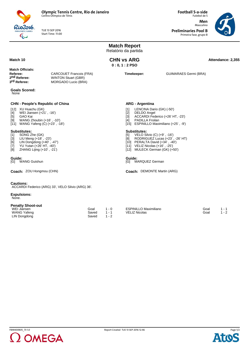

TUE 13 SEP 2016 Start Time: 11:00

Rio2016 **IC GAMES**  $\overline{\mathbb{C}}$ 

**Football 5-a-side** Futebol de 5 **Men**

**Preliminaries Pool B** Primeira fase, grupo B

Masculino



|                                                                                                                                                                                                                                                                                                                                                                                                                                                                                                                                                                                                                                                                                                                                        |                                                                                     |                        | <b>Match Report</b><br>Relatório da partida |                                                                                           |                                                                                                                                                                                                                                                                                                                                                                                                    |                              |                                    |
|----------------------------------------------------------------------------------------------------------------------------------------------------------------------------------------------------------------------------------------------------------------------------------------------------------------------------------------------------------------------------------------------------------------------------------------------------------------------------------------------------------------------------------------------------------------------------------------------------------------------------------------------------------------------------------------------------------------------------------------|-------------------------------------------------------------------------------------|------------------------|---------------------------------------------|-------------------------------------------------------------------------------------------|----------------------------------------------------------------------------------------------------------------------------------------------------------------------------------------------------------------------------------------------------------------------------------------------------------------------------------------------------------------------------------------------------|------------------------------|------------------------------------|
| Match 10                                                                                                                                                                                                                                                                                                                                                                                                                                                                                                                                                                                                                                                                                                                               |                                                                                     |                        |                                             | <b>CHN vs ARG</b><br>$0:0,1:2$ PSO                                                        |                                                                                                                                                                                                                                                                                                                                                                                                    |                              | Attendance: 2,355                  |
| <b>Match Officials:</b><br>Referee:<br>2 <sup>nd</sup> Referee:<br>3 <sup>rd</sup> Referee:                                                                                                                                                                                                                                                                                                                                                                                                                                                                                                                                                                                                                                            | <b>CARCOUET Francois (FRA)</b><br><b>WINTON Stuart (GBR)</b><br>MORGADO Lucio (BRA) |                        |                                             | Timekeeper:                                                                               |                                                                                                                                                                                                                                                                                                                                                                                                    | <b>GUIMARAES Germi (BRA)</b> |                                    |
| <b>Goals Scored:</b><br>None                                                                                                                                                                                                                                                                                                                                                                                                                                                                                                                                                                                                                                                                                                           |                                                                                     |                        |                                             |                                                                                           |                                                                                                                                                                                                                                                                                                                                                                                                    |                              |                                    |
| <b>CHN - People's Republic of China</b><br>[12] XU Huachu (GK)<br>WEI Jiansen (+21', -16')<br>[4]<br>GAO Kai<br>$[5]$<br>WANG Zhoubin (+16', -10')<br>[9]<br>[11] WANG Yafeng (C) (+23', -18')<br><b>Substitutes:</b><br>SONG Zhe (GK)<br>[1]<br>$[3]$<br>LIU Meng (+18', -23')<br>LIN Dongdong $(+40^{\circ}, -47^{\circ})$<br>[6]<br>YU Yutan (+26' HT, -40')<br>$[7] \centering% \includegraphics[width=1\textwidth]{images/TransY.pdf} \caption{The first two different values of $d=3$ and $d=4$ (left) and $d=5$ (right) and $d=6$ (right). The first two different values of $d=2$ (right) and $d=6$ (right).} \label{fig:class}$<br>ZHANG Lijing (+10', -21')<br>[8]<br>Guide:<br>[G] WANG Guishun<br>Coach: ZOU Hongmou (CHN) |                                                                                     |                        |                                             | $[1]$<br>$[2]$<br>$\lceil 3 \rceil$<br>[4]<br><b>Substitutes:</b><br>[5]<br>[8]<br>Guide: | <b>ARG - Argentina</b><br>LENCINA Dario (GK) (-50')<br>DELDO Angel<br>ACCARDI Federico (+26' HT, -23')<br>PADILLA Froilan<br>[15] ESPINILLO Maximiliano (+25', -9')<br>VELO Silvio (C) (+9', -16')<br>RODRIGUEZ Lucas (+23', -26' HT)<br>[10] PERALTA David (+34', -40')<br>[11] VELIZ Nicolas (+16', -25')<br>[12] MULECK German (GK) (+50')<br>[G] MARQUEZ German<br>Coach: DEMONTE Martin (ARG) |                              |                                    |
| <b>Cautions:</b><br><b>Expulsions:</b><br>None.<br><b>Penalty Shoot-out</b><br>WEI Jiansen<br><b>WANG Yafeng</b><br>LIN Dongdong                                                                                                                                                                                                                                                                                                                                                                                                                                                                                                                                                                                                       | ACCARDI Federico (ARG) 33', VELO Silvio (ARG) 36'.                                  | Goal<br>Saved<br>Saved | $1 - 0$<br>$1 - 1$<br>$1 - 2$               | <b>VELIZ Nicolas</b>                                                                      | <b>ESPINILLO Maximiliano</b>                                                                                                                                                                                                                                                                                                                                                                       |                              | Goal<br>$1 - 1$<br>Goal<br>$1 - 2$ |



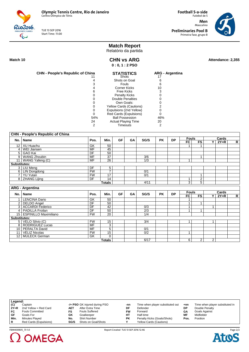TUE 13 SEP 2016 Start Time: 11:00

**Men** Masculino **Preliminaries Pool B** Primeira fase, grupo B

**Football 5-a-side** Futebol de 5



# **Match Report**

Relatório da partida

Rio2016  $\overline{\mathbb{C}}$ 

> **CHN vs ARG 0 : 0, 1 : 2 PSO**

Match 10 **Attendance: 2,355 CHN vs ARG Attendance: 2,355** 

| <b>CHN - People's Republic of China</b> | <b>STATISTICS</b>              | <b>ARG</b> - Argentina |
|-----------------------------------------|--------------------------------|------------------------|
|                                         | Shots                          |                        |
|                                         | Shots on Goal                  | 6                      |
|                                         | <b>Fouls</b>                   |                        |
|                                         | Corner Kicks                   | 10                     |
| 6                                       | <b>Free Kicks</b>              |                        |
|                                         | <b>Penalty Kicks</b>           |                        |
|                                         | <b>Double Penalties</b>        |                        |
|                                         | Own Goals:                     |                        |
|                                         | <b>Yellow Cards (Cautions)</b> |                        |
|                                         | Expulsions (2nd Yellow)        |                        |
| Ω                                       | Red Cards (Expulsions)         |                        |
| 54%                                     | <b>Ball Possession</b>         | 46%                    |
| 24                                      | <b>Actual Playing Time</b>     | 20                     |
| 2                                       | Timeouts                       | 2                      |

|                     | <b>CHN - People's Republic of China</b> |                          |                 |           |    |                  |           |           |              |                |                |        |              |
|---------------------|-----------------------------------------|--------------------------|-----------------|-----------|----|------------------|-----------|-----------|--------------|----------------|----------------|--------|--------------|
|                     | No.   Name                              | Pos.                     | Min.            | GF        | GA | SG/S             | <b>PK</b> | <b>DP</b> | <b>Fouls</b> |                |                | Cards  |              |
|                     |                                         |                          |                 |           |    |                  |           |           | <b>FC</b>    | <b>FS</b>      | ΥI             | $2Y=R$ | $\mathsf{R}$ |
|                     | 12 XU Huachu                            | GK                       | $\overline{50}$ |           |    |                  |           |           |              |                |                |        |              |
|                     | 4   WEI Jiansen                         | <b>MF</b>                | 45              |           |    |                  |           |           |              |                |                |        |              |
|                     | 5 GAO Kai                               | DF                       | 50              |           |    |                  |           |           |              |                |                |        |              |
|                     | 9 WANG Zhoubin                          | <b>MF</b>                | $\overline{37}$ |           |    | 3/6              |           |           |              | 1              |                |        |              |
|                     | 11   WANG Yafeng (C)                    | <b>MF</b>                | $\overline{26}$ |           |    | $\overline{1/3}$ |           |           | 1            |                |                |        |              |
| <b>Substitutes:</b> |                                         |                          |                 |           |    |                  |           |           |              |                |                |        |              |
|                     | 3   LIU Meng                            | DF                       | 5               |           |    |                  |           |           |              |                |                |        |              |
|                     | 6   LIN Dongdong                        | FW                       | $\overline{7}$  |           |    | 0/1              |           |           |              |                |                |        |              |
|                     | 7 YU Yutan                              | FW                       | $\overline{17}$ |           |    | 0/1              |           |           |              | 1              |                |        |              |
|                     | 8 ZHANG Lijing                          | DF                       | 14              |           |    |                  |           |           | 1            | $\overline{2}$ |                |        |              |
|                     |                                         |                          | <b>Totals</b>   |           |    | 4/11             |           |           | 3            | $\overline{5}$ |                |        |              |
|                     | <b>ARG - Argentina</b>                  |                          |                 |           |    |                  |           |           |              |                |                |        |              |
|                     |                                         |                          |                 |           |    |                  |           |           |              |                |                |        |              |
|                     |                                         |                          |                 |           |    |                  |           |           | <b>Fouls</b> |                |                | Cards  |              |
|                     | No.   Name                              | Pos.                     | Min.            | <b>GF</b> | GA | SG/S             | <b>PK</b> | <b>DP</b> | FC           | <b>FS</b>      | ΥI             | $2Y=R$ |              |
|                     | 1   LENCINA Dario                       | $\overline{GK}$          | 50              |           |    |                  |           |           | 1            |                |                |        |              |
|                     | 2 DELDO Angel                           | DF                       | 50              |           |    |                  |           |           | 1            | 1              |                |        |              |
|                     | 3 ACCARDI Federico                      | DF                       | 42              |           |    | 0/3              |           |           | 1            |                | $\overline{1}$ |        |              |
|                     | 4   PADILLA Froilan                     | $\overline{DF}$          | 50              |           |    | $\overline{2/3}$ |           |           | 1            |                |                |        | R            |
|                     | 15   ESPINILLO Maximiliano              | FW                       | $\overline{20}$ |           |    | 1/4              |           |           |              |                |                |        |              |
| Substitutes:        |                                         |                          |                 |           |    |                  |           |           |              |                |                |        |              |
|                     | 5 VELO Silvio (C)                       | <b>FW</b>                | 15              |           |    | 3/4              |           |           | 1            |                |                |        |              |
|                     | 8   RODRIGUEZ Lucas                     | <b>MF</b>                | $\overline{3}$  |           |    |                  |           |           |              |                |                |        |              |
|                     | 10   PERALTA David                      | $\overline{\mathsf{MF}}$ | $\overline{5}$  |           |    | 0/1              |           |           |              |                |                |        |              |
| 11 <sup>1</sup>     | <b>VELIZ Nicolas</b>                    | <b>FW</b>                | $\overline{15}$ |           |    | 0/2              |           |           | 1            |                |                |        |              |
|                     | 12   MULECK German                      | GK                       | $\Omega$        |           |    |                  |           |           |              |                |                |        |              |

| Legend: |                        |      |                               |           |                                  |       |                                 |
|---------|------------------------|------|-------------------------------|-----------|----------------------------------|-------|---------------------------------|
| (C)     | Captain                |      | -/+ PSO GK injured during PSO | -nn       | Time when player substituted out | $+nn$ | Time when player substituted in |
| $2Y=R$  | 2nd Yellow = Red Card  | AET  | After Extra Time              | DF        | Defender                         | DP    | Double Penalty                  |
| FC      | <b>Fouls Committed</b> | FS   | <b>Fouls Suffered</b>         | F۷        | Forward                          | GΑ    | Goals Against                   |
| GF      | Goals For              | GK   | Goalkeeper                    | нт        | Half-time                        | ΜF    | Midfielder                      |
| Min.    | <b>Minutes Plaved</b>  | No.  | <b>Shirt Number</b>           | <b>PK</b> | Penalty Kicks (Goals/Shots)      | Pos.  | Position                        |
|         | Red Cards (Expulsions) | SG/S | Shots on Goal/Shots           |           | <b>Yellow Cards (Cautions)</b>   |       |                                 |

FBM400B05\_73 1.0 Report Created TUE 13 SEP 2016 12:46

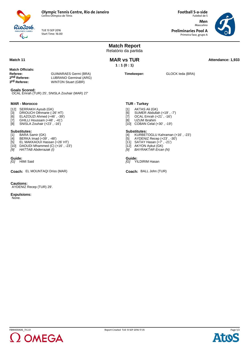

TUE 13 SEP 2016 Start Time: 16:00 **Football 5-a-side** Futebol de 5 **Men** Masculino

**Preliminaries Pool A** Primeira fase, grupo A



**Match Report** Relatório da partida **MAR vs TUR Attendance: 1,933 MAR vs TUR 1 : 1 (0 : 1) Match Officials: Referee:** GUIMARAES Germi (BRA)<br> **2<sup>nd</sup> Referee:** LUBRANO Germinal (ARG) **2nd Referee:** LUBRANO Germinal (ARG)<br> **3<sup>rd</sup> Referee:** WINTON Stuart (GBR) **WINTON Stuart (GBR) Timekeeper:** GLOCK Ieda (BRA) **Goals Scored:** OCAL Emrah (TUR) 25', SNISLA Zouhair (MAR) 27' **MAR - Morocco** [12] SERRAKH Ayoub (GK) [3] DRIOUCH Othmane (-26' HT) [6] ELAZOUZI Ahmed (+46' , -39') [7] GHILLI Houssam (+48' , -41') [8] SNISLA Zouhair (+23' , -16') **Substitutes:**<br>[1] **BARA Sa** [1] BARA Samir (GK)<br>[4] BERKA Imad (+39<br>[5] EL MAKKAOUI Ha [4] BERKA Imad (+39' , -48') [5] EL MAKKAOUI Hassan (+26' HT) [10] DAOUDI Mhammed (C) (+16' , -23') *[9] HATTAB Abderrazak (I)* **TUR - Turkey** [1] AKTAS Ali (GK)<br>[6] SUMER Abdulla<br>[7] OCAL Emrah (+ [6] SUMER Abdullah (+19' , -7') [7] OCAL Emrah (+21' , -16') [8] UZUM Ibrahim [10] COBAN Celal (+30' , -19') **Substitutes:** [4] KURBETOGLU Kahraman (+16' , -23') [5] AYDENIZ Recep (+23' , -30') [11] SATAY Hasan (+7' , -21') [12] AKYON Aykut (GK) *[9] BAYRAKTAR Ercan (N)* **Guide:**<br>[G] HIMI Said **Guide:**<br>[G] YILDIRIM Hasan **Coach:** EL MOUNTAQI Driss (MAR) BALL John (TUR) BALL John (TUR) **Cautions:** AYDENIZ Recep (TUR) 29'. **Expulsions:** None.



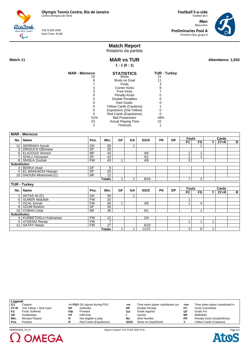TUE 13 SEP 2016 Start Time: 16:00

Futebol de 5 **Men** Masculino **Preliminaries Pool A** Primeira fase, grupo A

**Football 5-a-side**



# **Match Report**

Relatório da partida

Rio2016  $\overline{\mathbb{C}}$ 

> **MAR vs TUR 1 : 1 (0 : 1)**

MAR vs TUR
Match 11
attendance: 1,933
attendance: 1,933
attendance: 1,933
attendance: 1,933
attendance: 1,933
attendance: 1,933
attendance: 1,933
attendance: 1,933
attendance: 1,933

| <b>MAR - Morocco</b> | <b>STATISTICS</b>          | <b>TUR - Turkey</b> |
|----------------------|----------------------------|---------------------|
| 16                   | <b>Shots</b>               | 21                  |
| 8                    | Shots on Goal              | 11                  |
|                      | Fouls                      | 3                   |
| 3                    | Corner Kicks               | 8                   |
| 3                    | Free Kicks                 |                     |
|                      | <b>Penalty Kicks</b>       |                     |
|                      | Double Penalties           |                     |
|                      | Own Goals:                 |                     |
|                      | Yellow Cards (Cautions)    |                     |
|                      | Expulsions (2nd Yellow)    |                     |
|                      | Red Cards (Expulsions)     |                     |
| 51%                  | <b>Ball Possession</b>     | 49%                 |
| 23                   | <b>Actual Playing Time</b> | 22                  |
|                      | Timeouts                   |                     |

|                     | <b>MAR - Morocco</b>    |           |                 |           |    |      |           |           |                |           |     |        |              |
|---------------------|-------------------------|-----------|-----------------|-----------|----|------|-----------|-----------|----------------|-----------|-----|--------|--------------|
|                     | No.   Name              | Pos.      | Min.            | <b>GF</b> | GA | SG/S | <b>PK</b> | <b>DP</b> | <b>Fouls</b>   |           |     | Cards  |              |
|                     |                         |           |                 |           |    |      |           |           | FC             | <b>FS</b> | Y I | $2Y=R$ | R            |
|                     | 12 SERRAKH Ayoub        | GK        | 50              |           |    |      |           |           |                |           |     |        |              |
| 3                   | <b>DRIOUCH Othmane</b>  | DF        | $\overline{25}$ |           |    |      |           |           |                |           |     |        |              |
|                     | 6   ELAZOUZI Ahmed      | <b>MF</b> | 43              |           |    | 4/6  |           |           | 2              |           |     |        |              |
|                     | GHILLI Houssam          | DF        | 43              |           |    | 0/1  |           |           | $\overline{2}$ | 1         |     |        |              |
|                     | 8   SNISLA Zouhair      | <b>FW</b> | 43              | 1         |    | 4/9  |           |           | 3              |           |     |        |              |
| <b>Substitutes:</b> |                         |           |                 |           |    |      |           |           |                |           |     |        |              |
|                     | 4 BERKA Imad            | <b>DF</b> | 9               |           |    |      |           |           |                |           |     |        |              |
|                     | 5   EL MAKKAOUI Hassan  | DF        | $\overline{25}$ |           |    |      |           |           |                |           |     |        |              |
|                     | 10   DAOUDI Mhammed (C) | <b>MF</b> | $\overline{12}$ |           |    |      |           |           |                |           |     |        |              |
|                     |                         |           | <b>Totals</b>   | 1         | 1  | 8/16 |           |           | $\overline{7}$ | 3         |     |        |              |
|                     | <b>TUR - Turkey</b>     |           |                 |           |    |      |           |           |                |           |     |        |              |
|                     |                         |           |                 |           |    |      |           |           | <b>Fouls</b>   |           |     | Cards  |              |
|                     | No.   Name              | Pos.      | Min.            | <b>GF</b> | GA | SG/S | <b>PK</b> | <b>DP</b> | FC.            | <b>FS</b> | ΥI  | $2Y=R$ | $\mathsf{R}$ |
|                     | AKTAS Ali (C)           | GK        |                 |           |    |      |           |           |                |           |     |        |              |
| 6                   |                         |           | 50              |           | 1  |      |           |           |                |           |     |        |              |
|                     | SUMER Abdullah          | <b>FW</b> | 20              |           |    |      |           |           | 1              |           |     |        |              |
| $\overline{ }$      | <b>OCAL</b> Emrah       | <b>FW</b> | 46              | 1         |    | 3/6  |           |           | 1              | 4         |     |        |              |
|                     | 8   UZUM Ibrahim        | DF        | 50              |           |    |      |           |           |                |           |     |        |              |
|                     | 10   COBAN Celal        | <b>MF</b> | 38              |           |    | 0/1  |           |           |                |           |     |        |              |
| Substitutes:        |                         |           |                 |           |    |      |           |           |                |           |     |        |              |
|                     | 4   KURBETOGLU Kahraman | <b>FW</b> | 12              |           |    | 2/4  |           |           |                |           |     |        |              |
|                     | 5   AYDENIZ Recep       | <b>FW</b> | $\overline{7}$  |           |    |      |           |           | 1              | 1         | 1   |        |              |
|                     | 11 SATAY Hasan          | <b>FW</b> | 27              |           |    | 6/10 |           |           |                |           |     |        |              |

| Legend:     |                       |    |                               |      |                                  |           |                                 |
|-------------|-----------------------|----|-------------------------------|------|----------------------------------|-----------|---------------------------------|
| $\vert$ (C) | Captain               |    | -/+ PSO GK injured during PSO | -nn  | Time when player substituted out | $+nn$     | Time when player substituted in |
| ∣ 2Y=R      | 2nd Yellow = Red Card | DF | Defender                      | DP   | Double Penalty                   | FC        | <b>Fouls Committed</b>          |
| l FS.       | <b>Fouls Suffered</b> | FW | Forward                       | GΑ   | Goals Against                    | GF        | Goals For                       |
| GK          | Goalkeeper            | HТ | Half-time                     |      | Injured                          | ΜF        | Midfielder                      |
| ∣ Min.      | Minutes Played        |    | Not eligible to play          | No.  | <b>Shirt Number</b>              | <b>PK</b> | Penalty Kicks (Goals/Shots)     |
| ∣ Pos.      | Position              |    | Red Cards (Expulsions)        | SG/S | Shots on Goal/Shots              |           | <b>Yellow Cards (Cautions)</b>  |
|             |                       |    |                               |      |                                  |           |                                 |



FBM400A06\_73 2.0 Report Created TUE 13 SEP 2016 17:35

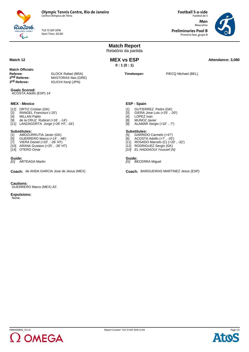

TUE 13 SEP 2016 Start Time: 20:00

**Football 5-a-side** Futebol de 5 **Men** Masculino **Preliminaries Pool B**

Primeira fase, grupo B



|                                                                                                                                                                                                                                                                                                                                                                                                                              |                                                                                       | <b>Match Report</b><br>Relatório da partida                                                                                                                                                                                                                                                                                                                                                                    |                                        |                   |
|------------------------------------------------------------------------------------------------------------------------------------------------------------------------------------------------------------------------------------------------------------------------------------------------------------------------------------------------------------------------------------------------------------------------------|---------------------------------------------------------------------------------------|----------------------------------------------------------------------------------------------------------------------------------------------------------------------------------------------------------------------------------------------------------------------------------------------------------------------------------------------------------------------------------------------------------------|----------------------------------------|-------------------|
| Match 12                                                                                                                                                                                                                                                                                                                                                                                                                     |                                                                                       | <b>MEX vs ESP</b><br>0:1(0:1)                                                                                                                                                                                                                                                                                                                                                                                  |                                        | Attendance: 3,080 |
| Match Officials:<br>Referee:<br>2 <sup>nd</sup> Referee:<br>3 <sup>rd</sup> Referee:                                                                                                                                                                                                                                                                                                                                         | <b>GLOCK Rafael (BRA)</b><br><b>MASTORAS Ilias (GRE)</b><br><b>IGUCHI Kenji (JPN)</b> | Timekeeper:                                                                                                                                                                                                                                                                                                                                                                                                    | PIECQ Michael (BEL)                    |                   |
| <b>Goals Scored:</b><br>ACOSTA Adolfo (ESP) 14'                                                                                                                                                                                                                                                                                                                                                                              |                                                                                       |                                                                                                                                                                                                                                                                                                                                                                                                                |                                        |                   |
| <b>MEX - Mexico</b><br>[12] ORTIZ Cristian (GK)<br>RANGEL Francisco (-20')<br>$[2]$<br>[4] MILLAN Pablo<br>[9] de la CRUZ Rubicel (+16', -14')<br>[11] LANZAGORTA Jorge (+26' HT, -16')<br><b>Substitutes:</b><br>AMOZURRUTIA Javier (GK)<br>$[1]$<br>$[5]$<br>GUERRERO Marco (+14', -48')<br>$[7]$<br>VIERA Daniel (+20', -26' HT)<br>[10] ARANA Gustavo (+25', -26' HT)<br>[14] OTERO Omar<br>Guide:<br>[G] ARTEAGA Martin | Coach: de ANDA GARCIA Jose de Jesus (MEX)                                             | <b>ESP - Spain</b><br>GUTIERREZ Pedro (GK)<br>[1]<br>GIERA Jose Luis (+25', -20')<br>[3]<br><b>LOPEZ</b> Ivan<br>[4]<br><b>MUNOZ Javier</b><br>[8]<br>ALAMAR Sergio (+32', -7')<br>[9]<br>Substitutes:<br>[5] GARRIDO Carmelo (+47')<br>ACOSTA Adolfo (+7', -25')<br>[6]<br>[11] ROSADO Marcelo (C) (+20', -32')<br>[12] RODRIGUEZ Sergio (GK)<br>[10] EL HADDAOUI Youssef (N)<br>Guide:<br>[G] BECERRA Miguel | Coach: BARGUEIRAS MARTINEZ Jesus (ESP) |                   |
| <b>Cautions:</b><br>GUERRERO Marco (MEX) 42'.<br><b>Expulsions:</b><br>None.                                                                                                                                                                                                                                                                                                                                                 |                                                                                       |                                                                                                                                                                                                                                                                                                                                                                                                                |                                        |                   |



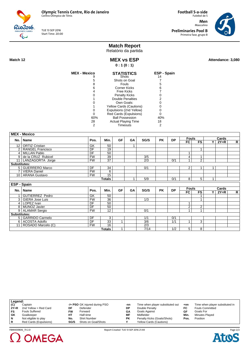**Olympic Tennis Centre, Rio de Janeiro**

MEX - Mexico

Centro Olímpico de Tênis

TUE 13 SEP 2016 Start Time: 20:00

Futebol de 5 **Men** Masculino **Preliminaries Pool B** Primeira fase, grupo B

**Football 5-a-side**



## **Match Report**

Relatório da partida **MEX vs ESP**

MEX vs ESP Attendance: 3,080

Rio2016

J

**0 : 1 (0 : 1) MEX - Mexico STATISTICS ESP - Spain** Shots Shots on Goal Fouls Corner Kicks Free Kicks Penalty Kicks Double Penalties Own Goals: Yellow Cards (Cautions) Expulsions (2nd Yellow) Red Cards (Expulsions) Ball Possession Actual Playing Time **Timeouts** 14 7 5 6 7 0 2 0 0 0  $\ddot{\mathbf{0}}$ 40% 18 2

| <b>Fouls</b><br>Cards<br><b>GF</b><br>Min.<br>SG/S<br><b>PK</b><br><b>DP</b><br>Pos.<br>GA<br>No.   Name<br>FC<br><b>FS</b><br>$2Y=R$<br>v<br><b>ORTIZ Cristian</b><br>GK<br>50<br>12 <sub>1</sub><br>1<br>DF<br>$\overline{2}$<br>19<br><b>RANGEL Francisco</b><br>1<br>DF<br>50<br>4   MILLAN Pablo<br>de la CRUZ Rubicel<br><b>FW</b><br>39<br>3/5<br>4<br>9 <sup>1</sup><br>1<br>$\overline{2}$<br>$\overline{37}$<br><b>FW</b><br>0/1<br>11   LANZAGORTA Jorge<br>2/3<br><b>Substitutes:</b><br>5 GUERRERO Marco<br>DF<br>34<br>0/1<br>2<br>1<br>1<br>7   VIERA Daniel<br><b>FW</b><br>6<br>10   ARANA Gustavo<br><b>FW</b><br>15<br>0/1<br>$\overline{5}$<br>5/9<br>8<br>Totals<br>1<br>ESP - Spain<br><b>Fouls</b><br>Cards<br><b>GF</b><br>Min.<br>SG/S<br><b>PK</b><br><b>DP</b><br>No.   Name<br>Pos.<br>GA<br>FC<br>$\mathsf{R}$<br><b>FS</b><br>$2Y=R$<br><b>GUTIERREZ Pedro</b><br>GK<br>50<br>$\overline{36}$<br><b>FW</b><br>1/3<br>1<br>3 <sup>1</sup><br><b>GIERA Jose Luis</b><br>DF<br>50<br>4 LOPEZ Ivan<br>1<br>$\overline{2}$<br>$\overline{2}$<br>DF<br>50<br>8   MUNOZ Javier | <b>MEX - Mexico</b> |           |    |  |     |  |   |  |                |
|-------------------------------------------------------------------------------------------------------------------------------------------------------------------------------------------------------------------------------------------------------------------------------------------------------------------------------------------------------------------------------------------------------------------------------------------------------------------------------------------------------------------------------------------------------------------------------------------------------------------------------------------------------------------------------------------------------------------------------------------------------------------------------------------------------------------------------------------------------------------------------------------------------------------------------------------------------------------------------------------------------------------------------------------------------------------------------------------------------|---------------------|-----------|----|--|-----|--|---|--|----------------|
|                                                                                                                                                                                                                                                                                                                                                                                                                                                                                                                                                                                                                                                                                                                                                                                                                                                                                                                                                                                                                                                                                                       |                     |           |    |  |     |  |   |  |                |
|                                                                                                                                                                                                                                                                                                                                                                                                                                                                                                                                                                                                                                                                                                                                                                                                                                                                                                                                                                                                                                                                                                       |                     |           |    |  |     |  |   |  | $\overline{R}$ |
|                                                                                                                                                                                                                                                                                                                                                                                                                                                                                                                                                                                                                                                                                                                                                                                                                                                                                                                                                                                                                                                                                                       |                     |           |    |  |     |  |   |  |                |
|                                                                                                                                                                                                                                                                                                                                                                                                                                                                                                                                                                                                                                                                                                                                                                                                                                                                                                                                                                                                                                                                                                       |                     |           |    |  |     |  |   |  |                |
|                                                                                                                                                                                                                                                                                                                                                                                                                                                                                                                                                                                                                                                                                                                                                                                                                                                                                                                                                                                                                                                                                                       |                     |           |    |  |     |  |   |  |                |
|                                                                                                                                                                                                                                                                                                                                                                                                                                                                                                                                                                                                                                                                                                                                                                                                                                                                                                                                                                                                                                                                                                       |                     |           |    |  |     |  |   |  |                |
|                                                                                                                                                                                                                                                                                                                                                                                                                                                                                                                                                                                                                                                                                                                                                                                                                                                                                                                                                                                                                                                                                                       |                     |           |    |  |     |  |   |  |                |
|                                                                                                                                                                                                                                                                                                                                                                                                                                                                                                                                                                                                                                                                                                                                                                                                                                                                                                                                                                                                                                                                                                       |                     |           |    |  |     |  |   |  |                |
|                                                                                                                                                                                                                                                                                                                                                                                                                                                                                                                                                                                                                                                                                                                                                                                                                                                                                                                                                                                                                                                                                                       |                     |           |    |  |     |  |   |  |                |
|                                                                                                                                                                                                                                                                                                                                                                                                                                                                                                                                                                                                                                                                                                                                                                                                                                                                                                                                                                                                                                                                                                       |                     |           |    |  |     |  |   |  |                |
|                                                                                                                                                                                                                                                                                                                                                                                                                                                                                                                                                                                                                                                                                                                                                                                                                                                                                                                                                                                                                                                                                                       |                     |           |    |  |     |  |   |  |                |
|                                                                                                                                                                                                                                                                                                                                                                                                                                                                                                                                                                                                                                                                                                                                                                                                                                                                                                                                                                                                                                                                                                       |                     |           |    |  |     |  |   |  |                |
|                                                                                                                                                                                                                                                                                                                                                                                                                                                                                                                                                                                                                                                                                                                                                                                                                                                                                                                                                                                                                                                                                                       |                     |           |    |  |     |  |   |  |                |
|                                                                                                                                                                                                                                                                                                                                                                                                                                                                                                                                                                                                                                                                                                                                                                                                                                                                                                                                                                                                                                                                                                       |                     |           |    |  |     |  |   |  |                |
|                                                                                                                                                                                                                                                                                                                                                                                                                                                                                                                                                                                                                                                                                                                                                                                                                                                                                                                                                                                                                                                                                                       |                     |           |    |  |     |  |   |  |                |
|                                                                                                                                                                                                                                                                                                                                                                                                                                                                                                                                                                                                                                                                                                                                                                                                                                                                                                                                                                                                                                                                                                       |                     |           |    |  |     |  |   |  |                |
|                                                                                                                                                                                                                                                                                                                                                                                                                                                                                                                                                                                                                                                                                                                                                                                                                                                                                                                                                                                                                                                                                                       |                     |           |    |  |     |  |   |  |                |
|                                                                                                                                                                                                                                                                                                                                                                                                                                                                                                                                                                                                                                                                                                                                                                                                                                                                                                                                                                                                                                                                                                       |                     |           |    |  |     |  |   |  |                |
|                                                                                                                                                                                                                                                                                                                                                                                                                                                                                                                                                                                                                                                                                                                                                                                                                                                                                                                                                                                                                                                                                                       |                     |           |    |  |     |  |   |  |                |
| 9   ALAMAR Sergio                                                                                                                                                                                                                                                                                                                                                                                                                                                                                                                                                                                                                                                                                                                                                                                                                                                                                                                                                                                                                                                                                     |                     | <b>FW</b> | 12 |  | 0/1 |  | 1 |  |                |
| Substitutes:                                                                                                                                                                                                                                                                                                                                                                                                                                                                                                                                                                                                                                                                                                                                                                                                                                                                                                                                                                                                                                                                                          |                     |           |    |  |     |  |   |  |                |
| 5   GARRIDO Carmelo<br>DF<br>0/1<br>3<br>1/1                                                                                                                                                                                                                                                                                                                                                                                                                                                                                                                                                                                                                                                                                                                                                                                                                                                                                                                                                                                                                                                          |                     |           |    |  |     |  |   |  |                |
| DF<br>$\overline{33}$<br>$\overline{3/6}$<br>1/1<br>6   ACOSTA Adolfo<br>3<br>1                                                                                                                                                                                                                                                                                                                                                                                                                                                                                                                                                                                                                                                                                                                                                                                                                                                                                                                                                                                                                       |                     |           |    |  |     |  |   |  |                |
| ROSADO Marcelo (C)<br><b>FW</b><br>16<br>2/3<br>11 <sup>1</sup>                                                                                                                                                                                                                                                                                                                                                                                                                                                                                                                                                                                                                                                                                                                                                                                                                                                                                                                                                                                                                                       |                     |           |    |  |     |  |   |  |                |
| 7/14<br>1/2<br>5<br>8<br>Totals<br>1                                                                                                                                                                                                                                                                                                                                                                                                                                                                                                                                                                                                                                                                                                                                                                                                                                                                                                                                                                                                                                                                  |                     |           |    |  |     |  |   |  |                |

| Legend: |                        |      |                               |     |                                  |       |                                 |
|---------|------------------------|------|-------------------------------|-----|----------------------------------|-------|---------------------------------|
| (C)     | Captain                |      | -/+ PSO GK injured during PSO | -nn | Time when player substituted out | $+nn$ | Time when player substituted in |
| $2Y=R$  | 2nd Yellow = Red Card  | DF   | Defender                      | DP  | Double Penalty                   | FC    | <b>Fouls Committed</b>          |
| FS      | <b>Fouls Suffered</b>  | FW   | Forward                       | GΑ  | <b>Goals Against</b>             | GF    | Goals For                       |
| GK      | Goalkeeper             | HТ   | Half-time                     | МF  | Midfielder                       | Min.  | Minutes Played                  |
| N       | Not eligible to play   | No.  | <b>Shirt Number</b>           | PΚ  | Penalty Kicks (Goals/Shots)      | Pos.  | Position                        |
|         | Red Cards (Expulsions) | SG/S | Shots on Goal/Shots           |     | <b>Yellow Cards (Cautions)</b>   |       |                                 |



FBM400B06\_73 2.0 Report Created TUE 13 SEP 2016 21:44

Page 2/2**Ato**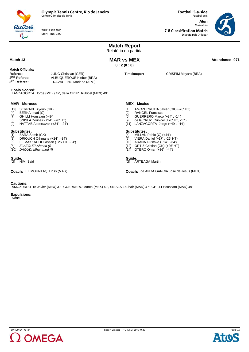

THU 15 SEP 2016 Start Time: 9:00 Futebol de 5 **Men** Masculino

**7-8 Classification Match**

**Football 5-a-side**

Disputa pelo 7º lugar



**Match Report** Relatório da partida **Match 13** Attendance: 971 **0 : 2 (0 : 0) Match Officials: Referee:** JUNG Christian (GER)<br> **2<sup>nd</sup> Referee:** ALBUQUERQUE Klebe 2nd Referee: ALBUQUERQUE Kleber (BRA)<br> **3<sup>rd</sup> Referee:** TRAVAGLINO Mariano (ARG) **3rd Referee:** TRAVAGLINO Mariano (ARG) **Timekeeper:** CRISPIM Mayara (BRA) **Goals Scored:** LANZAGORTA Jorge (MEX) 42', de la CRUZ Rubicel (MEX) 49' **MAR - Morocco** [12] SERRAKH Ayoub (GK) [4] BERKA Imad (C)<br>[7] GHILLI Houssam [7] GHILLI Houssam (-49') [8] SNISLA Zouhair (+34' , -26' HT) [9] HATTAB Abderrazak (+34' , -24') **Substitutes:**<br>[1] **BARA S** [1] BARA Samir (GK)<br>[3] DRIOUCH Othmai<br>[5] EL MAKKAOUI Ha DRIOUCH Othmane (+24', -34') [5] EL MAKKAOUI Hassan (+26' HT, -34') *[6] ELAZOUZI Ahmed (I) [10] DAOUDI Mhammed (I)* **MEX - Mexico** [1] AMOZURRUTIA Javier (GK) (-26' HT) [2] RANGEL Francisco<br>[5] GUERRERO Marco [5] GUERRERO Marco (+34' , -14') [9] de la CRUZ Rubicel (+26' HT, -17') [11] LANZAGORTA Jorge (+49' , -44') **Substitutes:** MILLAN Pablo (C) (+44') [7] VIERA Daniel (+17' , -26' HT) [10] ARANA Gustavo (+14' , -34') [12] ORTIZ Cristian (GK) (+26' HT) [14] OTERO Omar (+36' , -44') **Guide: Guide: Currence**<br>
[G] HIMI Said **Carrier Community Currence**<br>
[G] ARTEAGA Martin **Coach:** EL MOUNTAQI Driss (MAR) **COACH: Coach:** de ANDA GARCIA Jose de Jesus (MEX)

#### **Cautions:**

AMOZURRUTIA Javier (MEX) 37', GUERRERO Marco (MEX) 40', SNISLA Zouhair (MAR) 47', GHILLI Houssam (MAR) 49'.

**Expulsions:**

None.



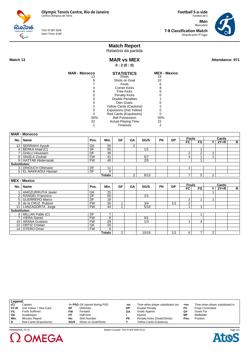

THU 15 SEP 2016 Start Time: 9:00

**Men** Masculino **7-8 Classification Match** Disputa pelo 7º lugar

**Football 5-a-side** Futebol de 5



## **Match Report**

Relatório da partida

**Match 13** Attendance: 971 **0 : 2 (0 : 0)**

| <b>MAR - Morocco</b> | <b>STATISTICS</b>          | <b>MEX - Mexico</b> |
|----------------------|----------------------------|---------------------|
| 13                   | Shots                      | 19                  |
| 8                    | Shots on Goal              | 10                  |
|                      | Fouls                      | 6                   |
|                      | <b>Corner Kicks</b>        | 8                   |
| 6                    | Free Kicks                 | 6                   |
|                      | <b>Penalty Kicks</b>       |                     |
|                      | Double Penalties           |                     |
|                      | Own Goals:                 |                     |
| 2                    | Yellow Cards (Cautions)    | 2                   |
|                      | Expulsions (2nd Yellow)    |                     |
|                      | Red Cards (Expulsions)     |                     |
| 50%                  | <b>Ball Possession</b>     | 50%                 |
| 22                   | <b>Actual Playing Time</b> | 22                  |
|                      | Timeouts                   |                     |

|              | <b>MAR - Morocco</b>   |           |                    |           |                |                  |           |           |                |                |                |        |                |
|--------------|------------------------|-----------|--------------------|-----------|----------------|------------------|-----------|-----------|----------------|----------------|----------------|--------|----------------|
|              |                        |           | Min.               | <b>GF</b> | GA             | SG/S             | <b>PK</b> | <b>DP</b> | <b>Fouls</b>   |                |                | Cards  |                |
|              | No.   Name             | Pos.      |                    |           |                |                  |           |           | <b>FC</b>      | <b>FS</b>      | ΥI             | $2Y=R$ | R              |
|              | 12   SERRAKH Ayoub     | GK        | 50                 |           | $\overline{2}$ |                  |           |           |                |                |                |        |                |
| 4            | BERKA Imad (C)         | DF        | $\overline{50}$    |           |                | $\overline{1/1}$ |           |           |                | 1              |                |        |                |
|              | <b>GHILLI Houssam</b>  | DF        | 49                 |           |                |                  |           |           | $\overline{2}$ | $\overline{2}$ | 1              |        |                |
|              | 8   SNISLA Zouhair     | <b>FW</b> | 41                 |           |                | 5/7              |           |           | 4              | 1              | 1              |        |                |
|              | 9 HATTAB Abderrazak    | <b>FW</b> | 40                 |           |                | 2/5              |           |           |                | 1              |                |        |                |
| Substitutes: |                        |           |                    |           |                |                  |           |           |                |                |                |        |                |
|              | 3   DRIOUCH Othmane    | DF        | 11                 |           |                |                  |           |           | 1              |                |                |        |                |
|              | 5   EL MAKKAOUI Hassan | DF        | 9                  |           |                |                  |           |           |                |                |                |        |                |
|              |                        |           | <b>Totals</b>      |           | $\overline{2}$ | 8/13             |           |           | $\overline{7}$ | 5              | $\overline{2}$ |        |                |
|              | <b>MEX - Mexico</b>    |           |                    |           |                |                  |           |           |                |                |                |        |                |
|              |                        |           |                    |           |                |                  |           |           |                |                |                |        |                |
|              |                        |           |                    |           |                |                  |           |           | <b>Fouls</b>   |                |                | Cards  |                |
| No.          | <b>∣Name</b>           | Pos.      | Min.               | <b>GF</b> | GA             | SG/S             | <b>PK</b> | <b>DP</b> | FC             | FS             | v              | $2Y=R$ | $\overline{R}$ |
|              | AMOZURRUTIA Javier     | GK        | 25                 |           |                |                  |           |           |                |                |                |        |                |
|              | 2   RANGEL Francisco   | DF        | 50                 |           |                | 1/1              |           |           |                |                |                |        |                |
|              | 5   GUERRERO Marco     | DF        | 19                 |           |                |                  |           |           | 2              | 1              | 1              |        |                |
|              | 9 de la CRUZ Rubicel   | <b>FW</b> | $\overline{35}$    | 1         |                | $\overline{3/4}$ |           | 1/1       | $\overline{2}$ |                |                |        |                |
|              | 11   LANZAGORTA Jorge  | <b>FW</b> | 44                 | 1         |                | 5/10             |           |           | $\mathbf{1}$   | $\overline{ }$ |                |        |                |
| Substitutes: |                        |           |                    |           |                |                  |           |           |                |                |                |        |                |
|              | 4 MILLAN Pablo (C)     | DF        | $\overline{7}$     |           |                |                  |           |           |                | 1              |                |        |                |
|              | 7   VIERA Daniel       | <b>FW</b> | 8                  |           |                | 0/1              |           |           |                |                |                |        |                |
|              | 10   ARANA Gustavo     | <b>FW</b> | 29                 |           |                | 1/3              |           |           | 1              | 4              |                |        |                |
|              | 12   ORTIZ Cristian    | GK        | $\overline{25}$    |           |                |                  |           |           |                |                |                |        |                |
|              | 14 OTERO Omar          | <b>FW</b> | 8<br><b>Totals</b> | 2         |                | 10/19            |           | 1/1       | 6              | $\overline{7}$ | $\overline{2}$ |        |                |

| Legend: |                        |      |                               |     |                                  |       |                                 |
|---------|------------------------|------|-------------------------------|-----|----------------------------------|-------|---------------------------------|
| (C)     | Captain                |      | -/+ PSO GK injured during PSO | -nn | Time when player substituted out | $+nn$ | Time when player substituted in |
| $2Y=R$  | 2nd Yellow = Red Card  | DF   | Defender                      | DP  | Double Penalty                   | FC    | <b>Fouls Committed</b>          |
| FS      | <b>Fouls Suffered</b>  | FW   | Forward                       | GΑ  | Goals Against                    | GF    | Goals For                       |
| GK      | Goalkeeper             | ΗТ   | Half-time                     |     | Injured                          | МF    | Midfielder                      |
| Min.    | Minutes Played         | No.  | <b>Shirt Number</b>           | РK  | Penalty Kicks (Goals/Shots)      | Pos.  | Position                        |
| R       | Red Cards (Expulsions) | SG/S | Shots on Goal/Shots           |     | <b>Yellow Cards (Cautions)</b>   |       |                                 |



FBM400104\_73 1.0 Report Created THU 15 SEP 2016 10:25

Page 2/2**Atos**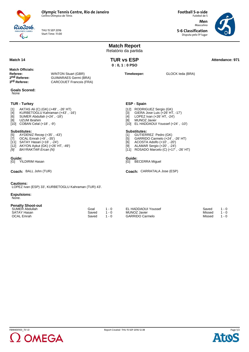

THU 15 SEP 2016 Start Time: 11:00 **Football 5-a-side** Futebol de 5 **Men** Masculino

**5-6 Classification** Disputa pelo 5º lugar



|                                                                                                                                                                                                                                                                                                                                                                                                                                |                                                                                              |                        | <b>Match Report</b><br>Relatório da partida |                                                     |                                                                                                                                                                                                                                                                                                                                                              |                  |                           |                               |
|--------------------------------------------------------------------------------------------------------------------------------------------------------------------------------------------------------------------------------------------------------------------------------------------------------------------------------------------------------------------------------------------------------------------------------|----------------------------------------------------------------------------------------------|------------------------|---------------------------------------------|-----------------------------------------------------|--------------------------------------------------------------------------------------------------------------------------------------------------------------------------------------------------------------------------------------------------------------------------------------------------------------------------------------------------------------|------------------|---------------------------|-------------------------------|
| Match 14                                                                                                                                                                                                                                                                                                                                                                                                                       |                                                                                              |                        | <b>TUR vs ESP</b><br>$0:0,1:0$ PSO          |                                                     |                                                                                                                                                                                                                                                                                                                                                              |                  |                           | Attendance: 971               |
| <b>Match Officials:</b><br>Referee:<br>2 <sup>nd</sup> Referee:<br>3 <sup>rd</sup> Referee:                                                                                                                                                                                                                                                                                                                                    | <b>WINTON Stuart (GBR)</b><br><b>GUIMARAES Germi (BRA)</b><br><b>CARCOUET Francois (FRA)</b> |                        |                                             |                                                     | Timekeeper:                                                                                                                                                                                                                                                                                                                                                  | GLOCK leda (BRA) |                           |                               |
| <b>Goals Scored:</b><br>None                                                                                                                                                                                                                                                                                                                                                                                                   |                                                                                              |                        |                                             |                                                     |                                                                                                                                                                                                                                                                                                                                                              |                  |                           |                               |
| <b>TUR - Turkey</b><br>AKTAS Ali (C) (GK) (+49', -26' HT)<br>$[1]$<br>[4]<br>KURBETOGLU Kahraman (+43', -16')<br>SUMER Abdullah (+24', -18')<br>[6]<br>[8]<br>UZUM Ibrahim<br>$[10]$ COBAN Celal $(+18', -9')$<br><b>Substitutes:</b><br>AYDENIZ Recep (+35', -43')<br>$[5]$<br>OCAL Emrah (+9', -35')<br>$[7]$<br>[11] SATAY Hasan (+16', -24')<br>[12] AKYON Aykut (GK) (+26' HT, -49')<br><b>BAYRAKTAR Ercan (N)</b><br>[9] |                                                                                              |                        |                                             | [3]<br>$[4]$<br>[8]<br>$[1]$<br>$[5]$<br>[6]<br>[9] | ESP - Spain<br>[12] RODRIGUEZ Sergio (GK)<br>GIERA Jose Luis (+26' HT, -17')<br>LOPEZ Ivan (+26' HT, -24')<br>MUNOZ Javier<br>[10] EL HADDAOUI Youssef (+24', -10')<br><b>Substitutes:</b><br>GUTIERREZ Pedro (GK)<br>GARRIDO Carmelo (+24', -26' HT)<br>ACOSTA Adolfo (+10', -20')<br>ALAMAR Sergio (+20', -24')<br>[11] ROSADO Marcelo (C) (+17', -26' HT) |                  |                           |                               |
| Guide:<br><b>YILDIRIM Hasan</b><br>[G]                                                                                                                                                                                                                                                                                                                                                                                         |                                                                                              |                        |                                             | Guide:<br>[G]                                       | <b>BECERRA Miguel</b>                                                                                                                                                                                                                                                                                                                                        |                  |                           |                               |
| Coach: BALL John (TUR)                                                                                                                                                                                                                                                                                                                                                                                                         |                                                                                              |                        |                                             |                                                     | Coach: CARRATALA Jose (ESP)                                                                                                                                                                                                                                                                                                                                  |                  |                           |                               |
| <b>Cautions:</b><br>LOPEZ Ivan (ESP) 33', KURBETOGLU Kahraman (TUR) 43'.<br><b>Expulsions:</b><br>None.                                                                                                                                                                                                                                                                                                                        |                                                                                              |                        |                                             |                                                     |                                                                                                                                                                                                                                                                                                                                                              |                  |                           |                               |
| <b>Penalty Shoot-out</b><br>SUMER Abdullah<br><b>SATAY Hasan</b><br><b>OCAL Emrah</b>                                                                                                                                                                                                                                                                                                                                          |                                                                                              | Goal<br>Saved<br>Saved | $1 - 0$<br>$1 - 0$<br>$1 - 0$               |                                                     | <b>EL HADDAOUI Youssef</b><br><b>MUNOZ Javier</b><br><b>GARRIDO Carmelo</b>                                                                                                                                                                                                                                                                                  |                  | Saved<br>Missed<br>Missed | $1 - 0$<br>$1 - 0$<br>$1 - 0$ |

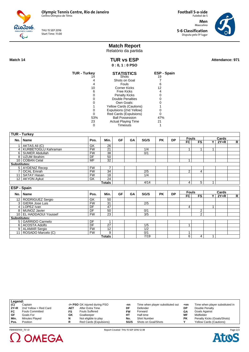Rio2016  $\overline{\mathbb{C}}$ 

THU 15 SEP 2016 Start Time: 11:00

Futebol de 5 **Men** Masculino **5-6 Classification** Disputa pelo 5º lugar

**Football 5-a-side**



# **Match Report**

Relatório da partida

**Match 14** Attendance: 971 **0 : 0, 1 : 0 PSO**

| Attendance: 971 |  |
|-----------------|--|
|                 |  |

| <b>TUR - Turkey</b> | <b>STATISTICS</b>              | ESP - Spain |
|---------------------|--------------------------------|-------------|
|                     | Shots                          | 19          |
|                     | Shots on Goal                  |             |
|                     | Fouls                          | 6           |
| 10                  | Corner Kicks                   | 12          |
| 6                   | Free Kicks                     |             |
|                     | <b>Penalty Kicks</b>           |             |
|                     | Double Penalties               |             |
|                     | Own Goals:                     |             |
|                     | <b>Yellow Cards (Cautions)</b> |             |
|                     | Expulsions (2nd Yellow)        |             |
|                     | Red Cards (Expulsions)         |             |
| 53%                 | <b>Ball Possession</b>         | 47%         |
| 23                  | <b>Actual Playing Time</b>     | 21          |
|                     | Timeouts                       |             |
|                     |                                |             |

|              | <b>TUR - Turkey</b>                        |           |                 |           |    |                  |           |           |                |                                  |              |        |                |
|--------------|--------------------------------------------|-----------|-----------------|-----------|----|------------------|-----------|-----------|----------------|----------------------------------|--------------|--------|----------------|
|              |                                            |           | Min.            | <b>GF</b> | GA | SG/S             | <b>PK</b> | <b>DP</b> | <b>Fouls</b>   |                                  |              | Cards  |                |
|              | No.   Name                                 | Pos.      |                 |           |    |                  |           |           | <b>FC</b>      | <b>FS</b>                        | ΥI           | $2Y=R$ | $\mathsf{R}$   |
|              | 1 AKTAS Ali (C)                            | GK        | 26              |           |    |                  |           |           |                |                                  |              |        |                |
|              | 4   KURBETOGLU Kahraman                    | FW        | $\overline{21}$ |           |    | 1/4              |           |           | 1              |                                  | 1            |        |                |
|              | 6   SUMER Abdullah                         | <b>FW</b> | 38              |           |    | 0/1              |           |           |                |                                  |              |        |                |
|              | 8 UZUM Ibrahim                             | DF        | 50              |           |    |                  |           |           |                |                                  |              |        |                |
|              | 10 COBAN Celal                             | <b>MF</b> | $\overline{32}$ |           |    |                  |           |           | 1              |                                  |              |        |                |
| Substitutes: |                                            |           |                 |           |    |                  |           |           |                |                                  |              |        |                |
|              | 5   AYDENIZ Recep                          | <b>FW</b> | $\overline{7}$  |           |    |                  |           |           |                |                                  |              |        |                |
|              | 7   OCAL Emrah                             | <b>FW</b> | 34              |           |    | 2/5              |           |           | 2              | 4                                |              |        |                |
|              | 11   SATAY Hasan                           | <b>FW</b> | $\overline{18}$ |           |    | 1/4              |           |           |                |                                  |              |        |                |
|              | 12 AKYON Aykut                             | GK        | $\overline{24}$ |           |    |                  |           |           |                |                                  |              |        |                |
|              |                                            |           | <b>Totals</b>   |           |    | 4/14             |           |           | $\overline{4}$ | 5                                | 1.           |        |                |
|              | ESP - Spain                                |           |                 |           |    |                  |           |           |                |                                  |              |        |                |
|              |                                            |           |                 |           |    |                  |           |           | <b>Fouls</b>   |                                  |              |        |                |
|              |                                            |           |                 |           |    |                  |           |           |                |                                  |              |        |                |
|              | No.   Name                                 | Pos.      | Min.            | <b>GF</b> | GA | SG/S             | <b>PK</b> | <b>DP</b> |                |                                  |              | Cards  |                |
|              |                                            |           | 50              |           |    |                  |           |           | FC             | <b>FS</b>                        | Y            | $2Y=R$ | $\overline{R}$ |
|              | 12   RODRIGUEZ Sergio<br>3 GIERA Jose Luis | GK<br>FW  | $\overline{31}$ |           |    | $\overline{2/5}$ |           |           |                |                                  |              |        |                |
|              | 4   LOPEZ Ivan                             | DF        | 47              |           |    |                  |           |           | 4              |                                  | $\mathbf{1}$ |        |                |
|              | 8   MUNOZ Javier                           | DF        | 50              |           |    | 0/1              |           |           |                |                                  |              |        |                |
|              | 10 EL HADDAOUI Youssef                     | FW        |                 |           |    | $\overline{3/5}$ |           |           |                | $\overline{2}$<br>$\overline{2}$ |              |        |                |
|              |                                            |           | $\overline{23}$ |           |    |                  |           |           |                |                                  |              |        |                |
| Substitutes: | 5 GARRIDO Carmelo                          | DF        | 1               |           |    |                  |           |           |                |                                  |              |        |                |
|              | 6   ACOSTA Adolfo                          | DF        | $\overline{27}$ |           |    | 1/5              |           |           | 1              |                                  |              |        |                |
|              | 9 ALAMAR Sergio                            | <b>FW</b> | $\overline{12}$ |           |    | 1/2              |           |           |                |                                  |              |        |                |
|              | 11 ROSADO Marcelo (C)                      | <b>FW</b> | 9               |           |    | 0/1              |           |           | 1              |                                  |              |        |                |

| Legend: |                        |     |                               |           |                                  |           |                                 |
|---------|------------------------|-----|-------------------------------|-----------|----------------------------------|-----------|---------------------------------|
| (C)     | Captain                |     | -/+ PSO GK injured during PSO | -nn       | Time when player substituted out | $+nn$     | Time when player substituted in |
| $2Y=R$  | 2nd Yellow = Red Card  | AET | After Extra Time              | DF        | Defender                         | DP        | Double Penalty                  |
| FC      | <b>Fouls Committed</b> | FS. | <b>Fouls Suffered</b>         | <b>FW</b> | Forward                          | GΑ        | Goals Against                   |
| GF      | Goals For              | GK  | Goalkeeper                    | HТ        | Half-time                        | MF        | Midfielder                      |
| Min.    | Minutes Played         | N   | Not eligible to play          | No.       | <b>Shirt Number</b>              | <b>PK</b> | Penalty Kicks (Goals/Shots)     |
| Pos.    | Position               |     | Red Cards (Expulsions)        | SG/S      | Shots on Goal/Shots              |           | <b>Yellow Cards (Cautions)</b>  |
|         |                        |     |                               |           |                                  |           |                                 |



FBM400103\_73 1.0 Report Created THU 15 SEP 2016 12:38

Page 2/2**Atos**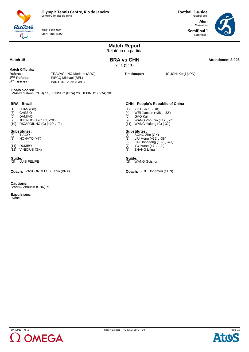

THU 15 SEP 2016 Start Time: 16:00

Rio 2016  $\overline{\mathbb{Q}}$ 

**Football 5-a-side** Futebol de 5

**Men** Masculino **Semifinal 1** Semifinal 1



|                                                                                                                                                                  |                                                             | <b>Match Report</b><br>Relatório da partida                                                                                                                                        |                    |                   |
|------------------------------------------------------------------------------------------------------------------------------------------------------------------|-------------------------------------------------------------|------------------------------------------------------------------------------------------------------------------------------------------------------------------------------------|--------------------|-------------------|
| Match 15                                                                                                                                                         |                                                             | <b>BRA vs CHN</b><br>2:1(1:1)                                                                                                                                                      |                    | Attendance: 3,026 |
| <b>Match Officials:</b><br>Referee:<br>TRAVAGLINO Mariano (ARG)<br>2 <sup>nd</sup> Referee:<br>PIECQ Michael (BEL)<br>3rd Referee:<br><b>WINTON Stuart (GBR)</b> |                                                             | Timekeeper:                                                                                                                                                                        | IGUCHI Kenji (JPN) |                   |
| <b>Goals Scored:</b>                                                                                                                                             | WANG Yafeng (CHN) 14', JEFINHO (BRA) 20', JEFINHO (BRA) 30' |                                                                                                                                                                                    |                    |                   |
| <b>BRA - Brazil</b>                                                                                                                                              |                                                             | <b>CHN - People's Republic of China</b>                                                                                                                                            |                    |                   |
| LUAN (GK)<br>$[1]$<br>$[3]$<br>CASSIO<br>[5]<br><b>DAMIAO</b><br>$[7]$<br>JEFINHO (+26' HT, -20')<br>[10] RICARDINHO (C) (+20', -7')                             |                                                             | [12] XU Huachu (GK)<br>WEI Jiansen (+38', -32')<br>[4]<br>GAO Kai<br>[5]<br>WANG Zhoubin (+12', -7')<br>[9]<br>[11] WANG Yafeng (C) (-32')                                         |                    |                   |
| <b>Substitutes:</b><br><b>TIAGO</b><br>[6]<br>$\overline{[8]}$<br>NONATO $(+7)$<br><b>FELIPE</b><br>[9]<br>[11] DUMBO<br>[12] VINICIUS (GK)                      |                                                             | <b>Substitutes:</b><br>SONG Zhe (GK)<br>$[1]$<br>$[3]$<br>LIU Meng (+32', -38')<br>LIN Dongdong (+32', -40')<br>[6]<br>$[7]$<br>YU Yutan (+7', -12')<br><b>ZHANG Lijing</b><br>[8] |                    |                   |
| Guide:<br>[G] LUIS FELIPE                                                                                                                                        |                                                             | Guide:<br>[G] WANG Guishun                                                                                                                                                         |                    |                   |
| Coach: VASCONCELOS Fabio (BRA)                                                                                                                                   |                                                             | Coach: ZOU Hongmou (CHN)                                                                                                                                                           |                    |                   |
| <b>Cautions:</b><br>WANG Zhoubin (CHN) 7'.                                                                                                                       |                                                             |                                                                                                                                                                                    |                    |                   |
| <b>Expulsions:</b><br>None.                                                                                                                                      |                                                             |                                                                                                                                                                                    |                    |                   |
|                                                                                                                                                                  |                                                             |                                                                                                                                                                                    |                    |                   |



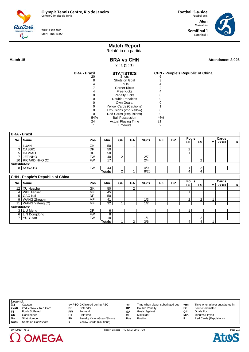THU 15 SEP 2016 Start Time: 16:00

 $Rio2o16$ 

**Football 5-a-side** Futebol de 5 **Men** Masculino

> **Semifinal 1** Semifinal 1



| Match 15            |                                         |                                                      |                       | 2:1(1:1)               | <b>BRA vs CHN</b>          |                         |                                         |           |                |                 |              | Attendance: 3,026 |              |
|---------------------|-----------------------------------------|------------------------------------------------------|-----------------------|------------------------|----------------------------|-------------------------|-----------------------------------------|-----------|----------------|-----------------|--------------|-------------------|--------------|
|                     |                                         | <b>BRA - Brazil</b>                                  |                       |                        | <b>STATISTICS</b>          |                         | <b>CHN - People's Republic of China</b> |           |                |                 |              |                   |              |
|                     |                                         | 20<br>8                                              |                       | Shots<br>Shots on Goal |                            |                         | 6<br>3                                  |           |                |                 |              |                   |              |
|                     |                                         | 4                                                    |                       | Fouls                  |                            |                         | 4                                       |           |                |                 |              |                   |              |
|                     |                                         | $\overline{7}$                                       |                       | <b>Corner Kicks</b>    |                            |                         | 2                                       |           |                |                 |              |                   |              |
|                     |                                         | 4                                                    |                       | <b>Free Kicks</b>      |                            |                         | 4                                       |           |                |                 |              |                   |              |
|                     |                                         | 0                                                    |                       | <b>Penalty Kicks</b>   |                            |                         | $\mathbf 0$                             |           |                |                 |              |                   |              |
|                     |                                         | $\Omega$                                             |                       |                        | <b>Double Penalties</b>    |                         | 0                                       |           |                |                 |              |                   |              |
|                     |                                         | $\Omega$                                             |                       | Own Goals:             |                            |                         | $\Omega$                                |           |                |                 |              |                   |              |
|                     |                                         | 0                                                    |                       |                        | Yellow Cards (Cautions)    |                         | 1                                       |           |                |                 |              |                   |              |
|                     |                                         | $\mathbf 0$                                          |                       |                        | Expulsions (2nd Yellow)    |                         | $\mathbf 0$                             |           |                |                 |              |                   |              |
|                     |                                         | 0                                                    |                       |                        | Red Cards (Expulsions)     |                         | $\mathbf 0$                             |           |                |                 |              |                   |              |
|                     |                                         | 54%                                                  |                       | <b>Ball Possession</b> |                            |                         | 46%                                     |           |                |                 |              |                   |              |
|                     |                                         | 24                                                   |                       |                        | <b>Actual Playing Time</b> |                         | 21                                      |           |                |                 |              |                   |              |
|                     |                                         | 1                                                    |                       | Timeouts               |                            |                         | 2                                       |           |                |                 |              |                   |              |
|                     |                                         |                                                      |                       |                        |                            |                         |                                         |           |                |                 |              |                   |              |
| <b>BRA - Brazil</b> |                                         |                                                      |                       |                        |                            |                         |                                         |           |                |                 |              |                   |              |
|                     |                                         |                                                      |                       |                        |                            |                         |                                         |           | <b>Fouls</b>   |                 |              | Cards             |              |
| No.                 | Name                                    | Pos.                                                 | Min.                  | <b>GF</b>              | GA                         | SG/S                    | <b>PK</b>                               | <b>DP</b> | F <sub>C</sub> | $\overline{FS}$ | Y            | $2Y=R$            | $\mathsf{R}$ |
|                     | 1 LUAN                                  | GK                                                   | 50                    |                        | $\mathbf{1}$               |                         |                                         |           |                |                 |              |                   |              |
|                     | 3 CASSIO                                | DF                                                   | 50                    |                        |                            |                         |                                         |           | 2              |                 |              |                   |              |
|                     | 5 DAMIAO                                | DF                                                   | 50                    |                        |                            |                         |                                         |           | $\mathbf{1}$   |                 |              |                   |              |
|                     | 7 JEFINHO                               | FW                                                   | 40                    | $\overline{2}$         |                            | $\overline{2/7}$        |                                         |           |                |                 |              |                   |              |
|                     | 10 RICARDINHO (C)                       | <b>FW</b>                                            | 17                    |                        |                            | $\overline{2/4}$        |                                         |           |                | $\overline{2}$  |              |                   |              |
| Substitutes:        |                                         |                                                      |                       |                        |                            |                         |                                         |           |                |                 |              |                   |              |
|                     | 8   NONATO                              | FW                                                   | 43                    |                        |                            | 4/9                     |                                         |           | $\mathbf{1}$   | 2               |              |                   |              |
|                     |                                         |                                                      | <b>Totals</b>         | $\overline{2}$         | $\mathbf{1}$               | 8/20                    |                                         |           | 4              | 4               |              |                   |              |
|                     | <b>CHN - People's Republic of China</b> |                                                      |                       |                        |                            |                         |                                         |           |                |                 |              |                   |              |
|                     | No.   Name                              | Pos.                                                 | Min.                  | GF                     | GA                         | SG/S                    | <b>PK</b>                               | <b>DP</b> | <b>Fouls</b>   |                 |              | Cards             |              |
|                     |                                         |                                                      |                       |                        |                            |                         |                                         |           | FC             | <b>FS</b>       | Y            | $2Y=R$            | R            |
|                     | 12   XU Huachu                          | GK                                                   | 50                    |                        | $\overline{2}$             |                         |                                         |           |                |                 |              |                   |              |
|                     | 4   WEI Jiansen                         | <b>MF</b>                                            | $\overline{45}$       |                        |                            |                         |                                         |           | 1              |                 |              |                   |              |
|                     | 5 GAO Kai                               | DF                                                   | $\overline{50}$       |                        |                            |                         |                                         |           |                |                 |              |                   |              |
|                     | 9 WANG Zhoubin                          | $\overline{\mathsf{MF}}$<br>$\overline{\mathsf{MF}}$ | 41<br>$\overline{32}$ | $\overline{1}$         |                            | 1/3<br>$\overline{1/2}$ |                                         |           | $\overline{2}$ | 2               | $\mathbf{1}$ |                   |              |
| Substitutes:        | 11   WANG Yafeng (C)                    |                                                      |                       |                        |                            |                         |                                         |           |                |                 |              |                   |              |
|                     | 3   LIU Meng                            | DF                                                   | 6                     |                        |                            |                         |                                         |           | 1              |                 |              |                   |              |
|                     | 6   LIN Dongdong                        | FW                                                   | 8                     |                        |                            |                         |                                         |           |                |                 |              |                   |              |
|                     | 7 YU Yutan                              | FW                                                   | $\overline{18}$       |                        |                            | 1/1                     |                                         |           |                | 2               |              |                   |              |
|                     |                                         |                                                      | <b>Totals</b>         | $\mathbf{1}$           | $\overline{2}$             | $\overline{3/6}$        |                                         |           | 4              | $\overline{4}$  | $\mathbf{1}$ |                   |              |
|                     |                                         |                                                      |                       |                        |                            |                         |                                         |           |                |                 |              |                   |              |

**Match Report** Relatório da partida

| Legend: |                       |    |                                |      |                                  |       |                                 |
|---------|-----------------------|----|--------------------------------|------|----------------------------------|-------|---------------------------------|
| (C)     | Captain               |    | -/+ PSO GK injured during PSO  | -nn  | Time when player substituted out | $+nn$ | Time when player substituted in |
| $2Y=R$  | 2nd Yellow = Red Card | DF | Defender                       | DP   | Double Penalty                   | FC    | <b>Fouls Committed</b>          |
| FS      | <b>Fouls Suffered</b> | FW | Forward                        | GΑ   | <b>Goals Against</b>             | GF    | Goals For                       |
| GK      | Goalkeeper            | HТ | Half-time                      | ΜF   | Midfielder                       | Min.  | Minutes Played                  |
| No.     | <b>Shirt Number</b>   | РK | Penalty Kicks (Goals/Shots)    | Pos. | Position                         |       | Red Cards (Expulsions)          |
| SG/S    | Shots on Goal/Shots   |    | <b>Yellow Cards (Cautions)</b> |      |                                  |       |                                 |



FBM400201\_73 1.0 Report Created THU 15 SEP 2016 17:30

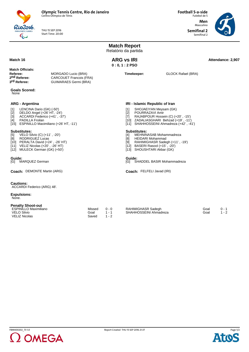

THU 15 SEP 2016 Start Time: 20:00 **Football 5-a-side** Futebol de 5 **Men**

> Masculino **Semifinal 2** Semifinal 2



**Match Report** Relatório da partida **Match 16 ARG vs IRI ARG 16 ARG 16 Attendance: 2,907 Attendance: 2,907 ARG vs IRI 0 : 0, 1 : 2 PSO Match Officials: Referee:** MORGADO Lucio (BRA)<br> **2<sup>nd</sup> Referee:** CARCOUET Francois (F 2nd Referee: CARCOUET Francois (FRA)<br> **3<sup>rd</sup> Referee:** GUIMARAES Germi (BRA) **3rd Referee:** GUIMARAES Germi (BRA) **Timekeeper:** GLOCK Rafael (BRA) **Goals Scored:** None **ARG - Argentina** [1] LENCINA Dario (GK) (-50')<br>[2] DELDO Angel (+26' HT, -24<br>[3] ACCARDI Federico (+41', [2] DELDO Angel (+26' HT, -24') [3] ACCARDI Federico (+41' , -37') [4] PADILLA Froilan [15] ESPINILLO Maximiliano (+26' HT, -11') **Substitutes:**<br>[5] **VELO Si** [5] VELO Silvio (C) (+11' , -20') [8] RODRIGUEZ Lucas [10] PERALTA David (+24' , -26' HT) [11] VELIZ Nicolas (+20' , -26' HT) [12] MULECK German (GK) (+50') **IRI - Islamic Republic of Iran** [1] SHOJAEIYAN Meysam (GK) [2] POURRAZAVI Amir<br>[7] RAJABPOUR Hosse RAJABPOUR Hossein (C) (+20', -15') [10] ZADALIASGHARI Behzad (+19' , -11') [11] SHAHHOSSEINI Ahmadreza (+42' , -41') **Substitutes:**<br>[4] MEHNIN [4] MEHNINASAB Mohammadreza<br>[8] HEIDARI Mohammad<br>[9] RAHIMIGHASR Sadegh (+11', HEIDARI Mohammad RAHIMIGHASR Sadegh (+11', -19') [12] BASERI Rasool (+15' , -20') [13] SHOUSHTARI Akbar (GK) **Guide: Guide:** [G] MARQUEZ German [G] SHADDEL BASIR Mohammadreza **Coach:** DEMONTE Martin (ARG) **FILE ACCONTE MARKET COACH:** FELFELI Javad (IRI) **Cautions:** ACCARDI Federico (ARG) 48'. **Expulsions:** None. **Penalty Shoot-out** ESPINILLO Maximiliano Missed 0 - 0 RAHIMIGHASR Sadegh Goal 0 - 1<br>SHAHHOSSEINI Ahmadreza Goal 1 - 2

VELO Silvio Goal 1 - 1 VELIZ Nicolas Saved 1 - 2 SHAHHOSSEINI Ahmadreza



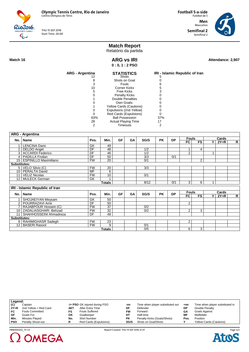Rio2016 THU 15 SEP 2016 Start Time: 20:00 **Football 5-a-side** Futebol de 5 **Men** Masculino **Semifinal 2**

Semifinal 2



## **Match Report**

Relatório da partida

 $\overline{\mathbb{C}}$ 

**ARG vs IRI 0 : 0, 1 : 2 PSO**

Match 16 **ARG vs IRI ARG 16 Attendance: 2,907 Attendance: 2,907** 

| <b>ARG</b> - Argentina | <b>STATISTICS</b>          | IRI - Islamic Republic of Iran |
|------------------------|----------------------------|--------------------------------|
| 12                     | Shots                      | 5                              |
| 8                      | Shots on Goal              |                                |
| 3                      | Fouls                      |                                |
| 10                     | Corner Kicks               | 5                              |
| 5                      | Free Kicks                 |                                |
|                        | <b>Penalty Kicks</b>       |                                |
|                        | Double Penalties           |                                |
|                        | Own Goals:                 |                                |
|                        | Yellow Cards (Cautions)    |                                |
| 0                      | Expulsions (2nd Yellow)    |                                |
|                        | Red Cards (Expulsions)     |                                |
| 63%                    | <b>Ball Possession</b>     | 37%                            |
| 28                     | <b>Actual Playing Time</b> | 17                             |
| 2                      | <b>Timeouts</b>            | 2                              |

|                     | <b>ARG - Argentina</b>         |           |                 |           |    |      |           |           |                |                |     |        |                |
|---------------------|--------------------------------|-----------|-----------------|-----------|----|------|-----------|-----------|----------------|----------------|-----|--------|----------------|
|                     | No.   Name                     | Pos.      | Min.            | <b>GF</b> | GA | SG/S | <b>PK</b> | <b>DP</b> | <b>Fouls</b>   |                |     | Cards  |                |
|                     |                                |           |                 |           |    |      |           |           | <b>FC</b>      | <b>FS</b>      | Y I | $2Y=R$ | $\mathsf{R}$   |
|                     | <b>LENCINA Dario</b>           | GK        | 49              |           |    |      |           |           |                |                |     |        |                |
| 2                   | <b>DELDO</b> Angel             | DF        | 48              |           |    | 1/2  |           |           | 1              | 4              |     |        |                |
|                     | 3 ACCARDI Federico             | DF        | 46              |           |    | 1/2  |           |           | $\overline{2}$ |                | 1   |        |                |
|                     | 4   PADILLA Froilan            | DF        | 50              |           |    | 3/3  |           | 0/1       |                |                |     |        |                |
|                     | 15   ESPINILLO Maximiliano     | <b>FW</b> | 20              |           |    | 0/1  |           |           |                | $\overline{2}$ |     |        |                |
| <b>Substitutes:</b> |                                |           |                 |           |    |      |           |           |                |                |     |        |                |
|                     | 5   VELO Silvio (C)            | <b>FW</b> | 20              |           |    | 3/3  |           |           |                |                |     |        |                |
|                     | 10   PERALTA David             | MF        | 6               |           |    |      |           |           |                |                |     |        |                |
| 11                  | <b>VELIZ Nicolas</b>           | <b>FW</b> | 10              |           |    | 0/1  |           |           |                |                |     |        |                |
|                     | 12   MULECK German             | GK        |                 |           |    |      |           |           |                |                |     |        |                |
|                     |                                |           | <b>Totals</b>   |           |    | 8/12 |           | 0/1       | 3              | 6              | 1   |        |                |
|                     | IRI - Islamic Republic of Iran |           |                 |           |    |      |           |           |                |                |     |        |                |
|                     | No.   Name                     | Pos.      | Min.            | <b>GF</b> | GA | SG/S | <b>PK</b> | <b>DP</b> | <b>Fouls</b>   |                |     | Cards  |                |
|                     |                                |           |                 |           |    |      |           |           | FC             | <b>FS</b>      | Y   | $2Y=R$ | $\overline{R}$ |
|                     | SHOJAEIYAN Meysam              | GK        | 50              |           |    |      |           |           |                |                |     |        |                |
| $\overline{2}$      | POURRAZAVI Amir                | DF        | 50              |           |    |      |           |           | 2              |                |     |        |                |
|                     | RAJABPOUR Hossein (C)          | <b>FW</b> | $\overline{37}$ |           |    | 0/2  |           |           |                |                |     |        |                |
|                     | 10 ZADALIASGHARI Behzad        | <b>FW</b> | 32              |           |    | 0/2  |           |           | 2              | 3              |     |        |                |
|                     | 11   SHAHHOSSEINI Ahmadreza    | DF        | 49              |           |    |      |           |           |                |                |     |        |                |
| <b>Substitutes:</b> |                                |           |                 |           |    |      |           |           |                |                |     |        |                |
|                     | 9 RAHIMIGHASR Sadegh           | <b>FW</b> | 23              |           |    |      |           |           | 2              |                |     |        |                |
|                     | 12   BASERI Rasool             | <b>FW</b> | 9               |           |    | 0/1  |           |           |                |                |     |        |                |
|                     |                                |           | Totals          |           |    | 0/5  |           |           | 6              | $\overline{3}$ |     |        |                |

| Legend:    |                        |     |                               |      |                                  |       |                                 |
|------------|------------------------|-----|-------------------------------|------|----------------------------------|-------|---------------------------------|
| (C)        | Captain                |     | -/+ PSO GK injured during PSO | -nn  | Time when player substituted out | $+nn$ | Time when player substituted in |
| $2Y=R$     | 2nd Yellow = Red Card  | AET | After Extra Time              | DF   | Defender                         | DP    | Double Penalty                  |
| FC         | <b>Fouls Committed</b> | FS  | <b>Fouls Suffered</b>         | FW   | Forward                          | GΑ    | Goals Against                   |
| GF         | Goals For              | GK  | Goalkeeper                    | HТ   | Half-time                        | MF    | Midfielder                      |
| Min.       | Minutes Played         | No. | <b>Shirt Number</b>           | РK   | Penalty Kicks (Goals/Shots)      | Pos.  | Position                        |
| <b>PSO</b> | Penalty Shoot-out      | R   | Red Cards (Expulsions)        | SG/S | Shots on Goal/Shots              |       | <b>Yellow Cards (Cautions)</b>  |
|            |                        |     |                               |      |                                  |       |                                 |



FBM400202\_73 1.0 Report Created THU 15 SEP 2016 21:37

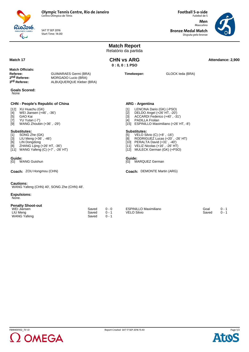

SAT 17 SEP 2016 Start Time: 14:00 **Football 5-a-side** Futebol de 5 **Men** Masculino

**Bronze Medal Match** Disputa pelo bronze



**Match Report** Relatório da partida **Match 17 Attendance: 2,900 CHN vs ARG Attendance: 2,900 CHN vs ARG 0 : 0, 0 : 1 PSO Match Officials: Referee:** GUIMARAES Germi (BRA)<br> **2<sup>nd</sup> Referee:** MORGADO Lucio (BRA) **2nd Referee:** MORGADO Lucio (BRA)<br> **3<sup>rd</sup> Referee:** ALBUQUERQUE Kleber **3rd Referee:** ALBUQUERQUE Kleber (BRA) **Timekeeper:** GLOCK Ieda (BRA) **Goals Scored:** None **CHN - People's Republic of China** [12] XU Huachu (GK) [4] WEI Jiansen (+46', -36')<br>[5] GAO Kai GAO Kai [7] YU Yutan (-7') [9] WANG Zhoubin (+36' , -29') **Substitutes:**<br>[1] SONG Z [1] SONG Zhe (GK)<br>[3] LIU Meng (+36',<br>[6] LIN Dongdong LIU Meng  $(+36', -46')$ LIN Dongdong [8] ZHANG Lijing (+26' HT, -36') [11] WANG Yafeng (C) (+7' , -26' HT) **ARG - Argentina** [1] LENCINA Dario (GK) (-PSO)<br>[2] DELDO Angel (+26' HT, -20')<br>[3] ACCARDI Federico (+40', -3 [2] DELDO Angel (+26' HT, -20') [3] ACCARDI Federico (+40' , -31') [4] PADILLA Froilan [15] ESPINILLO Maximiliano (+26' HT, -8') **Substitutes:**<br>[5] **VELO Si**  $VELO$  Silvio  $(C)$   $(+8'$  ,  $-16'$ ) [8] RODRIGUEZ Lucas (+20' , -26' HT) [10] PERALTA David (+31' , -40') [11] VELIZ Nicolas (+16' , -26' HT) [12] MULECK German (GK) (+PSO) **Guide:**<br>[G] WANG Guishun Guide:<br>[G] MARQUEZ German **Coach:** ZOU Hongmou (CHN) **DEMONTE Martin (ARG) Coach: DEMONTE Martin (ARG) Cautions:** WANG Yafeng (CHN) 40', SONG Zhe (CHN) 48'. **Expulsions:** None. **Penalty Shoot-out** WEI Jiansen Saved 0 - 0 LIU Meng Saved 0 - 1 WANG Yafeng Saved ESPINILLO Maximiliano Goal 0 - 1 VELO Silvio



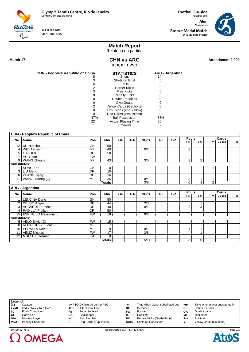Rio2016. SAT 17 SEP 2016 Start Time: 14:00

**Men** Masculino **Bronze Medal Match** Disputa pelo bronze

**Football 5-a-side** Futebol de 5



# **Match Report**

Relatório da partida

 $\overline{\mathbb{Q}}$ 

**CHN vs ARG 0 : 0, 0 : 1 PSO**

Match 17 **Attendance: 2,900 CHN vs ARG Attendance: 2,900** 

| <b>CHN - People's Republic of China</b> | <b>STATISTICS</b>              | <b>ARG</b> - Argentina |
|-----------------------------------------|--------------------------------|------------------------|
|                                         | Shots                          | 14                     |
|                                         | Shots on Goal                  | 5                      |
|                                         | Fouls                          |                        |
|                                         | <b>Corner Kicks</b>            |                        |
|                                         | <b>Free Kicks</b>              |                        |
|                                         | <b>Penalty Kicks</b>           |                        |
|                                         | <b>Double Penalties</b>        |                        |
|                                         | Own Goals:                     |                        |
| 2                                       | <b>Yellow Cards (Cautions)</b> |                        |
|                                         | Expulsions (2nd Yellow)        |                        |
| Ω                                       | Red Cards (Expulsions)         |                        |
| 47%                                     | <b>Ball Possession</b>         | 53%                    |
| 22                                      | <b>Actual Playing Time</b>     | 25                     |
|                                         | Timeouts                       |                        |

|                     | <b>CHN - People's Republic of China</b> |                          |                 |    |    |      |           |           |                 |                |                |        |                |
|---------------------|-----------------------------------------|--------------------------|-----------------|----|----|------|-----------|-----------|-----------------|----------------|----------------|--------|----------------|
|                     |                                         |                          |                 | GF | GA | SG/S |           | <b>DP</b> | <b>Fouls</b>    |                |                | Cards  |                |
|                     | No.   Name                              | Pos.                     | Min.            |    |    |      | <b>PK</b> |           | $\overline{FC}$ | F <sub>S</sub> | Y.             | $2Y=R$ | $\mathsf{R}$   |
|                     | 12 XU Huachu                            | GK                       | 50              |    |    |      |           |           |                 |                |                |        |                |
|                     | 4   WEI Jiansen                         | $\overline{\mathsf{MF}}$ | 40              |    |    | 0/2  |           |           | $\overline{2}$  |                |                |        |                |
|                     | 5 GAO Kai                               | DF                       | 50              |    |    |      |           |           |                 |                |                |        |                |
| 7 <sup>1</sup>      | <b>YU Yutan</b>                         | FW                       | $\overline{7}$  |    |    |      |           |           |                 |                |                |        |                |
|                     | 9   WANG Zhoubin                        | <b>MF</b>                | 43              |    |    | 3/5  |           |           | 1               | $\overline{2}$ |                |        |                |
| Substitutes:        |                                         |                          |                 |    |    |      |           |           |                 |                |                |        |                |
|                     | SONG Zhe                                | GK                       | 0               |    |    |      |           |           |                 |                | 1              |        |                |
|                     | 3   LIU Meng                            | DF                       | 10              |    |    |      |           |           |                 |                |                |        |                |
|                     | 8 ZHANG Lijing                          | DF                       | 16              |    |    |      |           |           |                 |                |                |        |                |
|                     | 11   WANG Yafeng (C)                    | MF                       | $\overline{35}$ |    |    | 0/1  |           |           | 3               | 1              | $\mathbf{1}$   |        |                |
|                     |                                         |                          | <b>Totals</b>   |    |    | 3/8  |           |           | 6               | $\overline{3}$ | $\overline{2}$ |        |                |
|                     | <b>ARG - Argentina</b>                  |                          |                 |    |    |      |           |           |                 |                |                |        |                |
|                     |                                         |                          |                 |    |    |      |           |           | <b>Fouls</b>    |                |                | Cards  |                |
|                     | No.   Name                              | Pos.                     | Min.            | GF | GA | SG/S | <b>PK</b> | <b>DP</b> | FC              | <b>FS</b>      | Y              | $2Y=R$ | $\overline{R}$ |
| $\mathbf{1}$        | <b>LENCINA Dario</b>                    | GK                       | 50              |    |    |      |           |           |                 |                |                |        |                |
|                     | 2   DELDO Angel                         | DF                       | 44              |    |    | 2/3  |           |           |                 | 1              |                |        |                |
|                     | 3 ACCARDI Federico                      | $\overline{DF}$          | 40              |    |    | 0/1  |           |           | 2               | $\overline{3}$ |                |        |                |
|                     | 4   PADILLA Froilan                     | $\overline{\mathsf{DF}}$ | $\overline{50}$ |    |    |      |           |           |                 |                |                |        |                |
|                     | 15   ESPINILLO Maximiliano              | FW                       | $\overline{18}$ |    |    | 0/3  |           |           |                 |                |                |        |                |
| <b>Substitutes:</b> |                                         |                          |                 |    |    |      |           |           |                 |                |                |        |                |
|                     | 5   VELO Silvio (C)                     | <b>FW</b>                | 15              |    |    |      |           |           |                 |                |                |        |                |
|                     | 8   RODRIGUEZ Lucas                     | MF                       | $\overline{7}$  |    |    |      |           |           |                 |                |                |        |                |
|                     | 10   PERALTA David                      | $\overline{\mathsf{MF}}$ | 9               |    |    | 0/1  |           |           | 1               | 1              |                |        |                |
| 11 <sup>1</sup>     | <b>VELIZ Nicolas</b>                    | <b>FW</b>                | $\overline{17}$ |    |    | 3/6  |           |           |                 | 1              |                |        |                |
|                     | 12   MULECK German                      | GK                       | $\Omega$        |    |    |      |           |           |                 |                |                |        |                |
|                     |                                         |                          | <b>Totals</b>   |    |    | 5/14 |           |           | 3               | 6              |                |        |                |

| Legend:    |                        |     |                               |           |                                  |       |                                 |
|------------|------------------------|-----|-------------------------------|-----------|----------------------------------|-------|---------------------------------|
| (C)        | Captain                |     | -/+ PSO GK injured during PSO | -nn       | Time when player substituted out | $+nn$ | Time when player substituted in |
| $2Y=R$     | 2nd Yellow = Red Card  | AET | After Extra Time              | DF        | Defender                         | DP    | Double Penalty                  |
| FC         | <b>Fouls Committed</b> | FS  | <b>Fouls Suffered</b>         | FW        | Forward                          | GΑ    | Goals Against                   |
| GF         | Goals For              | GK  | Goalkeeper                    | HТ        | Half-time                        | ΜF    | Midfielder                      |
| Min.       | Minutes Played         | No. | <b>Shirt Number</b>           | <b>PK</b> | Penalty Kicks (Goals/Shots)      | Pos.  | Position                        |
| <b>PSO</b> | Penalty Shoot-out      | R   | Red Cards (Expulsions)        | SG/S      | Shots on Goal/Shots              |       | <b>Yellow Cards (Cautions)</b>  |
|            |                        |     |                               |           |                                  |       |                                 |



FBM400102\_73 1.0 Report Created SAT 17 SEP 2016 15:43

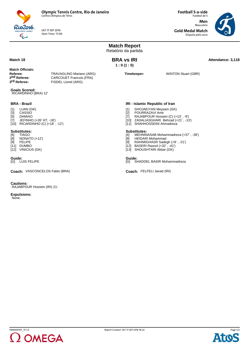

SAT 17 SEP 2016 Start Time: 17:00 **Football 5-a-side** Futebol de 5 **Men** Masculino

**Gold Medal Match** Disputa pelo ouro



**Match Report** Relatório da partida **Match 18 Attendance: 3,118 Attendance: 3,118 Attendance: 3,118 BRA vs IRI 1 : 0 (1 : 0) Match Officials: Referee:** TRAVAGLINO Mariano (ARG)<br> **2nd Referee:** CARCOUET Francois (FRA) 2nd Referee: CARCOUET Francois (FRA)<br> **3<sup>rd</sup> Referee:** FISDEL Lionel (ARG) **FISDEL Lionel (ARG) Timekeeper:** WINTON Stuart (GBR) **Goals Scored:** RICARDINHO (BRA) 12' **BRA - Brazil** [1] LUAN (GK)<br>[3] CASSIO<br>[5] DAMIAO CASSIO DAMIAO [7] JEFINHO (+26' HT, -18') [10] RICARDINHO (C) (+18' , -12') **Substitutes:** [6] TIAGO  $\begin{bmatrix} 8 \\ 19 \end{bmatrix}$  NONATO (+12') **FELIPE** [11] DUMBO [11] Bombo<br>[12] VINICIUS (GK) **IRI - Islamic Republic of Iran** [1] SHOJAEIYAN Meysam (GK)<br>[2] POURRAZAVI Amir<br>[7] RAJABPOUR Hossein (C) (+ POURRAZAVI Amir RAJABPOUR Hossein (C) (+13', -9') [10] ZADALIASGHARI Behzad (+21' , -13') [11] SHAHHOSSEINI Ahmadreza **Substitutes:**<br>[4] MEHNIN (4) MEHNINASAB Mohammadreza (+37', -39')<br>[8] HEIDARI Mohammad<br>[9] RAHIMIGHASR Sadegh (+9', -21') HEIDARI Mohammad RAHIMIGHASR Sadegh (+9', -21') [12] BASERI Rasool (+32' , -41') [13] SHOUSHTARI Akbar (GK) **Guide:**<br>[G] LUIS FELIPE Guide:<br>[G] SHADDEL BASIR Mohammadreza Coach: VASCONCELOS Fabio (BRA) FELFELI Javad (IRI)

**Cautions:** RAJABPOUR Hossein (IRI) 21'.

**Expulsions:**

None.



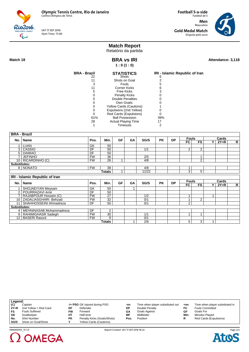

SAT 17 SEP 2016 Start Time: 17:00

**Football 5-a-side** Futebol de 5 **Men** Masculino **Gold Medal Match** Disputa pelo ouro



## **Match Report**

Relatório da partida

**BRA vs IRI 1 : 0 (1 : 0)**

**Match 18 Attendance: 3,118 BRA vs IRI Attendance: 3,118** 

| <b>BRA - Brazil</b> | <b>STATISTICS</b>              | IRI - Islamic Republic of Iran |
|---------------------|--------------------------------|--------------------------------|
| 22                  | Shots                          | 6                              |
| 11                  | Shots on Goal                  |                                |
|                     | <b>Fouls</b>                   |                                |
|                     | <b>Corner Kicks</b>            | ჩ                              |
|                     | Free Kicks                     |                                |
|                     | <b>Penalty Kicks</b>           |                                |
|                     | <b>Double Penalties</b>        |                                |
|                     | Own Goals:                     |                                |
|                     | <b>Yellow Cards (Cautions)</b> |                                |
|                     | Expulsions (2nd Yellow)        |                                |
|                     | Red Cards (Expulsions)         |                                |
| 61%                 | <b>Ball Possession</b>         | 39%                            |
| 28                  | <b>Actual Playing Time</b>     | 17                             |
|                     | Timeouts                       |                                |

|                     | <b>BRA - Brazil</b>            |           |        |           |    |            |           |           |              |                |     |        |              |
|---------------------|--------------------------------|-----------|--------|-----------|----|------------|-----------|-----------|--------------|----------------|-----|--------|--------------|
|                     | No.   Name                     | Pos.      | Min.   | <b>GF</b> | GA | SG/S       | <b>PK</b> | <b>DP</b> | <b>Fouls</b> |                |     | Cards  |              |
|                     |                                |           |        |           |    |            |           |           | FC.          | <b>FS</b>      | Y I | $2Y=R$ | $\mathsf{R}$ |
|                     | 1 LUAN                         | GK        | 50     |           |    |            |           |           |              |                |     |        |              |
|                     | 3   CASSIO                     | DF        | 50     |           |    | 1/1        |           |           | 2            | $\overline{2}$ |     |        |              |
| 5 <sup>1</sup>      | <b>DAMIAO</b>                  | DF        | 50     |           |    |            |           |           |              |                |     |        |              |
| 7 I                 | <b>JEFINHO</b>                 | <b>FW</b> | 36     |           |    | 2/5        |           |           |              |                |     |        |              |
|                     | 10 RICARDINHO (C)              | <b>FW</b> | 26     | 1         |    | 4/8        |           |           |              | $\overline{2}$ |     |        |              |
| <b>Substitutes:</b> |                                |           |        |           |    |            |           |           |              |                |     |        |              |
|                     | 8 NONATO                       | <b>FW</b> | 38     |           |    | 4/8        |           |           | 1            |                |     |        |              |
|                     |                                |           | Totals | 1         |    | 11/22      |           |           | 3            | 5              |     |        |              |
|                     | IRI - Islamic Republic of Iran |           |        |           |    |            |           |           |              |                |     |        |              |
|                     |                                |           |        |           |    |            |           |           |              |                |     |        |              |
|                     |                                |           |        |           |    |            |           |           | <b>Fouls</b> |                |     | Cards  |              |
|                     | No.   Name                     | Pos.      | Min.   | <b>GF</b> | GA | SG/S       | <b>PK</b> | <b>DP</b> | FC.          | <b>FS</b>      | ΥI  | $2Y=R$ | R            |
|                     | <b>SHOJAEIYAN Meysam</b>       | GK        | 50     |           |    |            |           |           |              |                |     |        |              |
|                     | 2   POURRAZAVI Amir            | DF        | 50     |           |    |            |           |           |              |                |     |        |              |
|                     | RAJABPOUR Hossein (C)          | <b>FW</b> | 27     |           |    | 1/2        |           |           | 1            |                |     |        |              |
|                     | 10 ZADALIASGHARI Behzad        | <b>FW</b> | 32     |           |    | 0/1        |           |           | 1            | 2              |     |        |              |
|                     | 11   SHAHHOSSEINI Ahmadreza    | DF        | 50     |           |    | 0/1        |           |           | 2            |                |     |        |              |
| <b>Substitutes:</b> |                                |           |        |           |    |            |           |           |              |                |     |        |              |
|                     | 4   MEHNINASAB Mohammadreza    | DF        | 2      |           |    |            |           |           |              |                |     |        |              |
|                     | 9   RAHIMIGHASR Sadegh         | <b>FW</b> | 30     |           |    | 1/1        |           |           | 1            |                |     |        |              |
|                     | 12   BASERI Rasool             | <b>FW</b> | 9      |           |    | 0/1<br>2/6 |           |           |              |                |     |        |              |

| Legend: |                       |           |                                |     |                                  |       |                                 |
|---------|-----------------------|-----------|--------------------------------|-----|----------------------------------|-------|---------------------------------|
| (C)     | Captain               |           | -/+ PSO GK injured during PSO  | -nn | Time when player substituted out | $+nn$ | Time when player substituted in |
| $2Y=R$  | 2nd Yellow = Red Card | DF        | Defender                       | DP  | Double Penalty                   | FC    | <b>Fouls Committed</b>          |
| FS      | <b>Fouls Suffered</b> | FW        | Forward                        | GΛ  | Goals Against                    | GF    | Goals For                       |
| GK      | Goalkeeper            | HТ        | Half-time                      | MF  | Midfielder                       | Min.  | Minutes Played                  |
| No.     | <b>Shirt Number</b>   | <b>PK</b> | Penalty Kicks (Goals/Shots)    | Pos | Position                         |       | Red Cards (Expulsions)          |
| SG/S    | Shots on Goal/Shots   |           | <b>Yellow Cards (Cautions)</b> |     |                                  |       |                                 |



Page 2/2**Atos**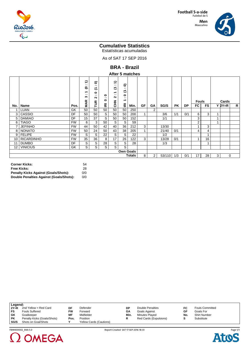

#### **Men** Masculino



## **Cumulative Statistics**

Estatísticas acumuladas

As of SAT 17 SEP 2016

**BRA - Brazil**

|        |                   |           | €<br>$\cdot$ .<br>౽<br>↽<br>$\cdot$ .<br>∾<br><b>MAR</b> | ຣ<br>. .<br>こ<br>$\bullet$<br>. .<br>$\sim$<br>FUR | 0<br>. .<br>0 | €<br>$\cdot$ .<br>こ<br>٠<br>$\sim$<br>$\sim$<br>로<br>동 | ຣ<br>$\cdot$ .<br>↽<br>$\check{ }$<br>0<br>$\cdots$<br>↽ |      |    |                |        |           |           | <b>Fouls</b>   |                         |   | Cards    |   |
|--------|-------------------|-----------|----------------------------------------------------------|----------------------------------------------------|---------------|--------------------------------------------------------|----------------------------------------------------------|------|----|----------------|--------|-----------|-----------|----------------|-------------------------|---|----------|---|
| No.    | Name              | Pos.      |                                                          |                                                    | ē             |                                                        | 区                                                        | Min. | GF | GA             | SG/S   | <b>PK</b> | <b>DP</b> | FC             | FS                      |   | $Y$ 2Y=R | R |
|        | <b>LUAN</b>       | GK        | 50                                                       | 50                                                 | 50            | 50                                                     | 50                                                       | 250  |    | $\overline{2}$ |        |           |           |                |                         |   |          |   |
| 3      | CASSIO            | DF        | 50                                                       | 50                                                 | S             | 50                                                     | 50                                                       | 200  |    |                | 3/6    | 1/1       | 0/1       | 6              | 3                       |   |          |   |
| 5      | <b>DAMIAO</b>     | DF        | 15                                                       | 37                                                 | S             | 50                                                     | 50                                                       | 152  |    |                | 1/1    |           |           | 3              |                         |   |          |   |
| 6      | <b>TIAGO</b>      | <b>FW</b> | 6                                                        | 3                                                  | 50            | S                                                      | S                                                        | 59   |    |                |        |           |           | $\overline{2}$ |                         |   |          |   |
| 7      | <b>JEFINHO</b>    | <b>FW</b> | 44                                                       | 50                                                 | 42            | 40                                                     | 36                                                       | 212  | 3  |                | 13/30  |           |           |                | 3                       |   |          |   |
| 8      | <b>NONATO</b>     | <b>FW</b> | 50                                                       | 24                                                 | 50            | 43                                                     | 38                                                       | 205  |    |                | 21/40  | 0/1       |           | 4              | 4                       |   |          |   |
| 9      | <b>FELIPE</b>     | <b>FW</b> | S                                                        | S                                                  | 22            | S                                                      | S                                                        | 22   |    |                | 1/2    |           |           |                | 4                       |   |          |   |
| 10     | <b>RICARDINHO</b> | <b>FW</b> | 35                                                       | 36                                                 | 8             | 17                                                     | 26                                                       | 122  | 3  |                | 13/28  | 0/1       |           | $\overline{A}$ | 16                      |   |          |   |
| 11     | <b>DUMBO</b>      | DF        | S                                                        | S                                                  | 28            | S                                                      | S                                                        | 28   |    |                | 1/3    |           |           |                | $\overline{\mathbf{A}}$ |   |          |   |
| 12     | <b>VINICIUS</b>   | GK        | S                                                        | S                                                  | S             | S                                                      | S                                                        |      |    |                |        |           |           |                |                         |   |          |   |
|        |                   |           |                                                          |                                                    |               |                                                        | <b>Own Goals</b>                                         |      |    |                |        |           |           |                |                         |   |          |   |
| Totals |                   |           |                                                          |                                                    |               |                                                        |                                                          |      |    |                | 53/110 | 1/3       | 0/1       | 17             | 28                      | 3 | 0        |   |

| <b>Corner Kicks:</b>                        | 54  |
|---------------------------------------------|-----|
| <b>Free Kicks:</b>                          | 28  |
| <b>Penalty Kicks Against (Goals/Shots):</b> | 0/0 |
| Double Penalties Against (Goals/Shots):     | 0/0 |

| Legend:   |                             |           |                                |      |                        |     |                        |  |
|-----------|-----------------------------|-----------|--------------------------------|------|------------------------|-----|------------------------|--|
| $2Y=R$    | 2nd Yellow = Red Card       | DF        | Defender                       | DP   | Double Penalties       | FC  | <b>Fouls Committed</b> |  |
| FS        | <b>Fouls Suffered</b>       | <b>FW</b> | Forward                        | GΑ   | Goals Against          | GF  | Goals For              |  |
| GK        | Goalkeeper                  | МF        | Midfielder                     | Min. | Minutes Played         | No. | <b>Shirt Number</b>    |  |
| <b>PK</b> | Penalty Kicks (Goals/Shots) | Pos.      | Position                       |      | Red Cards (Expulsions) |     | Substitute             |  |
| SG/S      | Shots on Goal/Shots         | v         | <b>Yellow Cards (Cautions)</b> |      |                        |     |                        |  |



Page 1/1 **Atos**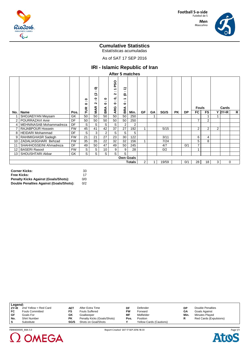

#### **Men** Masculino



## **Cumulative Statistics**

Estatísticas acumuladas

As of SAT 17 SEP 2016

## **IRI - Islamic Republic of Iran**

**After 5 matches**

|                 |                         |           | 0<br>$\cdot$ .<br>0<br>Ĕ | ຣ<br>. .<br>હ<br>۰<br>$\cdot$ .<br>$\sim$<br><b>MAR</b> | 0<br>$\cdot$ .<br>0<br>⋖ | <b>PSO</b><br>↽<br>$\cdot$ .<br>$\sim$<br>Ò,<br>$\sim$<br>$\bullet$<br>ARG | ₽<br>. .<br>ల<br>↽<br>. .<br>$\bullet$<br>⋖<br>œ |        |                |           |       |           |           | <b>Fouls</b>   |                |                | Cards    |   |
|-----------------|-------------------------|-----------|--------------------------|---------------------------------------------------------|--------------------------|----------------------------------------------------------------------------|--------------------------------------------------|--------|----------------|-----------|-------|-----------|-----------|----------------|----------------|----------------|----------|---|
| No.             | Name                    | Pos.      |                          |                                                         | 몺                        |                                                                            | $\overline{m}$                                   | Min.   | GF             | <b>GA</b> | SG/S  | <b>PK</b> | <b>DP</b> | FC             | <b>FS</b>      |                | $Y$ 2Y=R | R |
|                 | SHOJAEIYAN Meysam       | GK        | 50                       | 50                                                      | 50                       | 50                                                                         | 50                                               | 250    |                |           |       |           |           |                |                |                |          |   |
| 2               | POURRAZAVI Amir         | DF        | 50                       | 50                                                      | 50                       | 50                                                                         | 50                                               | 250    |                |           |       |           |           | $\overline{7}$ | 2              |                |          |   |
| 4               | MEHNINASAB Mohammadreza | DF        | S                        | S                                                       | S                        | S                                                                          | 2                                                | 2      |                |           |       |           |           |                |                |                |          |   |
|                 | RAJABPOUR Hossein       | <b>FW</b> | 45                       | 41                                                      | 42                       | 37                                                                         | 27                                               | 192    | 1              |           | 5/15  |           |           | $\overline{2}$ | $\overline{2}$ | $\overline{2}$ |          |   |
| 8               | <b>HEIDARI</b> Mohammad | DF        | S                        | 3                                                       | $\overline{2}$           | S                                                                          | S                                                | 5      |                |           |       |           |           |                |                |                |          |   |
| 9               | RAHIMIGHASR Sadegh      | <b>FW</b> | 21                       | 21                                                      | 27                       | 23                                                                         | 30                                               | 122    |                |           | 3/11  |           |           | 6              | 4              |                |          |   |
| 10              | ZADALIASGHARI Behzad    | <b>FW</b> | 35                       | 35                                                      | 22                       | 32                                                                         | 32                                               | 156    | 1              |           | 7/24  |           |           | 5              | 8              |                |          |   |
| 11              | SHAHHOSSEINI Ahmadreza  | DF        | 49                       | 50                                                      | 47                       | 49                                                                         | 50                                               | 245    |                |           | 4/7   |           | 0/1       | 7              |                |                |          |   |
| 12 <sup>2</sup> | <b>BASERI Rasool</b>    | <b>FW</b> | S                        | S                                                       | 10                       | 9                                                                          | 9                                                | 28     |                |           | 0/2   |           |           | 1              |                |                |          |   |
| 13              | SHOUSHTARI Akbar        | GK        | S                        | S                                                       | S                        | $\overline{s}$                                                             | S.                                               |        |                |           |       |           |           |                |                |                |          |   |
|                 |                         |           |                          |                                                         |                          |                                                                            | <b>Own Goals</b>                                 |        |                |           |       |           |           |                |                |                |          |   |
|                 |                         |           |                          |                                                         |                          |                                                                            |                                                  | Totals | $\overline{2}$ |           | 19/59 |           | 0/1       | 28             | 18             | 3              | $\Omega$ |   |

| <b>Corner Kicks:</b>                        | 33  |
|---------------------------------------------|-----|
| <b>Free Kicks:</b>                          | 17  |
| <b>Penalty Kicks Against (Goals/Shots):</b> | 0/0 |
| Double Penalties Against (Goals/Shots):     | 0/2 |

| Legend: |                        |      |                             |           |                                |      |                        |
|---------|------------------------|------|-----------------------------|-----------|--------------------------------|------|------------------------|
| $2Y=R$  | 2nd Yellow = Red Card  | AET  | After Extra Time            | DF        | Defender                       | DP   | Double Penalties       |
| FC      | <b>Fouls Committed</b> | FS   | <b>Fouls Suffered</b>       | <b>FW</b> | Forward                        | GΑ   | Goals Against          |
| GF      | Goals For              | GK   | Goalkeeper                  | МF        | Midfielder                     | Min. | Minutes Played         |
| No.     | <b>Shirt Number</b>    | PΚ   | Penalty Kicks (Goals/Shots) | Pos.      | Position                       |      | Red Cards (Expulsions) |
| -S      | Substitute             | SG/S | Shots on Goal/Shots         |           | <b>Yellow Cards (Cautions)</b> |      |                        |





FBM400005\_84A 5.0 Report Created SAT 17 SEP 2016 18:33

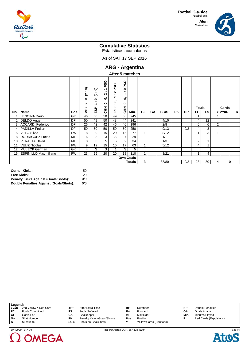

#### **Men** Masculino



## **Cumulative Statistics**

Estatísticas acumuladas

As of SAT 17 SEP 2016

**ARG - Argentina**

|  | After 5 matches |  |
|--|-----------------|--|
|--|-----------------|--|

|                  |                              |           | ຣ<br>$\cdot$ .<br>હ                         | ຣ<br>$\cdot$ .<br>$\mathbf{e}$                     | <b>DSO</b><br>↽<br>. .<br>Ν | <b>PSO</b><br>$\sim$<br>$\sim$                        | <b>PSO</b><br>$\bullet$<br>$\cdot$ .<br>↽ |      |    |           |       |           |           |                |                |   |             |   |
|------------------|------------------------------|-----------|---------------------------------------------|----------------------------------------------------|-----------------------------|-------------------------------------------------------|-------------------------------------------|------|----|-----------|-------|-----------|-----------|----------------|----------------|---|-------------|---|
|                  |                              |           | $\bullet$<br>$\bullet$ .<br>Ν<br><b>MEX</b> | $\bullet$<br>$\cdot$ .<br>$\overline{\phantom{0}}$ | 0<br>. .<br>0<br>롡          | $\overline{\phantom{0}}$<br>Ò,<br>$\sim$<br>$\bullet$ | 0<br>$\cdot$ .<br>0<br>$rac{z}{c}$        |      |    |           |       |           |           | <b>Fouls</b>   |                |   | Cards       |   |
| No.              | Name                         | Pos.      |                                             | ESP                                                |                             | ≌                                                     |                                           | Min. | GF | <b>GA</b> | SG/S  | <b>PK</b> | <b>DP</b> | FC             | <b>FS</b>      |   | $Y$ 2Y=R    | R |
|                  | LENCINA Dario                | GK        | 46                                          | 50                                                 | 50                          | 49                                                    | 50                                        | 245  |    |           |       |           |           |                |                |   |             |   |
| $\overline{2}$   | DELDO Angel                  | <b>DF</b> | 50                                          | 49                                                 | 50                          | 48                                                    | 44                                        | 241  |    |           | 4/10  |           |           | 4              | 12             |   |             |   |
| 3                | <b>ACCARDI Federico</b>      | DF        | 26                                          | 42                                                 | 42                          | 46                                                    | 40                                        | 196  |    |           | 2/8   |           |           | 6              | 6              | 2 |             |   |
| 4                | <b>PADILLA Froilan</b>       | DF        | 50                                          | 50                                                 | 50                          | 50                                                    | 50                                        | 250  |    |           | 9/13  |           | 0/2       | 4              | 3              |   |             |   |
| 5                | <b>VELO Silvio</b>           | <b>FW</b> | 18                                          | 9                                                  | 15                          | 20                                                    | 15                                        | 77   |    |           | 8/12  |           |           |                | 3              |   |             |   |
| 8                | <b>RODRIGUEZ Lucas</b>       | <b>MF</b> | 16                                          | 3                                                  | 3                           | S                                                     | $\overline{7}$                            | 29   |    |           | 1/1   |           |           |                |                |   |             |   |
| 10               | PERALTA David                | MF        | 8                                           | 6                                                  | 5                           | 6                                                     | 9                                         | 34   |    |           | 1/3   |           |           | 2              | $\overline{ }$ |   |             |   |
|                  | <b>VELIZ Nicolas</b>         | <b>FW</b> | 9                                           | 12                                                 | 15                          | 10                                                    | 17                                        | 63   |    |           | 5/12  |           |           | 4              | $\overline{A}$ |   |             |   |
| 12               | <b>MULECK German</b>         | GK        | 4                                           | S                                                  | S                           | $\mathbf{1}$                                          | S                                         | 5    |    |           |       |           |           |                |                |   |             |   |
| 15               | <b>ESPINILLO Maximiliano</b> | <b>FW</b> | 23                                          | 29                                                 | 20                          | 20                                                    | 18                                        | 110  | 1  |           | 8/21  |           |           | $\overline{ }$ | 4              |   |             |   |
| <b>Own Goals</b> |                              |           |                                             |                                                    |                             |                                                       |                                           |      |    |           |       |           |           |                |                |   |             |   |
| <b>Totals</b>    |                              |           |                                             |                                                    |                             |                                                       |                                           |      | 3  |           | 38/80 |           | 0/2       | 23             | 30             | 4 | $\mathbf 0$ |   |

| <b>Corner Kicks:</b>                        | 50  |
|---------------------------------------------|-----|
| <b>Free Kicks:</b>                          | 29  |
| <b>Penalty Kicks Against (Goals/Shots):</b> | 0/0 |
| Double Penalties Against (Goals/Shots):     | 0/0 |

| Legend: |                        |           |                             |      |                                |      |                        |
|---------|------------------------|-----------|-----------------------------|------|--------------------------------|------|------------------------|
| $2Y=R$  | 2nd Yellow = Red Card  | AE1       | After Extra Time            | DF   | Defender                       | DΡ   | Double Penalties       |
| FC      | <b>Fouls Committed</b> | FS        | <b>Fouls Suffered</b>       | FW   | Forward                        | GΑ   | Goals Against          |
| GF      | Goals For              | GK        | Goalkeeper                  | ΜF   | Midfielder                     | Min. | Minutes Played         |
| No.     | <b>Shirt Number</b>    | <b>PK</b> | Penalty Kicks (Goals/Shots) | Pos. | Position                       |      | Red Cards (Expulsions) |
| s       | Substitute             | SG/S      | Shots on Goal/Shots         |      | <b>Yellow Cards (Cautions)</b> |      |                        |





FBM400001\_84A 5.0 Report Created SAT 17 SEP 2016 15:49

Page 1/1Ato: C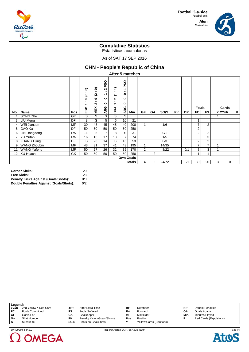

#### **Men** Masculino



## **Cumulative Statistics**

Estatísticas acumuladas

As of SAT 17 SEP 2016

## **CHN - People's Republic of China**

**After 5 matches**

|                  |                     |           | ຣ<br>$\cdot$ .<br>ల<br>$\bullet$<br>$\bullet$ $\bullet$<br>↽<br>ESP | ຣ<br>$\blacksquare$<br>ମ୍ବ<br>$\bullet$<br>$\cdots$<br>$\sim$<br>MEX | ဝွ<br>۵.<br>ี<br>$\cdot$ .<br>↽<br>$\bullet$<br>$\cdot$<br>$\bullet$<br>ARG | ុ<br>$\sim$<br>$\overline{z}$<br>$\sim$<br>$\sim$<br>$\overline{\phantom{0}}$<br>BRA | PSO<br>↽<br>$\cdot$ .<br>0<br>$\bullet$<br>$\cdot$ .<br>$\bullet$<br>ARG |      |    |           |       |           |           | <b>Fouls</b>            |                |   | Cards    |   |
|------------------|---------------------|-----------|---------------------------------------------------------------------|----------------------------------------------------------------------|-----------------------------------------------------------------------------|--------------------------------------------------------------------------------------|--------------------------------------------------------------------------|------|----|-----------|-------|-----------|-----------|-------------------------|----------------|---|----------|---|
| No. l            | Name                | Pos.      |                                                                     |                                                                      |                                                                             |                                                                                      |                                                                          | Min. | GF | <b>GA</b> | SG/S  | <b>PK</b> | <b>DP</b> | FC                      | <b>FS</b>      |   | $Y$ 2Y=R | R |
| 1                | SONG Zhe            | GK        | S                                                                   | $\overline{s}$                                                       | S                                                                           | S                                                                                    | S                                                                        |      |    |           |       |           |           |                         |                |   |          |   |
| 3 <sup>1</sup>   | LIU Meng            | DF        | S                                                                   | S                                                                    | 5                                                                           | 6                                                                                    | 10 <sup>1</sup>                                                          | 21   |    |           |       |           |           | 1                       |                |   |          |   |
| 4                | WEI Jiansen         | MF        | 30                                                                  | 48                                                                   | 45                                                                          | 45                                                                                   | 40                                                                       | 208  | 1  |           | 1/6   |           |           | $\overline{7}$          | 2              |   |          |   |
| 5                | GAO Kai             | DF        | 50                                                                  | 50                                                                   | 50                                                                          | 50                                                                                   | 50                                                                       | 250  |    |           |       |           |           | $\overline{\mathbf{c}}$ |                |   |          |   |
| 6                | <b>LIN Dongdong</b> | <b>FW</b> | 11                                                                  | 5                                                                    | $\overline{7}$                                                              | 8                                                                                    | S                                                                        | 31   |    |           | 0/1   |           |           | $\overline{2}$          | $\overline{2}$ |   |          |   |
| $\overline{7}$   | <b>YU Yutan</b>     | <b>FW</b> | 16                                                                  | 16                                                                   | 17                                                                          | 18                                                                                   | $\overline{7}$                                                           | 74   |    |           | 1/5   |           |           |                         | 3              |   |          |   |
| 8                | ZHANG Lijing        | DF        | S                                                                   | 23                                                                   | 14                                                                          | S                                                                                    | 16                                                                       | 53   |    |           | 0/3   |           |           | $\overline{2}$          | $\overline{2}$ |   |          |   |
| 9                | <b>WANG Zhoubin</b> | MF        | 43                                                                  | 31                                                                   | 37                                                                          | 41                                                                                   | 43                                                                       | 195  | 1  |           | 14/35 |           |           | 7                       | $\overline{7}$ | 4 |          |   |
| 11 <sup>1</sup>  | <b>WANG Yafeng</b>  | MF        | 50                                                                  | 27                                                                   | 26                                                                          | 32                                                                                   | 35                                                                       | 170  | 2  |           | 8/22  |           | 0/1       | 8                       | 3              | 1 |          |   |
| 12 <sub>1</sub>  | XU Huachu           | GK        | 50                                                                  | 50                                                                   | 50                                                                          | 50                                                                                   | 50                                                                       | 250  |    | 2         |       |           |           | 1                       |                |   |          |   |
| <b>Own Goals</b> |                     |           |                                                                     |                                                                      |                                                                             |                                                                                      |                                                                          |      |    |           |       |           |           |                         |                |   |          |   |
| <b>Totals</b>    |                     |           |                                                                     |                                                                      |                                                                             |                                                                                      |                                                                          |      | 4  | 2         | 24/72 |           | 0/1       | 30                      | 20             | 3 | $\Omega$ |   |
|                  |                     |           |                                                                     |                                                                      |                                                                             |                                                                                      |                                                                          |      |    |           |       |           |           |                         |                |   |          |   |

| <b>Corner Kicks:</b>                        | 20  |
|---------------------------------------------|-----|
| <b>Free Kicks:</b>                          | 23  |
| <b>Penalty Kicks Against (Goals/Shots):</b> | 0/0 |
| Double Penalties Against (Goals/Shots):     | 0/2 |

| Legend: |                        |           |                             |      |                                |      |                        |
|---------|------------------------|-----------|-----------------------------|------|--------------------------------|------|------------------------|
| $2Y=R$  | 2nd Yellow = Red Card  | AE1       | After Extra Time            | DF   | Defender                       | DP   | Double Penalties       |
| FC      | <b>Fouls Committed</b> | FS        | <b>Fouls Suffered</b>       | FW   | Forward                        | GΑ   | Goals Against          |
| GF      | Goals For              | GK        | Goalkeeper                  | MF   | Midfielder                     | Min. | Minutes Played         |
| No.     | <b>Shirt Number</b>    | <b>PK</b> | Penalty Kicks (Goals/Shots) | Pos. | Position                       | R    | Red Cards (Expulsions) |
| s       | Substitute             | SG/S      | Shots on Goal/Shots         |      | <b>Yellow Cards (Cautions)</b> |      |                        |





FBM400003\_84A 5.0 Report Created SAT 17 SEP 2016 15:49

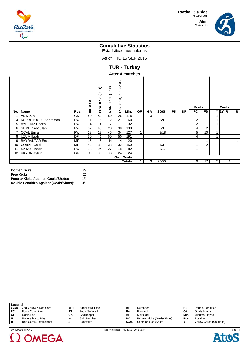

#### **Men** Masculino



## **Cumulative Statistics**

Estatísticas acumuladas

As of THU 15 SEP 2016

**TUR - Turkey**

### **After 4 matches**

| , .…v. → …utv…vo |                        |                  |                                     |                                                           |                                                         |                                                                |      |    |    |       |           |           |                |                 |   |          |              |  |       |  |  |
|------------------|------------------------|------------------|-------------------------------------|-----------------------------------------------------------|---------------------------------------------------------|----------------------------------------------------------------|------|----|----|-------|-----------|-----------|----------------|-----------------|---|----------|--------------|--|-------|--|--|
|                  |                        |                  | 0<br><br>۰                          | ∽<br>↽<br>$\cdot$ .<br>ల<br>$\sim$<br>$\cdot$ .<br>0<br>⋖ | ຣ<br>$\sim$<br>٣<br>◡<br>↽<br>$\sim$<br>↽<br><b>MAR</b> | <b>PSO</b><br>0<br>. .<br>↽<br>$\mathbf{C}$<br>. .<br>0<br>ESP |      |    |    |       |           |           | <b>Fouls</b>   |                 |   |          |              |  | Cards |  |  |
| No.              | Name                   | Pos.             | $\overline{\underline{\mathbf{c}}}$ | BK.                                                       |                                                         |                                                                | Min. | GF | GA | SG/S  | <b>PK</b> | <b>DP</b> | FC             | <b>FS</b>       |   | $Y$ 2Y=R | R            |  |       |  |  |
|                  | <b>AKTAS Ali</b>       | GK               | 50                                  | 50                                                        | 50                                                      | 26                                                             | 176  |    | 3  |       |           |           |                |                 |   |          |              |  |       |  |  |
| 4                | KURBETOGLU Kahraman    | <b>FW</b>        | 11                                  | 16                                                        | 12                                                      | 21                                                             | 60   |    |    | 3/9   |           |           | $\overline{2}$ |                 |   |          |              |  |       |  |  |
| 5                | <b>AYDENIZ Recep</b>   | <b>FW</b>        | 4                                   | 14                                                        | $\overline{7}$                                          | $\overline{7}$                                                 | 32   |    |    |       |           |           | $\overline{2}$ |                 | 1 |          |              |  |       |  |  |
| 6                | <b>SUMER Abdullah</b>  | <b>FW</b>        | 37                                  | 43                                                        | 20                                                      | 38                                                             | 138  |    |    | 0/3   |           |           | 4              | $\overline{2}$  |   |          |              |  |       |  |  |
| 7                | <b>OCAL Emrah</b>      | <b>FW</b>        | 28                                  | 19                                                        | 46                                                      | 34                                                             | 127  |    |    | 8/18  |           |           | 5              | 10 <sup>1</sup> | 1 |          |              |  |       |  |  |
| 8                | UZUM Ibrahim           | DF               | 50                                  | 41                                                        | 50                                                      | 50                                                             | 191  |    |    |       |           |           | 4              |                 |   |          |              |  |       |  |  |
| 9                | <b>BAYRAKTAR Ercan</b> | <b>MF</b>        | 15                                  | 5                                                         | N                                                       | N                                                              | 20   |    |    |       |           |           |                |                 |   |          | $\mathbf{1}$ |  |       |  |  |
| 10               | <b>COBAN Celal</b>     | <b>MF</b>        | 42                                  | 38                                                        | 38                                                      | 32                                                             | 150  |    |    | 1/3   |           |           |                | $\overline{2}$  |   |          |              |  |       |  |  |
| 11               | SATAY Hasan            | <b>FW</b>        | 13                                  | 24                                                        | 27                                                      | 18                                                             | 82   |    |    | 8/17  |           |           |                |                 |   |          |              |  |       |  |  |
| 12               | <b>AKYON Aykut</b>     | GK               | S                                   | S                                                         | S                                                       | 24                                                             | 24   |    |    |       |           |           |                |                 |   |          |              |  |       |  |  |
|                  |                        | <b>Own Goals</b> |                                     |                                                           |                                                         |                                                                |      |    |    |       |           |           |                |                 |   |          |              |  |       |  |  |
| Totals           |                        |                  |                                     |                                                           |                                                         |                                                                |      |    | 3  | 20/50 |           |           | 19             | 17              | 5 | 1        |              |  |       |  |  |

| <b>Corner Kicks:</b>                        | 29  |
|---------------------------------------------|-----|
| Free Kicks:                                 | 21  |
| <b>Penalty Kicks Against (Goals/Shots):</b> | 1/1 |
| Double Penalties Against (Goals/Shots):     | 0/1 |

|        | Legend:                |            |                       |           |                             |      |                                |  |  |  |  |  |  |
|--------|------------------------|------------|-----------------------|-----------|-----------------------------|------|--------------------------------|--|--|--|--|--|--|
| $2Y=R$ | 2nd Yellow = Red Card  | <b>AET</b> | After Extra Time      | DF        | Defender                    | DΡ   | Double Penalties               |  |  |  |  |  |  |
| FC     | <b>Fouls Committed</b> | FS         | <b>Fouls Suffered</b> | <b>FW</b> | Forward                     | GΑ   | Goals Against                  |  |  |  |  |  |  |
| GF     | Goals For              | GK         | Goalkeeper            | МF        | Midfielder                  | Min. | Minutes Played                 |  |  |  |  |  |  |
| N      | Not eligible to Play   | No.        | <b>Shirt Number</b>   | <b>PK</b> | Penalty Kicks (Goals/Shots) | Pos. | Position                       |  |  |  |  |  |  |
| R      | Red Cards (Expulsions) |            | Substitute            | SG/S      | Shots on Goal/Shots         |      | <b>Yellow Cards (Cautions)</b> |  |  |  |  |  |  |
|        |                        |            |                       |           |                             |      |                                |  |  |  |  |  |  |





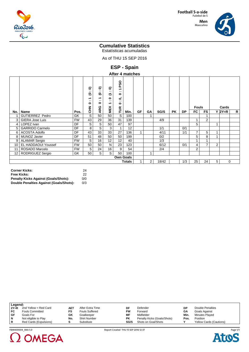

#### **Men** Masculino



## **Cumulative Statistics**

Estatísticas acumuladas

As of THU 15 SEP 2016

**ESP - Spain**

| After 4 matches |  |
|-----------------|--|
|-----------------|--|

|                   |                        |           | ຣ<br>$\sim$<br>౿<br>↽<br>$\cdot$ .<br>0<br>로<br>5 | ຣ<br>$\cdot$ .<br>ల<br>↽<br>$\sim$<br>$\bullet$<br>ပ | ຣ<br>$\sim$<br>こ<br>$\bullet$<br>$\sim$<br>↽<br>MEX | <b>PSO</b><br>↽<br>$\cdot$ .<br>0<br>$\mathbf{C}$<br>$\cdot$ .<br>۰<br>TUR |      |    |                |       |           |           | <b>Fouls</b> |                | Cards          |          |   |
|-------------------|------------------------|-----------|---------------------------------------------------|------------------------------------------------------|-----------------------------------------------------|----------------------------------------------------------------------------|------|----|----------------|-------|-----------|-----------|--------------|----------------|----------------|----------|---|
| No.               | Name                   | Pos.      |                                                   | ě                                                    |                                                     |                                                                            | Min. | GF | GA             | SG/S  | <b>PK</b> | <b>DP</b> | FC.          | <b>FS</b>      |                | $Y$ 2Y=R | R |
|                   | <b>GUTIERREZ Pedro</b> | GK        | S                                                 | 50                                                   | 50                                                  | S                                                                          | 100  |    |                |       |           |           |              |                |                |          |   |
| 3                 | <b>GIERA Jose Luis</b> | <b>FW</b> | 43                                                | 29                                                   | 36                                                  | 31                                                                         | 139  |    |                | 4/9   |           |           |              | 2              |                |          |   |
| 4                 | LOPEZ Ivan             | <b>DF</b> | S                                                 | S                                                    | 50                                                  | 47                                                                         | 97   |    |                |       |           |           | 5            |                |                |          |   |
| 5                 | <b>GARRIDO Carmelo</b> | <b>DF</b> | 8                                                 | S                                                    | 3                                                   | 1                                                                          | 12   |    |                | 1/1   |           | 0/1       |              |                |                |          |   |
| 6                 | <b>ACOSTA Adolfo</b>   | DF        | 43                                                | 33                                                   | 33                                                  | 27                                                                         | 136  |    |                | 4/11  |           | 1/1       | 7            | 5              |                |          |   |
| 8                 | MUNOZ Javier           | <b>DF</b> | 51                                                | 48                                                   | 50                                                  | 50                                                                         | 199  |    |                | 0/2   |           |           | 5            | 8              |                |          |   |
| 9                 | <b>ALAMAR Sergio</b>   | <b>FW</b> | S                                                 | 16                                                   | 12                                                  | 12 <sup>2</sup>                                                            | 40   |    |                | 1/3   |           |           |              |                |                |          |   |
| 10                | EL HADDAOUI Youssef    | <b>FW</b> | 50                                                | 50                                                   | N                                                   | 23                                                                         | 123  |    |                | 6/12  |           | 0/1       | 4            | $\overline{7}$ | $\overline{2}$ |          |   |
| 11                | ROSADO Marcelo         | <b>FW</b> | 5                                                 | 24                                                   | 16                                                  | 9                                                                          | 54   |    |                | 2/4   |           |           | 2            |                |                |          |   |
| $12 \overline{ }$ | RODRIGUEZ Sergio       | GK        | 50                                                | S                                                    | S                                                   | 50                                                                         | 100  |    | 1              |       |           |           |              |                |                |          |   |
|                   |                        |           |                                                   |                                                      |                                                     | <b>Own Goals</b>                                                           |      |    |                |       |           |           |              |                |                |          |   |
| <b>Totals</b>     |                        |           |                                                   |                                                      |                                                     |                                                                            |      |    | $\overline{2}$ | 18/42 |           | 1/3       | 25           | 24             | 5              | 0        |   |

| <b>Corner Kicks:</b>                        | 24  |
|---------------------------------------------|-----|
| <b>Free Kicks:</b>                          | 22  |
| <b>Penalty Kicks Against (Goals/Shots):</b> | 0/0 |
| Double Penalties Against (Goals/Shots):     | 0/3 |

| Legend: |                        |     |                       |           |                             |      |                                |  |  |  |  |
|---------|------------------------|-----|-----------------------|-----------|-----------------------------|------|--------------------------------|--|--|--|--|
| $2Y=R$  | 2nd Yellow = Red Card  | AET | After Extra Time      | DF        | Defender                    | DP   | Double Penalties               |  |  |  |  |
| FC      | <b>Fouls Committed</b> | FS  | <b>Fouls Suffered</b> | <b>FW</b> | Forward                     | GΑ   | Goals Against                  |  |  |  |  |
| . GF    | Goals For              | GK  | Goalkeeper            | MF        | Midfielder                  | Min. | <b>Minutes Plaved</b>          |  |  |  |  |
| N       | Not eligible to Play   | No. | <b>Shirt Number</b>   | ΡK        | Penalty Kicks (Goals/Shots) | Pos. | Position                       |  |  |  |  |
| R       | Red Cards (Expulsions) |     | Substitute            | SG/S      | Shots on Goal/Shots         |      | <b>Yellow Cards (Cautions)</b> |  |  |  |  |





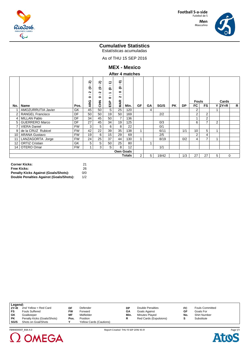

#### **Men** Masculino



## **Cumulative Statistics**

Estatísticas acumuladas

As of THU 15 SEP 2016

**MEX - Mexico**

#### **After 4 matches**

|     |                         |           | ล<br>$\cdot$ .<br>౽<br>Ν<br>$\cdot$ .<br>0<br>ARG | ล<br>. .<br>౿<br>$\sim$<br>$\sim$<br>۰<br>좋 | $\widehat{\mathbf{t}}$<br>$\sim$<br>e<br>$\overline{\phantom{0}}$<br>$\sim$<br>۰<br>ESP | ຣ<br>. .<br>౿<br>$\bullet$<br>. .<br>$\sim$<br>Æ |                  |                |           |       |           |     | Fouls |                |                | Cards       |              |
|-----|-------------------------|-----------|---------------------------------------------------|---------------------------------------------|-----------------------------------------------------------------------------------------|--------------------------------------------------|------------------|----------------|-----------|-------|-----------|-----|-------|----------------|----------------|-------------|--------------|
| No. | Name                    | Pos.      |                                                   |                                             |                                                                                         | Σ.                                               | Min.             | GF             | <b>GA</b> | SG/S  | <b>PK</b> | DP. | FC    | <b>FS</b>      |                | $Y$ 2Y=R    | $\mathsf{R}$ |
|     | AMOZURRUTIA Javier      | GK        | 45                                                | 50                                          | S                                                                                       | 25                                               | 120              |                | 4         |       |           |     | 2     |                |                |             |              |
| 2   | <b>RANGEL Francisco</b> | <b>DF</b> | 50                                                | 50                                          | 19                                                                                      | 50                                               | 169              |                |           | 2/2   |           |     | 2     | 2              |                |             |              |
| 4   | <b>MILLAN Pablo</b>     | DF        | 34                                                | 45                                          | 50                                                                                      | $\overline{7}$                                   | 136              |                |           |       |           |     |       | 2              |                |             |              |
| 5   | <b>GUERRERO Marco</b>   | DF        | 27                                                | 45                                          | 34                                                                                      | 19                                               | 125              |                |           | 0/3   |           |     | 6     | $\overline{ }$ | $\overline{2}$ |             |              |
| 7   | <b>VIERA Daniel</b>     | <b>FW</b> | 3                                                 | 5                                           | 6                                                                                       | 8                                                | 22               |                |           | 0/1   |           |     |       |                |                |             |              |
| 9   | de la CRUZ Rubicel      | <b>FW</b> | 42                                                | 22                                          | 39                                                                                      | 35                                               | 138              |                |           | 6/11  |           | 1/1 | 10    | 5              | 1              |             |              |
| 10  | <b>ARANA Gustavo</b>    | <b>FW</b> | 19                                                | 6                                           | 15                                                                                      | 29                                               | 69               |                |           | 2/5   |           |     | 2     | 4              |                |             |              |
| 11  | LANZAGORTA Jorge        | <b>FW</b> | 24                                                | 25                                          | 37                                                                                      | 44                                               | 130              |                |           | 8/19  |           | 0/2 | 4     | $\overline{ }$ | 1              |             |              |
| 12  | <b>ORTIZ Cristian</b>   | GK        | 5                                                 | S                                           | 50                                                                                      | 25                                               | 80               |                |           |       |           |     |       |                |                |             |              |
| 14  | OTERO Omar              | <b>FW</b> | $\overline{A}$                                    | 3                                           | S                                                                                       | 8                                                | 12               |                |           | 1/1   |           |     |       |                |                |             |              |
|     |                         |           |                                                   |                                             |                                                                                         |                                                  | <b>Own Goals</b> |                |           |       |           |     |       |                |                |             |              |
|     |                         |           |                                                   |                                             |                                                                                         |                                                  | <b>Totals</b>    | $\overline{2}$ | 5         | 19/42 |           | 1/3 | 27    | 27             | 5              | $\mathbf 0$ |              |

| <b>Corner Kicks:</b>                        | 21  |
|---------------------------------------------|-----|
| Free Kicks:                                 | 26  |
| <b>Penalty Kicks Against (Goals/Shots):</b> | 0/0 |
| Double Penalties Against (Goals/Shots):     | 1/2 |

2 OMEGA

|           | Legend:                     |      |                                |      |                        |     |                        |  |  |  |  |  |
|-----------|-----------------------------|------|--------------------------------|------|------------------------|-----|------------------------|--|--|--|--|--|
| $2Y=R$    | 2nd Yellow = Red Card       | DF   | Defender                       | DP   | Double Penalties       | FC  | <b>Fouls Committed</b> |  |  |  |  |  |
| FS        | <b>Fouls Suffered</b>       | F۷   | Forward                        | GА   | Goals Against          | GF  | Goals For              |  |  |  |  |  |
| GK        | Goalkeeper                  | ΜF   | Midfielder                     | Min. | Minutes Played         | No. | <b>Shirt Number</b>    |  |  |  |  |  |
| <b>PK</b> | Penalty Kicks (Goals/Shots) | Pos. | Position                       |      | Red Cards (Expulsions) |     | Substitute             |  |  |  |  |  |
| SG/S      | Shots on Goal/Shots         |      | <b>Yellow Cards (Cautions)</b> |      |                        |     |                        |  |  |  |  |  |



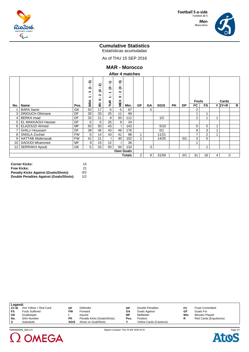

#### **Men** Masculino



## **Cumulative Statistics**

Estatísticas acumuladas

As of THU 15 SEP 2016

**MAR - Morocco**

#### **After 4 matches**

|                 |                          |           | ຣ<br><br>こ<br>∾<br><br>↽<br><b>BRA</b> | ส<br>$\cdot$ .<br>౿<br>$\sim$<br>$\cdot$ .<br>۰<br>$\overline{\underline{\mathbf{c}}}$ | €<br>$\sim$<br>ల<br>$\overline{\phantom{0}}$<br>$\cdot$ .<br>↽<br>TUR | ຣ<br>. .<br>౿<br>$\sim$<br>$\cdot$ .<br>0<br>MEX |                  |                |    |       |           |           | <b>Fouls</b> |                |   | Cards       |   |
|-----------------|--------------------------|-----------|----------------------------------------|----------------------------------------------------------------------------------------|-----------------------------------------------------------------------|--------------------------------------------------|------------------|----------------|----|-------|-----------|-----------|--------------|----------------|---|-------------|---|
| No.             | Name                     | Pos.      |                                        |                                                                                        |                                                                       |                                                  | Min.             | GF             | GА | SG/S  | <b>PK</b> | <b>DP</b> | FC           | <b>FS</b>      |   | $Y$ 2Y=R    | R |
|                 | <b>BARA Samir</b>        | GK        | 50                                     | 17                                                                                     | S                                                                     | S                                                | 67               |                | 5  |       |           |           | 2            |                |   |             |   |
| 3               | <b>DRIOUCH Othmane</b>   | DF        | 30                                     | 33                                                                                     | 25                                                                    | 11                                               | 99               |                |    |       |           |           |              |                |   |             |   |
| 4               | <b>BERKA Imad</b>        | DF        | 32                                     | 21                                                                                     | 9                                                                     | 50 <sup>°</sup>                                  | 112              |                |    | 1/2   |           |           | 2            |                | 1 |             |   |
| 5               | EL MAKKAOUI Hassan       | DF        | S                                      | S                                                                                      | 25                                                                    | 9                                                | 34               |                |    |       |           |           |              |                |   |             |   |
| 6               | ELAZOUZI Ahmed           | <b>MF</b> | 50                                     | 50                                                                                     | 43                                                                    |                                                  | 143              |                |    | 5/10  |           |           | 6            | 5              |   |             |   |
| 7               | <b>GHILLI Houssam</b>    | DF        | 38                                     | 46                                                                                     | 43                                                                    | 49                                               | 176              |                |    | 0/1   |           |           | 9            | 3              |   |             |   |
| 8               | SNISLA Zouhair           | <b>FW</b> | S                                      | 14                                                                                     | 43                                                                    | 41                                               | 98               |                |    | 11/21 |           |           | ⇁            | $\overline{2}$ |   |             |   |
| 9               | <b>HATTAB Abderrazak</b> | <b>FW</b> | 41                                     | 21                                                                                     |                                                                       | 40                                               | 102              |                |    | 14/25 |           | 0/1       | 3            | 5              |   |             |   |
| 10              | DAOUDI Mhammed           | MF        | 9                                      | 15                                                                                     | 12                                                                    |                                                  | 36               |                |    |       |           |           |              |                |   |             |   |
| 12 <sup>2</sup> | <b>SERRAKH Ayoub</b>     | GK        | S                                      | 33                                                                                     | 50                                                                    | 50                                               | 133              |                | 3  |       |           |           |              |                |   |             |   |
|                 |                          |           |                                        |                                                                                        |                                                                       |                                                  | <b>Own Goals</b> |                |    |       |           |           |              |                |   |             |   |
|                 |                          |           |                                        |                                                                                        |                                                                       |                                                  | <b>Totals</b>    | $\overline{2}$ | 8  | 31/59 |           | 0/1       | 31           | 18             | 4 | $\mathbf 0$ |   |

| Corner Kicks:                           | 15  |
|-----------------------------------------|-----|
| Free Kicks:                             | 21  |
| Penalty Kicks Against (Goals/Shots):    | 0/2 |
| Double Penalties Against (Goals/Shots): | 1/2 |

|        | Legend:               |      |                             |      |                                |      |                        |  |  |  |  |  |
|--------|-----------------------|------|-----------------------------|------|--------------------------------|------|------------------------|--|--|--|--|--|
| $2Y=R$ | 2nd Yellow = Red Card | DF   | Defender                    | DP   | Double Penalties               | FC   | <b>Fouls Committed</b> |  |  |  |  |  |
| FS     | <b>Fouls Suffered</b> | FW   | Forward                     | GΑ   | Goals Against                  | GF   | Goals For              |  |  |  |  |  |
| GK     | Goalkeeper            |      | Injured                     | МF   | Midfielder                     | Min. | Minutes Played         |  |  |  |  |  |
| No.    | <b>Shirt Number</b>   | PΚ   | Penalty Kicks (Goals/Shots) | Pos. | Position                       |      | Red Cards (Expulsions) |  |  |  |  |  |
| -S     | Substitute            | SG/S | Shots on Goal/Shots         |      | <b>Yellow Cards (Cautions)</b> |      |                        |  |  |  |  |  |



FBM400006\_84A 4.0 Report Created THU 15 SEP 2016 10:31

Page 1/1**Ato** C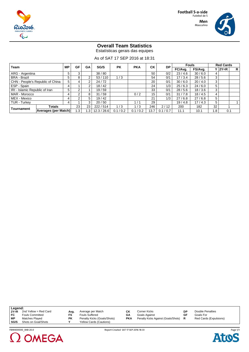

Masculino



## **Overall Team Statistics**

Estatísticas gerais das equipes

As of SAT 17 SEP 2016 at 18:31

| Team                             |                      | <b>MP</b> | GF  | GА  | SG/S        | <b>PK</b> | <b>PKA</b> | <b>CK</b> | <b>DP</b> |         | <b>Fouls</b> |      | <b>Red Cards</b> |                |
|----------------------------------|----------------------|-----------|-----|-----|-------------|-----------|------------|-----------|-----------|---------|--------------|------|------------------|----------------|
|                                  |                      |           |     |     |             |           |            |           |           | FC/Avg. | FS/Avg.      |      | $Y$  2Y=R        | R <sub>1</sub> |
| ARG - Argentina                  |                      | 5         | 3   |     | 38/80       |           |            | 50        | 0/2       | 23/4.6  | 30/6.0       |      |                  |                |
| <b>BRA - Brazil</b>              |                      |           | 8   | ົ   | 53/110      | 1/3       |            | 54        | 0/1       | 17/3.4  | 28/5.6       | 3    |                  |                |
| CHN - People's Republic of China |                      |           |     | ົ   | 24/72       |           |            | 20        | 0/1       | 30/6.0  | 20/4.0       | 3    |                  |                |
| ESP - Spain                      |                      | 4         |     | ົ   | 18/42       |           |            | 24        | 1/3       | 25/6.3  | 24/6.0       | 5    |                  |                |
| IRI - Islamic Republic of Iran   |                      | 5         | ົ   |     | 19/59       |           |            | 33        | 0/1       | 28/5.6  | 18 / 3.6     | 3    |                  |                |
| MAR - Morocco                    |                      | 4         | ົ   | 8   | 31/59       |           | 0/2        | 15        | 0/1       | 31/7.8  | 18/4.5       |      |                  |                |
| MEX - Mexico                     |                      |           | ົ   | 5   | 19/42       |           |            | 21        | $1/3$ .   | 27/6.8  | 27/6.8       | 5    |                  |                |
| TUR - Turkev                     |                      | 4         |     | 3   | 20/50       |           | 1/1        | 29        |           | 19/4.8  | 17/4.3       | 5    |                  |                |
|                                  | <b>Totals</b>        |           | 23  | 23  | 222/514     | 1/3       | 1/3        | 246       | 2/12      | 200     | 182          | 32   |                  |                |
| Tournament                       | Averages (per Match) |           | 1.3 | . 3 | 12.3 / 28.6 | 0.1 / 0.2 | 0.1 / 0.2  | 13.7      | 0.1 / 0.7 | 11.1    | 10.1         | 8. ا | 0.1              |                |

| Legend: |                        |           |                             |     |                                     |    |                         |
|---------|------------------------|-----------|-----------------------------|-----|-------------------------------------|----|-------------------------|
| $2Y=R$  | 2nd Yellow = Red Card  | Ava.      | Average per Match           | СK  | Corner Kicks                        | DP | <b>Double Penalties</b> |
| FC      | <b>Fouls Committed</b> | FS        | <b>Fouls Suffered</b>       | GΑ  | Goals Against                       | GF | Goals For               |
| МP      | Matches Played         | <b>PK</b> | Penalty Kicks (Goals/Shots) | PKA | Penalty Kicks Against (Goals/Shots) |    | Red Cards (Expulsions)  |
| SG/S    | Shots on Goal/Shots    |           | Yellow Cards (Cautions)     |     |                                     |    |                         |
|         |                        |           |                             |     |                                     |    |                         |





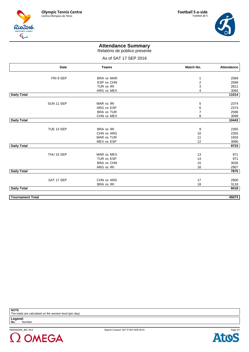





## **Attendance Summary**

Relatório de público presente

### As of SAT 17 SEP 2016

|                         | Date       | <b>Teams</b>      | Match No.               | Attendance |
|-------------------------|------------|-------------------|-------------------------|------------|
|                         |            |                   |                         |            |
|                         | FRI 9 SEP  | <b>BRA vs MAR</b> | 1                       | 2569       |
|                         |            | ESP vs CHN        | $\overline{\mathbf{c}}$ | 2569       |
|                         |            | TUR vs IRI        | 3                       | 2811       |
|                         |            | ARG vs MEX        | 4                       | 3065       |
| <b>Daily Total</b>      |            |                   |                         | 11014      |
|                         | SUN 11 SEP | MAR vs IRI        | 5                       | 2374       |
|                         |            | ARG vs ESP        | 6                       | 2374       |
|                         |            | <b>BRA vs TUR</b> | $\overline{7}$          | 2596       |
|                         |            | CHN vs MEX        | 8                       | 3099       |
| <b>Daily Total</b>      |            |                   |                         | 10443      |
|                         |            |                   |                         |            |
|                         | TUE 13 SEP | <b>BRA</b> vs IRI | 9                       | 2355       |
|                         |            | CHN vs ARG        | 10                      | 2355       |
|                         |            | MAR vs TUR        | 11                      | 1933       |
|                         |            | MEX vs ESP        | 12                      | 3080       |
| <b>Daily Total</b>      |            |                   |                         | 9723       |
|                         | THU 15 SEP | MAR vs MEX        | 13                      | 971        |
|                         |            | TUR vs ESP        | 14                      | 971        |
|                         |            | <b>BRA vs CHN</b> | 15                      | 3026       |
|                         |            | ARG vs IRI        | 16                      | 2907       |
| <b>Daily Total</b>      |            |                   |                         | 7875       |
|                         |            |                   |                         |            |
|                         | SAT 17 SEP | CHN vs ARG        | 17                      | 2900       |
|                         |            | <b>BRA</b> vs IRI | 18                      | 3118       |
| <b>Daily Total</b>      |            |                   |                         | 6018       |
| <b>Tournament Total</b> |            |                   |                         | 45073      |

**NOTE**

The totals are calculated on the session level (per day).

**Legend: No.** Number